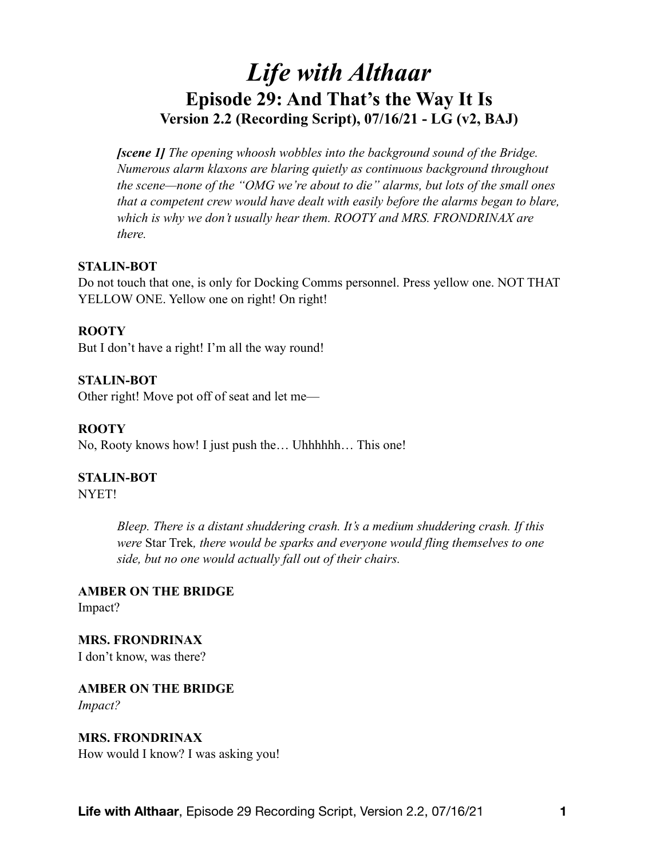# *Life with Althaar*  **Episode 29: And That's the Way It Is Version 2.2 (Recording Script), 07/16/21 - LG (v2, BAJ)**

*[scene 1] The opening whoosh wobbles into the background sound of the Bridge. Numerous alarm klaxons are blaring quietly as continuous background throughout the scene—none of the "OMG we're about to die" alarms, but lots of the small ones that a competent crew would have dealt with easily before the alarms began to blare, which is why we don't usually hear them. ROOTY and MRS. FRONDRINAX are there.* 

## **STALIN-BOT**

Do not touch that one, is only for Docking Comms personnel. Press yellow one. NOT THAT YELLOW ONE. Yellow one on right! On right!

#### **ROOTY**

But I don't have a right! I'm all the way round!

**STALIN-BOT**  Other right! Move pot off of seat and let me—

**ROOTY**  No, Rooty knows how! I just push the… Uhhhhhh… This one!

#### **STALIN-BOT**

NYET!

*Bleep. There is a distant shuddering crash. It's a medium shuddering crash. If this were* Star Trek*, there would be sparks and everyone would fling themselves to one side, but no one would actually fall out of their chairs.* 

**AMBER ON THE BRIDGE**  Impact?

**MRS. FRONDRINAX**  I don't know, was there?

**AMBER ON THE BRIDGE**  *Impact?* 

## **MRS. FRONDRINAX**

How would I know? I was asking you!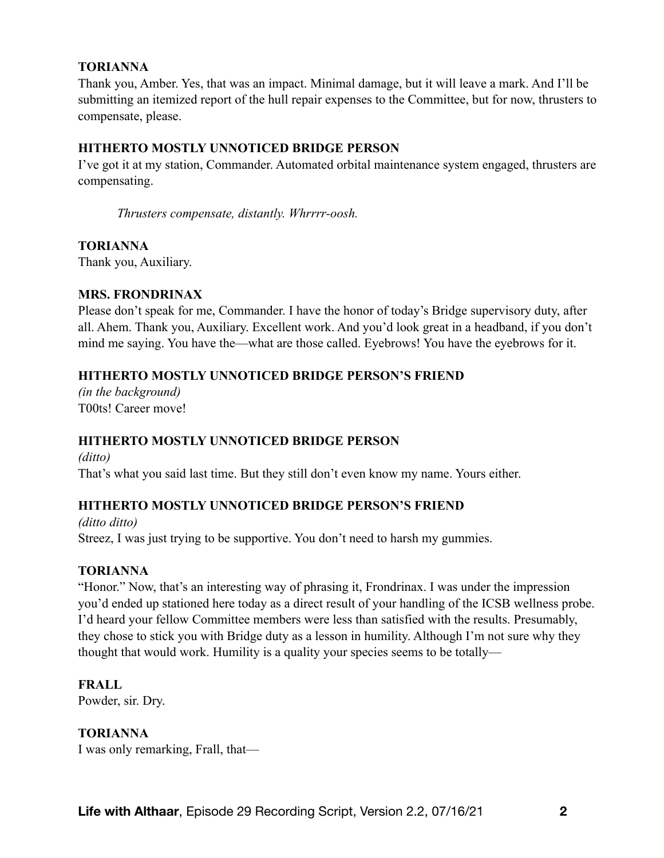#### **TORIANNA**

Thank you, Amber. Yes, that was an impact. Minimal damage, but it will leave a mark. And I'll be submitting an itemized report of the hull repair expenses to the Committee, but for now, thrusters to compensate, please.

## **HITHERTO MOSTLY UNNOTICED BRIDGE PERSON**

I've got it at my station, Commander. Automated orbital maintenance system engaged, thrusters are compensating.

*Thrusters compensate, distantly. Whrrrr-oosh.* 

# **TORIANNA**

Thank you, Auxiliary.

## **MRS. FRONDRINAX**

Please don't speak for me, Commander. I have the honor of today's Bridge supervisory duty, after all. Ahem. Thank you, Auxiliary. Excellent work. And you'd look great in a headband, if you don't mind me saying. You have the—what are those called. Eyebrows! You have the eyebrows for it.

# **HITHERTO MOSTLY UNNOTICED BRIDGE PERSON'S FRIEND**

*(in the background)*  T00ts! Career move!

# **HITHERTO MOSTLY UNNOTICED BRIDGE PERSON**

*(ditto)*  That's what you said last time. But they still don't even know my name. Yours either.

# **HITHERTO MOSTLY UNNOTICED BRIDGE PERSON'S FRIEND**

*(ditto ditto)*  Streez, I was just trying to be supportive. You don't need to harsh my gummies.

## **TORIANNA**

"Honor." Now, that's an interesting way of phrasing it, Frondrinax. I was under the impression you'd ended up stationed here today as a direct result of your handling of the ICSB wellness probe. I'd heard your fellow Committee members were less than satisfied with the results. Presumably, they chose to stick you with Bridge duty as a lesson in humility. Although I'm not sure why they thought that would work. Humility is a quality your species seems to be totally—

**FRALL**

Powder, sir. Dry.

**TORIANNA** I was only remarking, Frall, that—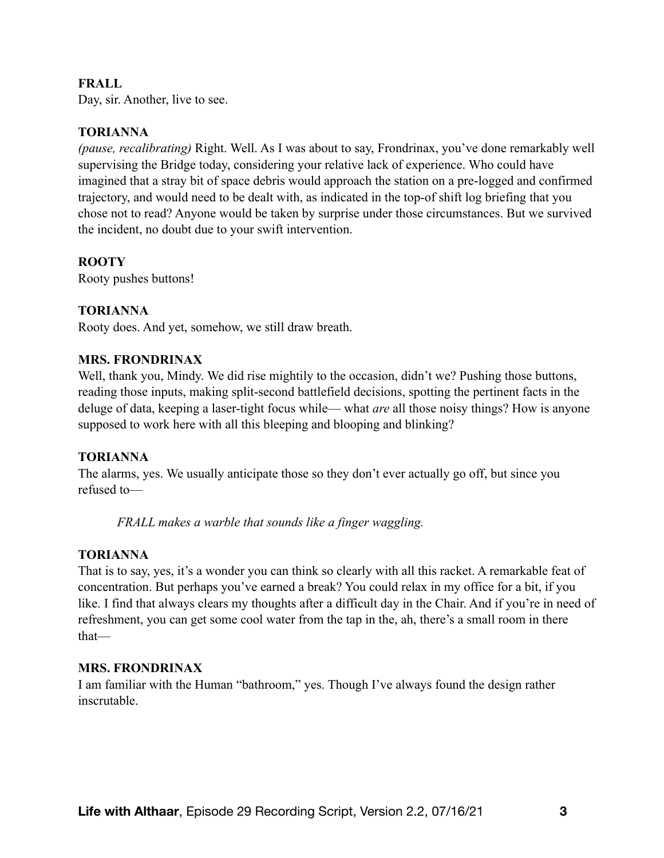## **FRALL**

Day, sir. Another, live to see.

## **TORIANNA**

*(pause, recalibrating)* Right. Well. As I was about to say, Frondrinax, you've done remarkably well supervising the Bridge today, considering your relative lack of experience. Who could have imagined that a stray bit of space debris would approach the station on a pre-logged and confirmed trajectory, and would need to be dealt with, as indicated in the top-of shift log briefing that you chose not to read? Anyone would be taken by surprise under those circumstances. But we survived the incident, no doubt due to your swift intervention.

# **ROOTY**

Rooty pushes buttons!

## **TORIANNA**

Rooty does. And yet, somehow, we still draw breath.

#### **MRS. FRONDRINAX**

Well, thank you, Mindy. We did rise mightily to the occasion, didn't we? Pushing those buttons, reading those inputs, making split-second battlefield decisions, spotting the pertinent facts in the deluge of data, keeping a laser-tight focus while— what *are* all those noisy things? How is anyone supposed to work here with all this bleeping and blooping and blinking?

## **TORIANNA**

The alarms, yes. We usually anticipate those so they don't ever actually go off, but since you refused to—

*FRALL makes a warble that sounds like a finger waggling.* 

## **TORIANNA**

That is to say, yes, it's a wonder you can think so clearly with all this racket. A remarkable feat of concentration. But perhaps you've earned a break? You could relax in my office for a bit, if you like. I find that always clears my thoughts after a difficult day in the Chair. And if you're in need of refreshment, you can get some cool water from the tap in the, ah, there's a small room in there that—

## **MRS. FRONDRINAX**

I am familiar with the Human "bathroom," yes. Though I've always found the design rather inscrutable.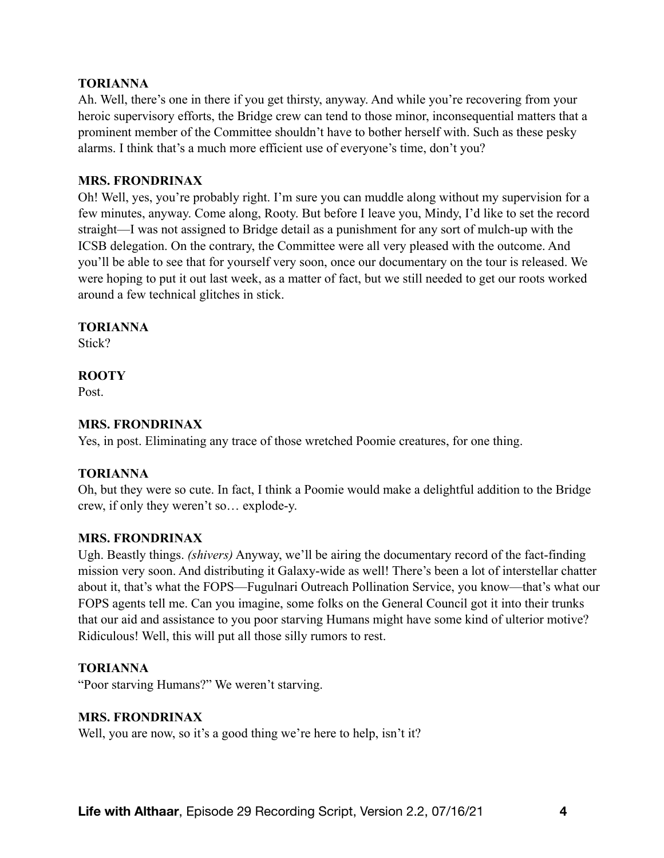## **TORIANNA**

Ah. Well, there's one in there if you get thirsty, anyway. And while you're recovering from your heroic supervisory efforts, the Bridge crew can tend to those minor, inconsequential matters that a prominent member of the Committee shouldn't have to bother herself with. Such as these pesky alarms. I think that's a much more efficient use of everyone's time, don't you?

#### **MRS. FRONDRINAX**

Oh! Well, yes, you're probably right. I'm sure you can muddle along without my supervision for a few minutes, anyway. Come along, Rooty. But before I leave you, Mindy, I'd like to set the record straight—I was not assigned to Bridge detail as a punishment for any sort of mulch-up with the ICSB delegation. On the contrary, the Committee were all very pleased with the outcome. And you'll be able to see that for yourself very soon, once our documentary on the tour is released. We were hoping to put it out last week, as a matter of fact, but we still needed to get our roots worked around a few technical glitches in stick.

#### **TORIANNA**

Stick?

# **ROOTY**

Post.

# **MRS. FRONDRINAX**

Yes, in post. Eliminating any trace of those wretched Poomie creatures, for one thing.

## **TORIANNA**

Oh, but they were so cute. In fact, I think a Poomie would make a delightful addition to the Bridge crew, if only they weren't so… explode-y.

## **MRS. FRONDRINAX**

Ugh. Beastly things. *(shivers)* Anyway, we'll be airing the documentary record of the fact-finding mission very soon. And distributing it Galaxy-wide as well! There's been a lot of interstellar chatter about it, that's what the FOPS—Fugulnari Outreach Pollination Service, you know—that's what our FOPS agents tell me. Can you imagine, some folks on the General Council got it into their trunks that our aid and assistance to you poor starving Humans might have some kind of ulterior motive? Ridiculous! Well, this will put all those silly rumors to rest.

## **TORIANNA**

"Poor starving Humans?" We weren't starving.

## **MRS. FRONDRINAX**

Well, you are now, so it's a good thing we're here to help, isn't it?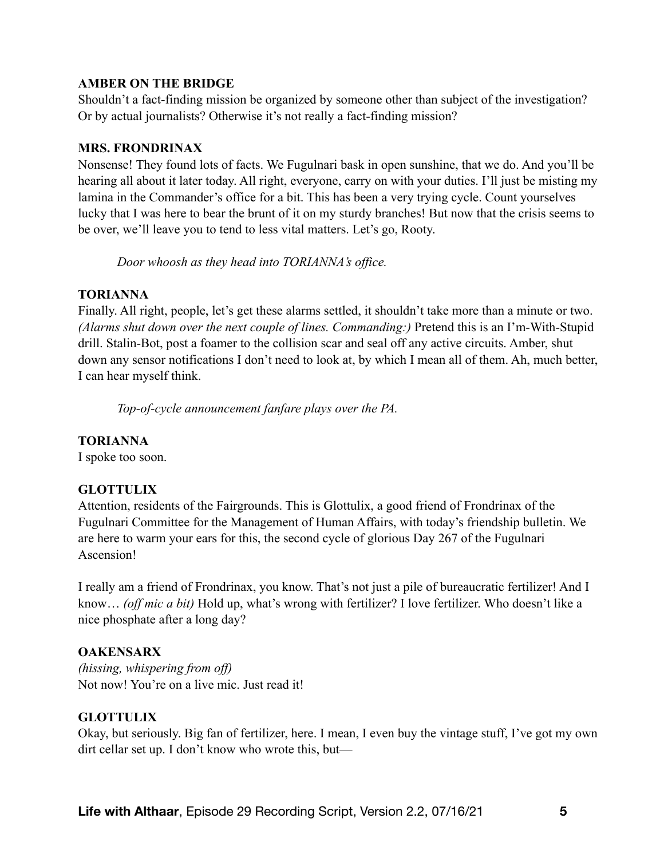# **AMBER ON THE BRIDGE**

Shouldn't a fact-finding mission be organized by someone other than subject of the investigation? Or by actual journalists? Otherwise it's not really a fact-finding mission?

# **MRS. FRONDRINAX**

Nonsense! They found lots of facts. We Fugulnari bask in open sunshine, that we do. And you'll be hearing all about it later today. All right, everyone, carry on with your duties. I'll just be misting my lamina in the Commander's office for a bit. This has been a very trying cycle. Count yourselves lucky that I was here to bear the brunt of it on my sturdy branches! But now that the crisis seems to be over, we'll leave you to tend to less vital matters. Let's go, Rooty.

*Door whoosh as they head into TORIANNA's office.* 

# **TORIANNA**

Finally. All right, people, let's get these alarms settled, it shouldn't take more than a minute or two. *(Alarms shut down over the next couple of lines. Commanding:)* Pretend this is an I'm-With-Stupid drill. Stalin-Bot, post a foamer to the collision scar and seal off any active circuits. Amber, shut down any sensor notifications I don't need to look at, by which I mean all of them. Ah, much better, I can hear myself think.

*Top-of-cycle announcement fanfare plays over the PA.* 

# **TORIANNA**

I spoke too soon.

# **GLOTTULIX**

Attention, residents of the Fairgrounds. This is Glottulix, a good friend of Frondrinax of the Fugulnari Committee for the Management of Human Affairs, with today's friendship bulletin. We are here to warm your ears for this, the second cycle of glorious Day 267 of the Fugulnari Ascension!

I really am a friend of Frondrinax, you know. That's not just a pile of bureaucratic fertilizer! And I know… *(off mic a bit)* Hold up, what's wrong with fertilizer? I love fertilizer. Who doesn't like a nice phosphate after a long day?

# **OAKENSARX**

*(hissing, whispering from off)*  Not now! You're on a live mic. Just read it!

# **GLOTTULIX**

Okay, but seriously. Big fan of fertilizer, here. I mean, I even buy the vintage stuff, I've got my own dirt cellar set up. I don't know who wrote this, but—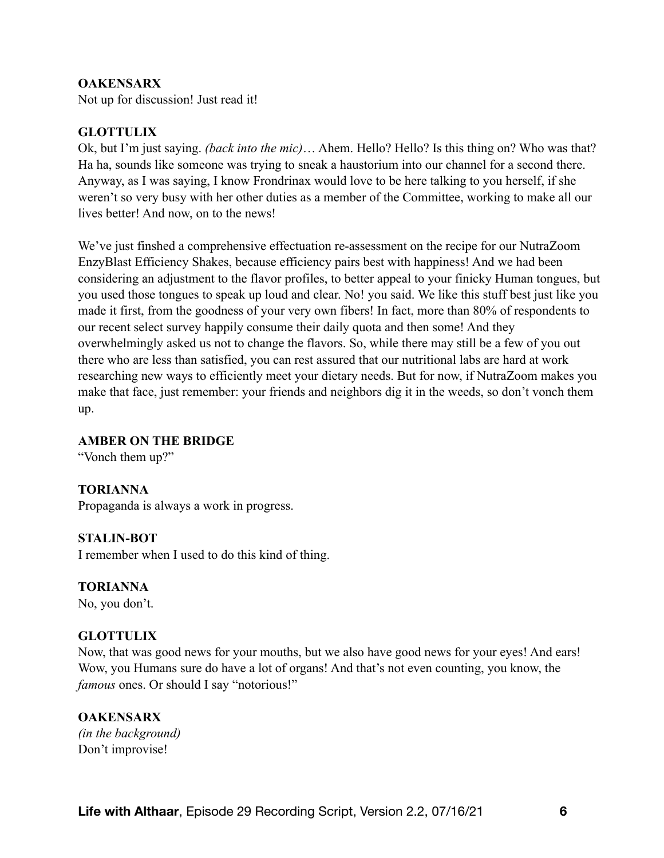#### **OAKENSARX**

Not up for discussion! Just read it!

#### **GLOTTULIX**

Ok, but I'm just saying. *(back into the mic)*… Ahem. Hello? Hello? Is this thing on? Who was that? Ha ha, sounds like someone was trying to sneak a haustorium into our channel for a second there. Anyway, as I was saying, I know Frondrinax would love to be here talking to you herself, if she weren't so very busy with her other duties as a member of the Committee, working to make all our lives better! And now, on to the news!

We've just finshed a comprehensive effectuation re-assessment on the recipe for our NutraZoom EnzyBlast Efficiency Shakes, because efficiency pairs best with happiness! And we had been considering an adjustment to the flavor profiles, to better appeal to your finicky Human tongues, but you used those tongues to speak up loud and clear. No! you said. We like this stuff best just like you made it first, from the goodness of your very own fibers! In fact, more than 80% of respondents to our recent select survey happily consume their daily quota and then some! And they overwhelmingly asked us not to change the flavors. So, while there may still be a few of you out there who are less than satisfied, you can rest assured that our nutritional labs are hard at work researching new ways to efficiently meet your dietary needs. But for now, if NutraZoom makes you make that face, just remember: your friends and neighbors dig it in the weeds, so don't vonch them up.

#### **AMBER ON THE BRIDGE**

"Vonch them up?"

#### **TORIANNA**

Propaganda is always a work in progress.

#### **STALIN-BOT**

I remember when I used to do this kind of thing.

#### **TORIANNA**

No, you don't.

#### **GLOTTULIX**

Now, that was good news for your mouths, but we also have good news for your eyes! And ears! Wow, you Humans sure do have a lot of organs! And that's not even counting, you know, the *famous* ones. Or should I say "notorious!"

#### **OAKENSARX**

*(in the background)*  Don't improvise!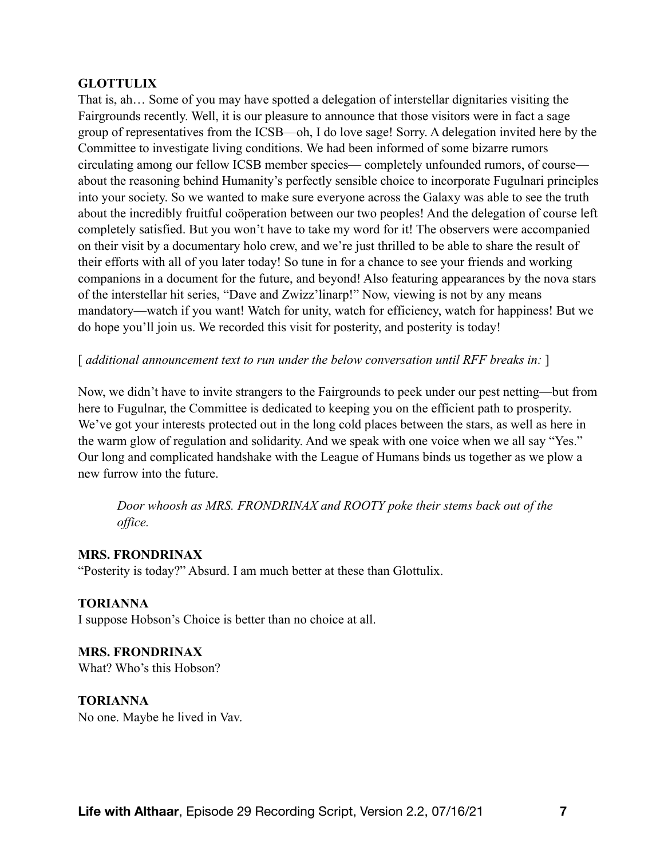## **GLOTTULIX**

That is, ah… Some of you may have spotted a delegation of interstellar dignitaries visiting the Fairgrounds recently. Well, it is our pleasure to announce that those visitors were in fact a sage group of representatives from the ICSB—oh, I do love sage! Sorry. A delegation invited here by the Committee to investigate living conditions. We had been informed of some bizarre rumors circulating among our fellow ICSB member species— completely unfounded rumors, of course about the reasoning behind Humanity's perfectly sensible choice to incorporate Fugulnari principles into your society. So we wanted to make sure everyone across the Galaxy was able to see the truth about the incredibly fruitful coöperation between our two peoples! And the delegation of course left completely satisfied. But you won't have to take my word for it! The observers were accompanied on their visit by a documentary holo crew, and we're just thrilled to be able to share the result of their efforts with all of you later today! So tune in for a chance to see your friends and working companions in a document for the future, and beyond! Also featuring appearances by the nova stars of the interstellar hit series, "Dave and Zwizz'linarp!" Now, viewing is not by any means mandatory—watch if you want! Watch for unity, watch for efficiency, watch for happiness! But we do hope you'll join us. We recorded this visit for posterity, and posterity is today!

[ *additional announcement text to run under the below conversation until RFF breaks in:* ]

Now, we didn't have to invite strangers to the Fairgrounds to peek under our pest netting—but from here to Fugulnar, the Committee is dedicated to keeping you on the efficient path to prosperity. We've got your interests protected out in the long cold places between the stars, as well as here in the warm glow of regulation and solidarity. And we speak with one voice when we all say "Yes." Our long and complicated handshake with the League of Humans binds us together as we plow a new furrow into the future.

*Door whoosh as MRS. FRONDRINAX and ROOTY poke their stems back out of the office.* 

## **MRS. FRONDRINAX**

"Posterity is today?" Absurd. I am much better at these than Glottulix.

**TORIANNA** I suppose Hobson's Choice is better than no choice at all.

**MRS. FRONDRINAX** What? Who's this Hobson?

**TORIANNA** No one. Maybe he lived in Vav.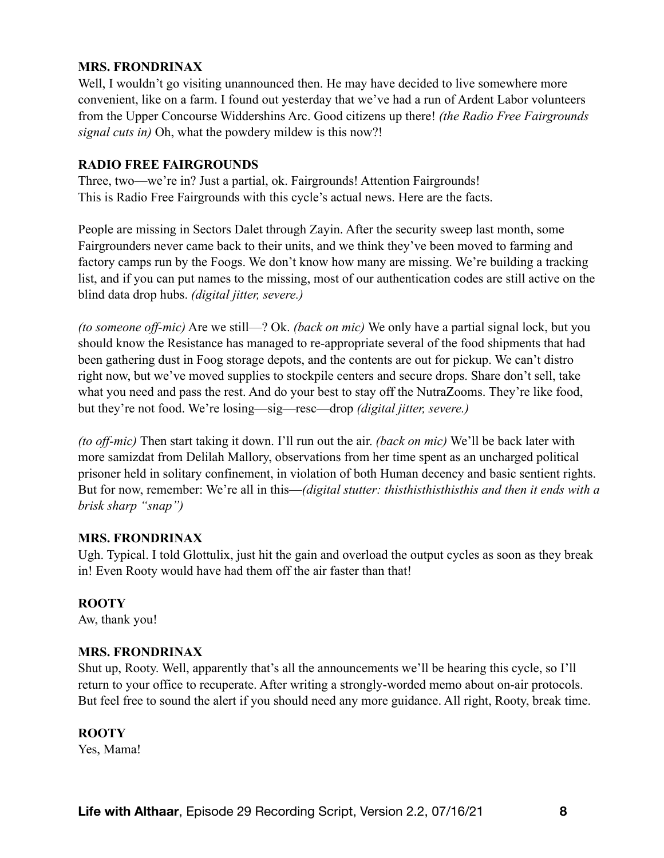# **MRS. FRONDRINAX**

Well, I wouldn't go visiting unannounced then. He may have decided to live somewhere more convenient, like on a farm. I found out yesterday that we've had a run of Ardent Labor volunteers from the Upper Concourse Widdershins Arc. Good citizens up there! *(the Radio Free Fairgrounds signal cuts in)* Oh, what the powdery mildew is this now?!

#### **RADIO FREE FAIRGROUNDS**

Three, two—we're in? Just a partial, ok. Fairgrounds! Attention Fairgrounds! This is Radio Free Fairgrounds with this cycle's actual news. Here are the facts.

People are missing in Sectors Dalet through Zayin. After the security sweep last month, some Fairgrounders never came back to their units, and we think they've been moved to farming and factory camps run by the Foogs. We don't know how many are missing. We're building a tracking list, and if you can put names to the missing, most of our authentication codes are still active on the blind data drop hubs. *(digital jitter, severe.)*

*(to someone off-mic)* Are we still—? Ok. *(back on mic)* We only have a partial signal lock, but you should know the Resistance has managed to re-appropriate several of the food shipments that had been gathering dust in Foog storage depots, and the contents are out for pickup. We can't distro right now, but we've moved supplies to stockpile centers and secure drops. Share don't sell, take what you need and pass the rest. And do your best to stay off the NutraZooms. They're like food, but they're not food. We're losing—sig—resc—drop *(digital jitter, severe.)*

*(to off-mic)* Then start taking it down. I'll run out the air. *(back on mic)* We'll be back later with more samizdat from Delilah Mallory, observations from her time spent as an uncharged political prisoner held in solitary confinement, in violation of both Human decency and basic sentient rights. But for now, remember: We're all in this—*(digital stutter: thisthisthisthisthis and then it ends with a brisk sharp "snap")* 

## **MRS. FRONDRINAX**

Ugh. Typical. I told Glottulix, just hit the gain and overload the output cycles as soon as they break in! Even Rooty would have had them off the air faster than that!

## **ROOTY**

Aw, thank you!

#### **MRS. FRONDRINAX**

Shut up, Rooty. Well, apparently that's all the announcements we'll be hearing this cycle, so I'll return to your office to recuperate. After writing a strongly-worded memo about on-air protocols. But feel free to sound the alert if you should need any more guidance. All right, Rooty, break time.

#### **ROOTY**

Yes, Mama!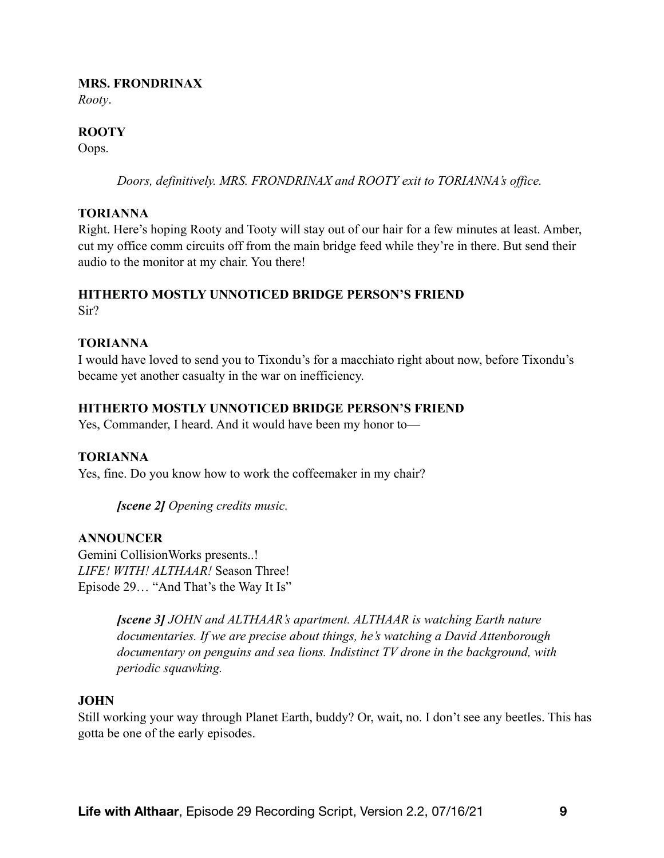#### **MRS. FRONDRINAX**

*Rooty*.

# **ROOTY**

Oops.

*Doors, definitively. MRS. FRONDRINAX and ROOTY exit to TORIANNA's office.* 

## **TORIANNA**

Right. Here's hoping Rooty and Tooty will stay out of our hair for a few minutes at least. Amber, cut my office comm circuits off from the main bridge feed while they're in there. But send their audio to the monitor at my chair. You there!

# **HITHERTO MOSTLY UNNOTICED BRIDGE PERSON'S FRIEND**

Sir?

## **TORIANNA**

I would have loved to send you to Tixondu's for a macchiato right about now, before Tixondu's became yet another casualty in the war on inefficiency.

## **HITHERTO MOSTLY UNNOTICED BRIDGE PERSON'S FRIEND**

Yes, Commander, I heard. And it would have been my honor to—

## **TORIANNA**

Yes, fine. Do you know how to work the coffeemaker in my chair?

*[scene 2] Opening credits music.* 

## **ANNOUNCER**

Gemini CollisionWorks presents..! *LIFE! WITH! ALTHAAR!* Season Three! Episode 29… "And That's the Way It Is"

> *[scene 3] JOHN and ALTHAAR's apartment. ALTHAAR is watching Earth nature documentaries. If we are precise about things, he's watching a David Attenborough documentary on penguins and sea lions. Indistinct TV drone in the background, with periodic squawking.*

## **JOHN**

Still working your way through Planet Earth, buddy? Or, wait, no. I don't see any beetles. This has gotta be one of the early episodes.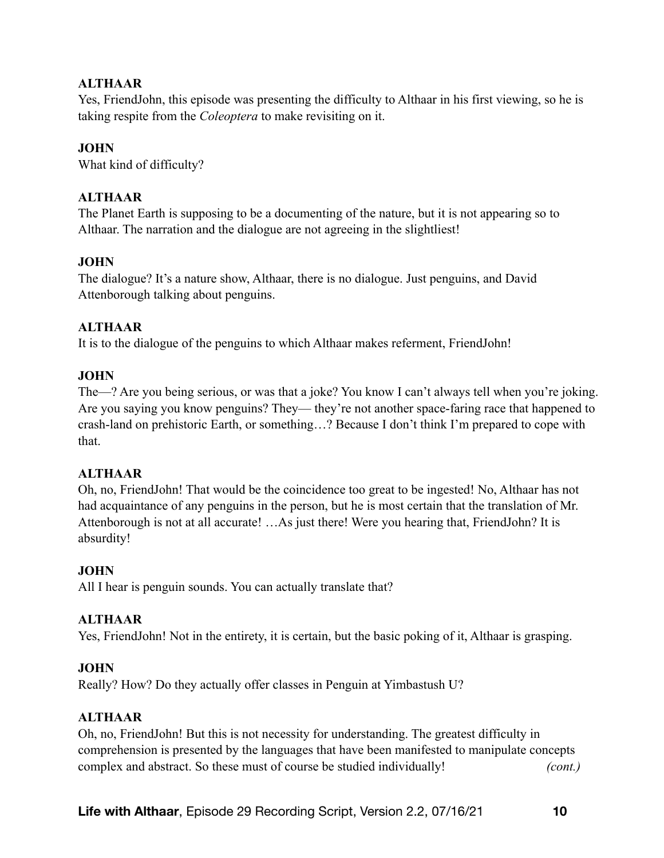# **ALTHAAR**

Yes, FriendJohn, this episode was presenting the difficulty to Althaar in his first viewing, so he is taking respite from the *Coleoptera* to make revisiting on it.

# **JOHN**

What kind of difficulty?

# **ALTHAAR**

The Planet Earth is supposing to be a documenting of the nature, but it is not appearing so to Althaar. The narration and the dialogue are not agreeing in the slightliest!

# **JOHN**

The dialogue? It's a nature show, Althaar, there is no dialogue. Just penguins, and David Attenborough talking about penguins.

# **ALTHAAR**

It is to the dialogue of the penguins to which Althaar makes referment, FriendJohn!

## **JOHN**

The—? Are you being serious, or was that a joke? You know I can't always tell when you're joking. Are you saying you know penguins? They— they're not another space-faring race that happened to crash-land on prehistoric Earth, or something…? Because I don't think I'm prepared to cope with that.

## **ALTHAAR**

Oh, no, FriendJohn! That would be the coincidence too great to be ingested! No, Althaar has not had acquaintance of any penguins in the person, but he is most certain that the translation of Mr. Attenborough is not at all accurate! …As just there! Were you hearing that, FriendJohn? It is absurdity!

## **JOHN**

All I hear is penguin sounds. You can actually translate that?

## **ALTHAAR**

Yes, FriendJohn! Not in the entirety, it is certain, but the basic poking of it, Althaar is grasping.

## **JOHN**

Really? How? Do they actually offer classes in Penguin at Yimbastush U?

## **ALTHAAR**

Oh, no, FriendJohn! But this is not necessity for understanding. The greatest difficulty in comprehension is presented by the languages that have been manifested to manipulate concepts complex and abstract. So these must of course be studied individually! *(cont.)*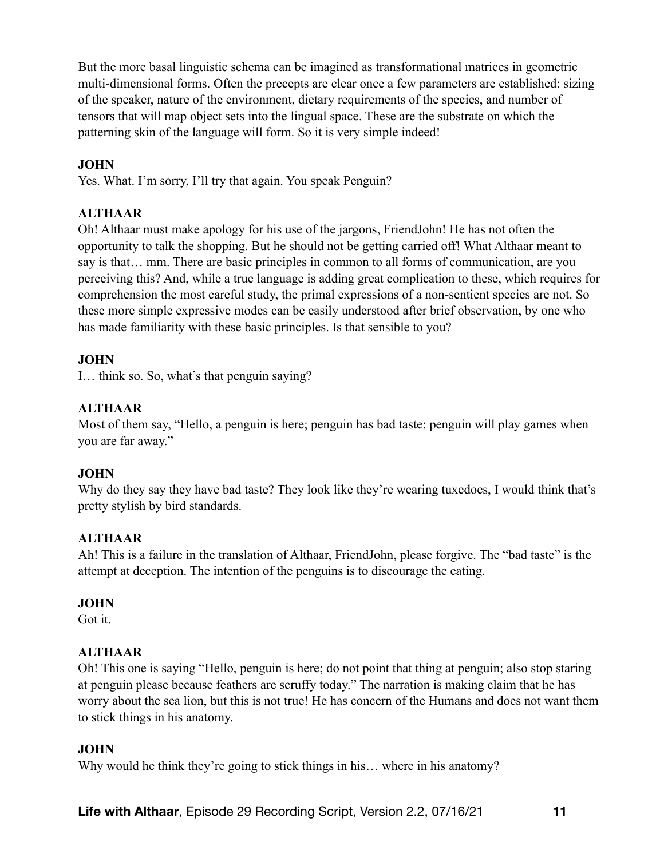But the more basal linguistic schema can be imagined as transformational matrices in geometric multi-dimensional forms. Often the precepts are clear once a few parameters are established: sizing of the speaker, nature of the environment, dietary requirements of the species, and number of tensors that will map object sets into the lingual space. These are the substrate on which the patterning skin of the language will form. So it is very simple indeed!

# **JOHN**

Yes. What. I'm sorry, I'll try that again. You speak Penguin?

# **ALTHAAR**

Oh! Althaar must make apology for his use of the jargons, FriendJohn! He has not often the opportunity to talk the shopping. But he should not be getting carried off! What Althaar meant to say is that… mm. There are basic principles in common to all forms of communication, are you perceiving this? And, while a true language is adding great complication to these, which requires for comprehension the most careful study, the primal expressions of a non-sentient species are not. So these more simple expressive modes can be easily understood after brief observation, by one who has made familiarity with these basic principles. Is that sensible to you?

# **JOHN**

I… think so. So, what's that penguin saying?

# **ALTHAAR**

Most of them say, "Hello, a penguin is here; penguin has bad taste; penguin will play games when you are far away."

# **JOHN**

Why do they say they have bad taste? They look like they're wearing tuxedoes, I would think that's pretty stylish by bird standards.

# **ALTHAAR**

Ah! This is a failure in the translation of Althaar, FriendJohn, please forgive. The "bad taste" is the attempt at deception. The intention of the penguins is to discourage the eating.

# **JOHN**

Got it.

# **ALTHAAR**

Oh! This one is saying "Hello, penguin is here; do not point that thing at penguin; also stop staring at penguin please because feathers are scruffy today." The narration is making claim that he has worry about the sea lion, but this is not true! He has concern of the Humans and does not want them to stick things in his anatomy.

# **JOHN**

Why would he think they're going to stick things in his... where in his anatomy?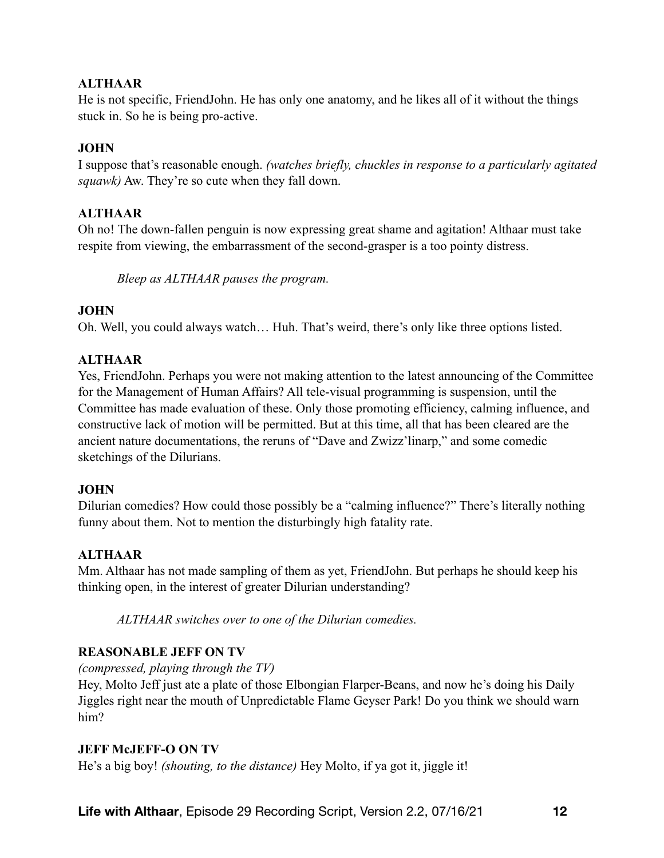# **ALTHAAR**

He is not specific, FriendJohn. He has only one anatomy, and he likes all of it without the things stuck in. So he is being pro-active.

# **JOHN**

I suppose that's reasonable enough. *(watches briefly, chuckles in response to a particularly agitated squawk)* Aw. They're so cute when they fall down.

# **ALTHAAR**

Oh no! The down-fallen penguin is now expressing great shame and agitation! Althaar must take respite from viewing, the embarrassment of the second-grasper is a too pointy distress.

*Bleep as ALTHAAR pauses the program.* 

# **JOHN**

Oh. Well, you could always watch… Huh. That's weird, there's only like three options listed.

# **ALTHAAR**

Yes, FriendJohn. Perhaps you were not making attention to the latest announcing of the Committee for the Management of Human Affairs? All tele-visual programming is suspension, until the Committee has made evaluation of these. Only those promoting efficiency, calming influence, and constructive lack of motion will be permitted. But at this time, all that has been cleared are the ancient nature documentations, the reruns of "Dave and Zwizz'linarp," and some comedic sketchings of the Dilurians.

## **JOHN**

Dilurian comedies? How could those possibly be a "calming influence?" There's literally nothing funny about them. Not to mention the disturbingly high fatality rate.

# **ALTHAAR**

Mm. Althaar has not made sampling of them as yet, FriendJohn. But perhaps he should keep his thinking open, in the interest of greater Dilurian understanding?

*ALTHAAR switches over to one of the Dilurian comedies.* 

# **REASONABLE JEFF ON TV**

*(compressed, playing through the TV)* 

Hey, Molto Jeff just ate a plate of those Elbongian Flarper-Beans, and now he's doing his Daily Jiggles right near the mouth of Unpredictable Flame Geyser Park! Do you think we should warn him?

## **JEFF McJEFF-O ON TV**

He's a big boy! *(shouting, to the distance)* Hey Molto, if ya got it, jiggle it!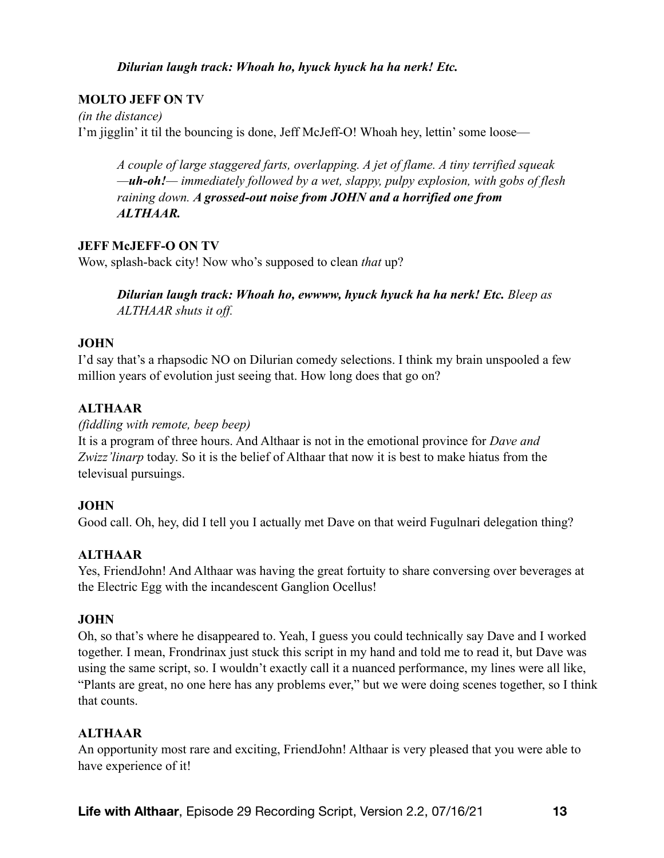## *Dilurian laugh track: Whoah ho, hyuck hyuck ha ha nerk! Etc.*

# **MOLTO JEFF ON TV**

*(in the distance)*  I'm jigglin' it til the bouncing is done, Jeff McJeff-O! Whoah hey, lettin' some loose—

*A couple of large staggered farts, overlapping. A jet of flame. A tiny terrified squeak —uh-oh!— immediately followed by a wet, slappy, pulpy explosion, with gobs of flesh raining down. A grossed-out noise from JOHN and a horrified one from ALTHAAR.*

## **JEFF McJEFF-O ON TV**

Wow, splash-back city! Now who's supposed to clean *that* up?

*Dilurian laugh track: Whoah ho, ewwww, hyuck hyuck ha ha nerk! Etc. Bleep as ALTHAAR shuts it off.*

## **JOHN**

I'd say that's a rhapsodic NO on Dilurian comedy selections. I think my brain unspooled a few million years of evolution just seeing that. How long does that go on?

# **ALTHAAR**

#### *(fiddling with remote, beep beep)*

It is a program of three hours. And Althaar is not in the emotional province for *Dave and Zwizz'linarp* today. So it is the belief of Althaar that now it is best to make hiatus from the televisual pursuings.

## **JOHN**

Good call. Oh, hey, did I tell you I actually met Dave on that weird Fugulnari delegation thing?

# **ALTHAAR**

Yes, FriendJohn! And Althaar was having the great fortuity to share conversing over beverages at the Electric Egg with the incandescent Ganglion Ocellus!

## **JOHN**

Oh, so that's where he disappeared to. Yeah, I guess you could technically say Dave and I worked together. I mean, Frondrinax just stuck this script in my hand and told me to read it, but Dave was using the same script, so. I wouldn't exactly call it a nuanced performance, my lines were all like, "Plants are great, no one here has any problems ever," but we were doing scenes together, so I think that counts.

# **ALTHAAR**

An opportunity most rare and exciting, FriendJohn! Althaar is very pleased that you were able to have experience of it!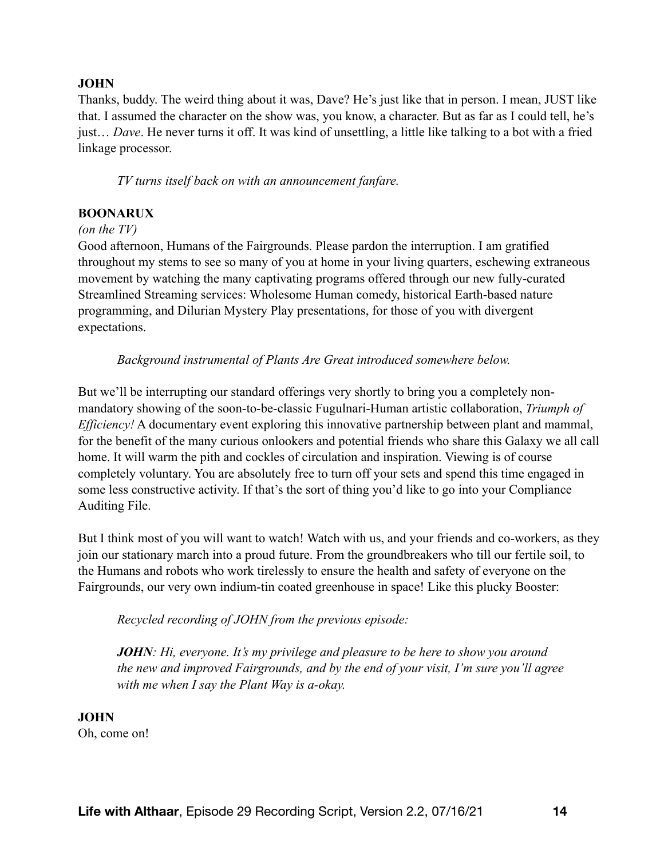## **JOHN**

Thanks, buddy. The weird thing about it was, Dave? He's just like that in person. I mean, JUST like that. I assumed the character on the show was, you know, a character. But as far as I could tell, he's just… *Dave*. He never turns it off. It was kind of unsettling, a little like talking to a bot with a fried linkage processor.

*TV turns itself back on with an announcement fanfare.* 

## **BOONARUX**

#### *(on the TV)*

Good afternoon, Humans of the Fairgrounds. Please pardon the interruption. I am gratified throughout my stems to see so many of you at home in your living quarters, eschewing extraneous movement by watching the many captivating programs offered through our new fully-curated Streamlined Streaming services: Wholesome Human comedy, historical Earth-based nature programming, and Dilurian Mystery Play presentations, for those of you with divergent expectations.

*Background instrumental of Plants Are Great introduced somewhere below.* 

But we'll be interrupting our standard offerings very shortly to bring you a completely nonmandatory showing of the soon-to-be-classic Fugulnari-Human artistic collaboration, *Triumph of Efficiency!* A documentary event exploring this innovative partnership between plant and mammal, for the benefit of the many curious onlookers and potential friends who share this Galaxy we all call home. It will warm the pith and cockles of circulation and inspiration. Viewing is of course completely voluntary. You are absolutely free to turn off your sets and spend this time engaged in some less constructive activity. If that's the sort of thing you'd like to go into your Compliance Auditing File.

But I think most of you will want to watch! Watch with us, and your friends and co-workers, as they join our stationary march into a proud future. From the groundbreakers who till our fertile soil, to the Humans and robots who work tirelessly to ensure the health and safety of everyone on the Fairgrounds, our very own indium-tin coated greenhouse in space! Like this plucky Booster:

*Recycled recording of JOHN from the previous episode:* 

*JOHN: Hi, everyone. It's my privilege and pleasure to be here to show you around the new and improved Fairgrounds, and by the end of your visit, I'm sure you'll agree with me when I say the Plant Way is a-okay.* 

**JOHN** Oh, come on!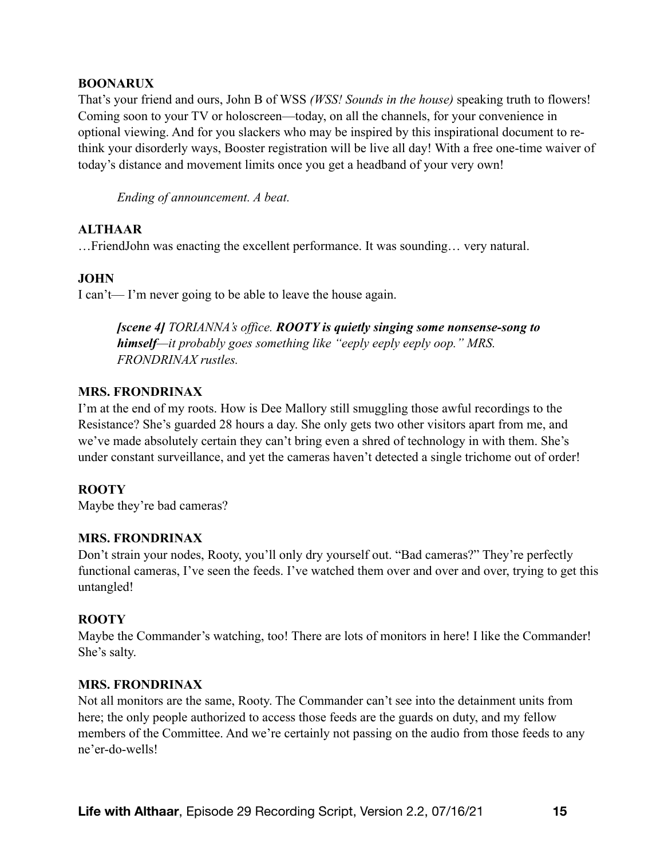#### **BOONARUX**

That's your friend and ours, John B of WSS *(WSS! Sounds in the house)* speaking truth to flowers! Coming soon to your TV or holoscreen—today, on all the channels, for your convenience in optional viewing. And for you slackers who may be inspired by this inspirational document to rethink your disorderly ways, Booster registration will be live all day! With a free one-time waiver of today's distance and movement limits once you get a headband of your very own!

*Ending of announcement. A beat.* 

## **ALTHAAR**

…FriendJohn was enacting the excellent performance. It was sounding… very natural.

## **JOHN**

I can't— I'm never going to be able to leave the house again.

*[scene 4] TORIANNA's office. ROOTY is quietly singing some nonsense-song to himself—it probably goes something like "eeply eeply eeply oop." MRS. FRONDRINAX rustles.* 

#### **MRS. FRONDRINAX**

I'm at the end of my roots. How is Dee Mallory still smuggling those awful recordings to the Resistance? She's guarded 28 hours a day. She only gets two other visitors apart from me, and we've made absolutely certain they can't bring even a shred of technology in with them. She's under constant surveillance, and yet the cameras haven't detected a single trichome out of order!

## **ROOTY**

Maybe they're bad cameras?

## **MRS. FRONDRINAX**

Don't strain your nodes, Rooty, you'll only dry yourself out. "Bad cameras?" They're perfectly functional cameras, I've seen the feeds. I've watched them over and over and over, trying to get this untangled!

## **ROOTY**

Maybe the Commander's watching, too! There are lots of monitors in here! I like the Commander! She's salty.

## **MRS. FRONDRINAX**

Not all monitors are the same, Rooty. The Commander can't see into the detainment units from here; the only people authorized to access those feeds are the guards on duty, and my fellow members of the Committee. And we're certainly not passing on the audio from those feeds to any ne'er-do-wells!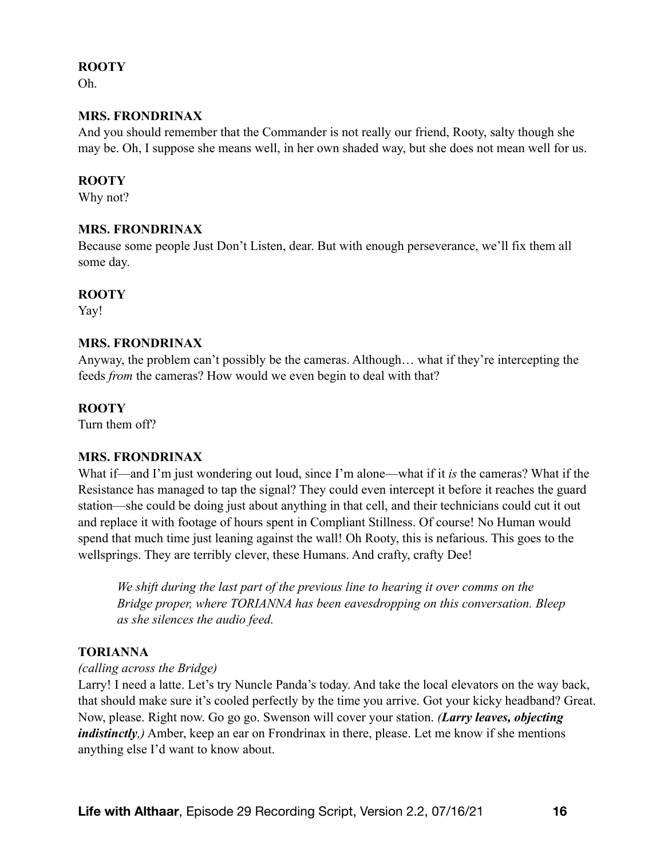#### **ROOTY**

Oh.

#### **MRS. FRONDRINAX**

And you should remember that the Commander is not really our friend, Rooty, salty though she may be. Oh, I suppose she means well, in her own shaded way, but she does not mean well for us.

#### **ROOTY**

Why not?

#### **MRS. FRONDRINAX**

Because some people Just Don't Listen, dear. But with enough perseverance, we'll fix them all some day.

#### **ROOTY**

Yay!

#### **MRS. FRONDRINAX**

Anyway, the problem can't possibly be the cameras. Although… what if they're intercepting the feeds *from* the cameras? How would we even begin to deal with that?

#### **ROOTY**

Turn them off?

## **MRS. FRONDRINAX**

What if—and I'm just wondering out loud, since I'm alone—what if it *is* the cameras? What if the Resistance has managed to tap the signal? They could even intercept it before it reaches the guard station—she could be doing just about anything in that cell, and their technicians could cut it out and replace it with footage of hours spent in Compliant Stillness. Of course! No Human would spend that much time just leaning against the wall! Oh Rooty, this is nefarious. This goes to the wellsprings. They are terribly clever, these Humans. And crafty, crafty Dee!

*We shift during the last part of the previous line to hearing it over comms on the Bridge proper, where TORIANNA has been eavesdropping on this conversation. Bleep as she silences the audio feed.* 

## **TORIANNA**

#### *(calling across the Bridge)*

Larry! I need a latte. Let's try Nuncle Panda's today. And take the local elevators on the way back, that should make sure it's cooled perfectly by the time you arrive. Got your kicky headband? Great. Now, please. Right now. Go go go. Swenson will cover your station. *(Larry leaves, objecting indistinctly*, Amber, keep an ear on Frondrinax in there, please. Let me know if she mentions anything else I'd want to know about.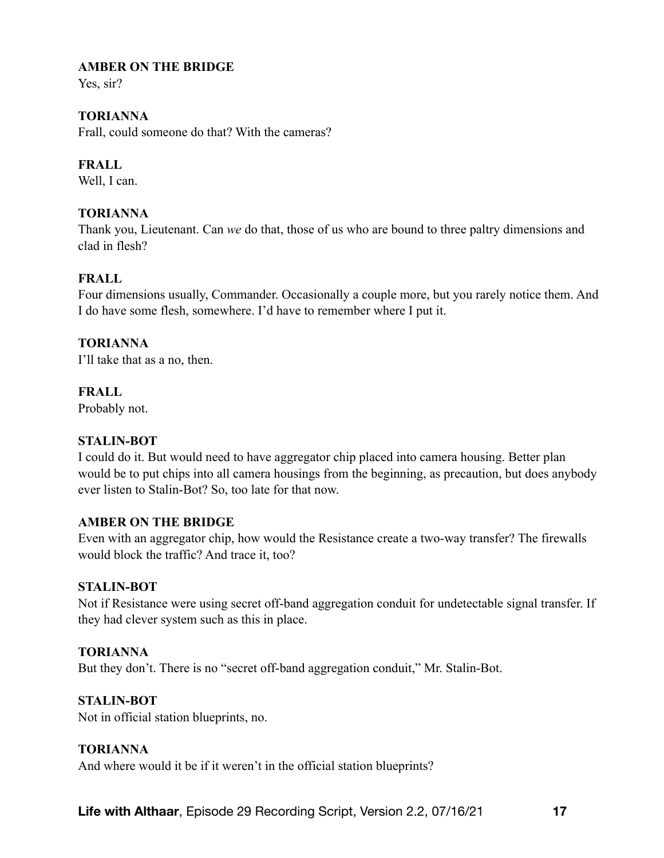## **AMBER ON THE BRIDGE**

Yes, sir?

# **TORIANNA**

Frall, could someone do that? With the cameras?

# **FRALL**

Well, I can.

# **TORIANNA**

Thank you, Lieutenant. Can *we* do that, those of us who are bound to three paltry dimensions and clad in flesh?

# **FRALL**

Four dimensions usually, Commander. Occasionally a couple more, but you rarely notice them. And I do have some flesh, somewhere. I'd have to remember where I put it.

## **TORIANNA**

I'll take that as a no, then.

## **FRALL**

Probably not.

## **STALIN-BOT**

I could do it. But would need to have aggregator chip placed into camera housing. Better plan would be to put chips into all camera housings from the beginning, as precaution, but does anybody ever listen to Stalin-Bot? So, too late for that now.

## **AMBER ON THE BRIDGE**

Even with an aggregator chip, how would the Resistance create a two-way transfer? The firewalls would block the traffic? And trace it, too?

## **STALIN-BOT**

Not if Resistance were using secret off-band aggregation conduit for undetectable signal transfer. If they had clever system such as this in place.

## **TORIANNA**

But they don't. There is no "secret off-band aggregation conduit," Mr. Stalin-Bot.

## **STALIN-BOT**

Not in official station blueprints, no.

## **TORIANNA**

And where would it be if it weren't in the official station blueprints?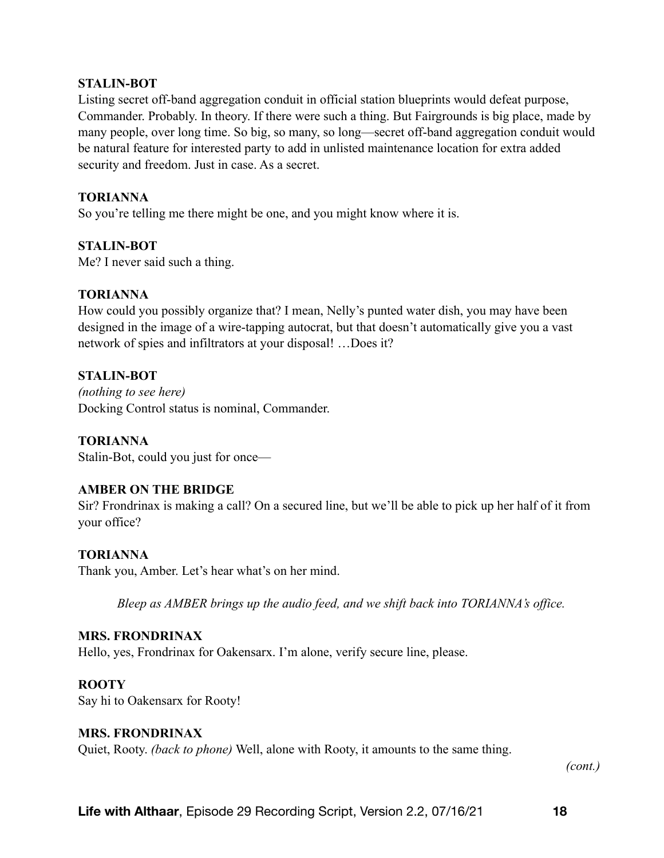#### **STALIN-BOT**

Listing secret off-band aggregation conduit in official station blueprints would defeat purpose, Commander. Probably. In theory. If there were such a thing. But Fairgrounds is big place, made by many people, over long time. So big, so many, so long—secret off-band aggregation conduit would be natural feature for interested party to add in unlisted maintenance location for extra added security and freedom. Just in case. As a secret.

## **TORIANNA**

So you're telling me there might be one, and you might know where it is.

## **STALIN-BOT**

Me? I never said such a thing.

## **TORIANNA**

How could you possibly organize that? I mean, Nelly's punted water dish, you may have been designed in the image of a wire-tapping autocrat, but that doesn't automatically give you a vast network of spies and infiltrators at your disposal! …Does it?

## **STALIN-BOT**

*(nothing to see here)*  Docking Control status is nominal, Commander.

## **TORIANNA**

Stalin-Bot, could you just for once—

## **AMBER ON THE BRIDGE**

Sir? Frondrinax is making a call? On a secured line, but we'll be able to pick up her half of it from your office?

## **TORIANNA**

Thank you, Amber. Let's hear what's on her mind.

*Bleep as AMBER brings up the audio feed, and we shift back into TORIANNA's office.* 

#### **MRS. FRONDRINAX**

Hello, yes, Frondrinax for Oakensarx. I'm alone, verify secure line, please.

#### **ROOTY**

Say hi to Oakensarx for Rooty!

#### **MRS. FRONDRINAX**

Quiet, Rooty. *(back to phone)* Well, alone with Rooty, it amounts to the same thing.

*(cont.)*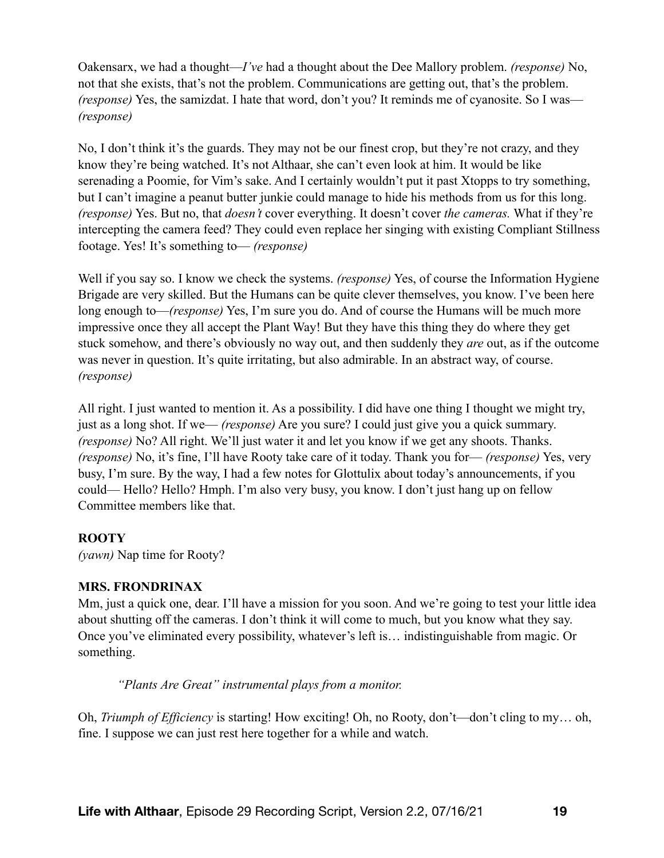Oakensarx, we had a thought—*I've* had a thought about the Dee Mallory problem. *(response)* No, not that she exists, that's not the problem. Communications are getting out, that's the problem. *(response)* Yes, the samizdat. I hate that word, don't you? It reminds me of cyanosite. So I was— *(response)*

No, I don't think it's the guards. They may not be our finest crop, but they're not crazy, and they know they're being watched. It's not Althaar, she can't even look at him. It would be like serenading a Poomie, for Vim's sake. And I certainly wouldn't put it past Xtopps to try something, but I can't imagine a peanut butter junkie could manage to hide his methods from us for this long. *(response)* Yes. But no, that *doesn't* cover everything. It doesn't cover *the cameras.* What if they're intercepting the camera feed? They could even replace her singing with existing Compliant Stillness footage. Yes! It's something to— *(response)*

Well if you say so. I know we check the systems. *(response)* Yes, of course the Information Hygiene Brigade are very skilled. But the Humans can be quite clever themselves, you know. I've been here long enough to—*(response)* Yes, I'm sure you do. And of course the Humans will be much more impressive once they all accept the Plant Way! But they have this thing they do where they get stuck somehow, and there's obviously no way out, and then suddenly they *are* out, as if the outcome was never in question. It's quite irritating, but also admirable. In an abstract way, of course. *(response)*

All right. I just wanted to mention it. As a possibility. I did have one thing I thought we might try, just as a long shot. If we— *(response)* Are you sure? I could just give you a quick summary. *(response)* No? All right. We'll just water it and let you know if we get any shoots. Thanks. *(response)* No, it's fine, I'll have Rooty take care of it today. Thank you for— *(response)* Yes, very busy, I'm sure. By the way, I had a few notes for Glottulix about today's announcements, if you could— Hello? Hello? Hmph. I'm also very busy, you know. I don't just hang up on fellow Committee members like that.

# **ROOTY**

*(yawn)* Nap time for Rooty?

# **MRS. FRONDRINAX**

Mm, just a quick one, dear. I'll have a mission for you soon. And we're going to test your little idea about shutting off the cameras. I don't think it will come to much, but you know what they say. Once you've eliminated every possibility, whatever's left is… indistinguishable from magic. Or something.

*"Plants Are Great" instrumental plays from a monitor.* 

Oh, *Triumph of Efficiency* is starting! How exciting! Oh, no Rooty, don't—don't cling to my… oh, fine. I suppose we can just rest here together for a while and watch.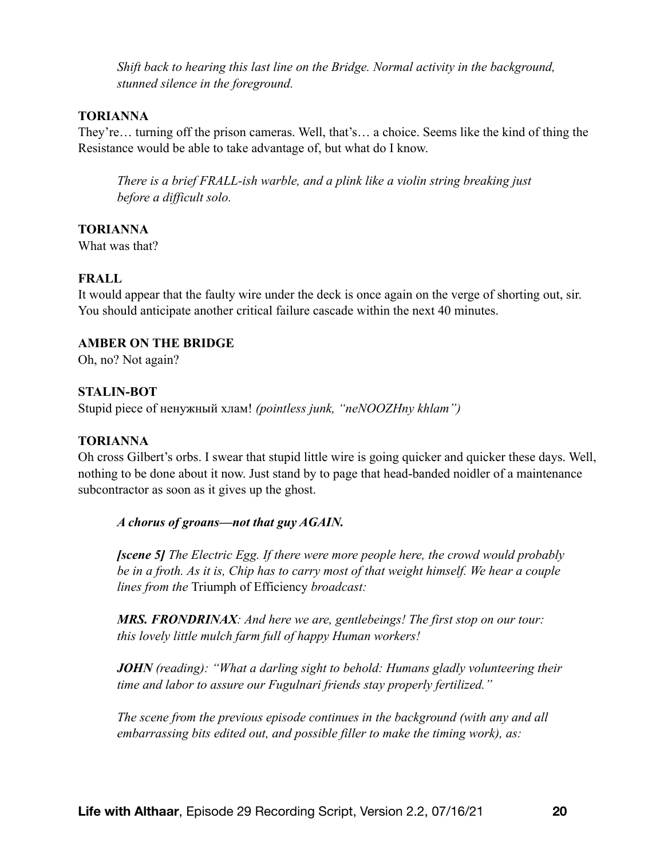*Shift back to hearing this last line on the Bridge. Normal activity in the background, stunned silence in the foreground.* 

#### **TORIANNA**

They're… turning off the prison cameras. Well, that's… a choice. Seems like the kind of thing the Resistance would be able to take advantage of, but what do I know.

*There is a brief FRALL-ish warble, and a plink like a violin string breaking just before a difficult solo.* 

#### **TORIANNA**

What was that?

## **FRALL**

It would appear that the faulty wire under the deck is once again on the verge of shorting out, sir. You should anticipate another critical failure cascade within the next 40 minutes.

#### **AMBER ON THE BRIDGE**

Oh, no? Not again?

#### **STALIN-BOT**

Stupid piece of ненужный хлам! *(pointless junk, "neNOOZHny khlam")*

#### **TORIANNA**

Oh cross Gilbert's orbs. I swear that stupid little wire is going quicker and quicker these days. Well, nothing to be done about it now. Just stand by to page that head-banded noidler of a maintenance subcontractor as soon as it gives up the ghost.

#### *A chorus of groans—not that guy AGAIN.*

*[scene 5] The Electric Egg. If there were more people here, the crowd would probably be in a froth. As it is, Chip has to carry most of that weight himself. We hear a couple lines from the* Triumph of Efficiency *broadcast:* 

*MRS. FRONDRINAX: And here we are, gentlebeings! The first stop on our tour: this lovely little mulch farm full of happy Human workers!* 

*JOHN (reading): "What a darling sight to behold: Humans gladly volunteering their time and labor to assure our Fugulnari friends stay properly fertilized."* 

*The scene from the previous episode continues in the background (with any and all embarrassing bits edited out, and possible filler to make the timing work), as:*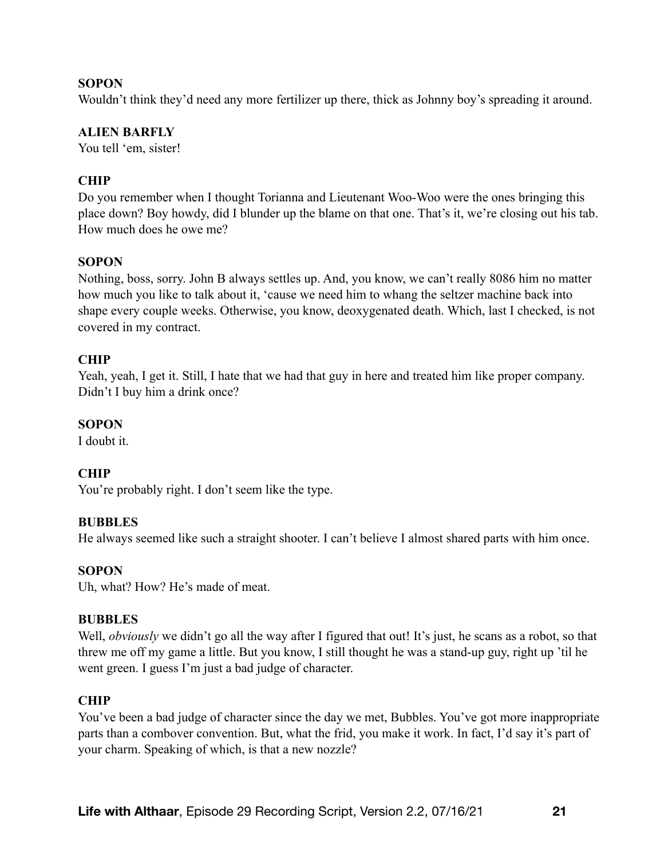## **SOPON**

Wouldn't think they'd need any more fertilizer up there, thick as Johnny boy's spreading it around.

#### **ALIEN BARFLY**

You tell 'em, sister!

## **CHIP**

Do you remember when I thought Torianna and Lieutenant Woo-Woo were the ones bringing this place down? Boy howdy, did I blunder up the blame on that one. That's it, we're closing out his tab. How much does he owe me?

## **SOPON**

Nothing, boss, sorry. John B always settles up. And, you know, we can't really 8086 him no matter how much you like to talk about it, 'cause we need him to whang the seltzer machine back into shape every couple weeks. Otherwise, you know, deoxygenated death. Which, last I checked, is not covered in my contract.

#### **CHIP**

Yeah, yeah, I get it. Still, I hate that we had that guy in here and treated him like proper company. Didn't I buy him a drink once?

#### **SOPON**

I doubt it.

## **CHIP**

You're probably right. I don't seem like the type.

#### **BUBBLES**

He always seemed like such a straight shooter. I can't believe I almost shared parts with him once.

#### **SOPON**

Uh, what? How? He's made of meat.

#### **BUBBLES**

Well, *obviously* we didn't go all the way after I figured that out! It's just, he scans as a robot, so that threw me off my game a little. But you know, I still thought he was a stand-up guy, right up 'til he went green. I guess I'm just a bad judge of character.

#### **CHIP**

You've been a bad judge of character since the day we met, Bubbles. You've got more inappropriate parts than a combover convention. But, what the frid, you make it work. In fact, I'd say it's part of your charm. Speaking of which, is that a new nozzle?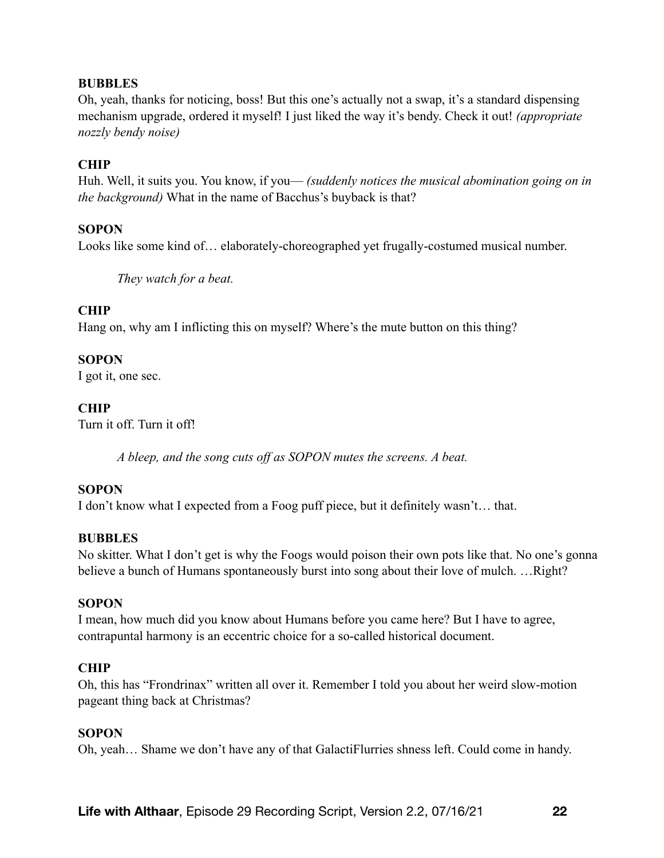#### **BUBBLES**

Oh, yeah, thanks for noticing, boss! But this one's actually not a swap, it's a standard dispensing mechanism upgrade, ordered it myself! I just liked the way it's bendy. Check it out! *(appropriate nozzly bendy noise)* 

#### **CHIP**

Huh. Well, it suits you. You know, if you— *(suddenly notices the musical abomination going on in the background)* What in the name of Bacchus's buyback is that?

#### **SOPON**

Looks like some kind of… elaborately-choreographed yet frugally-costumed musical number.

*They watch for a beat.*

#### **CHIP**

Hang on, why am I inflicting this on myself? Where's the mute button on this thing?

#### **SOPON**

I got it, one sec.

## **CHIP**

Turn it off. Turn it off!

*A bleep, and the song cuts off as SOPON mutes the screens. A beat.* 

#### **SOPON**

I don't know what I expected from a Foog puff piece, but it definitely wasn't… that.

#### **BUBBLES**

No skitter. What I don't get is why the Foogs would poison their own pots like that. No one's gonna believe a bunch of Humans spontaneously burst into song about their love of mulch. … Right?

#### **SOPON**

I mean, how much did you know about Humans before you came here? But I have to agree, contrapuntal harmony is an eccentric choice for a so-called historical document.

#### **CHIP**

Oh, this has "Frondrinax" written all over it. Remember I told you about her weird slow-motion pageant thing back at Christmas?

#### **SOPON**

Oh, yeah… Shame we don't have any of that GalactiFlurries shness left. Could come in handy.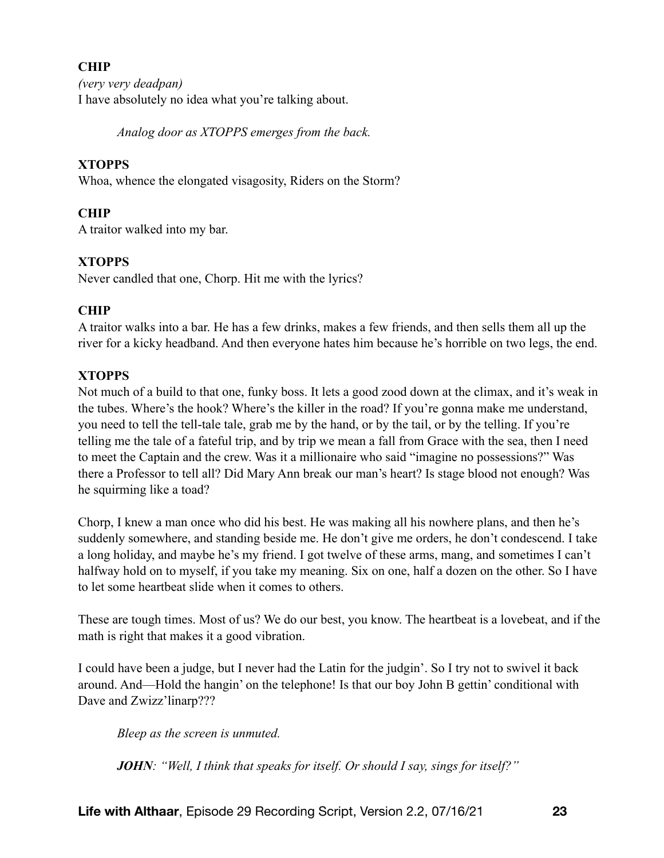# **CHIP**

*(very very deadpan)* I have absolutely no idea what you're talking about.

*Analog door as XTOPPS emerges from the back.*

# **XTOPPS**

Whoa, whence the elongated visagosity, Riders on the Storm?

# **CHIP**

A traitor walked into my bar.

# **XTOPPS**

Never candled that one, Chorp. Hit me with the lyrics?

# **CHIP**

A traitor walks into a bar. He has a few drinks, makes a few friends, and then sells them all up the river for a kicky headband. And then everyone hates him because he's horrible on two legs, the end.

# **XTOPPS**

Not much of a build to that one, funky boss. It lets a good zood down at the climax, and it's weak in the tubes. Where's the hook? Where's the killer in the road? If you're gonna make me understand, you need to tell the tell-tale tale, grab me by the hand, or by the tail, or by the telling. If you're telling me the tale of a fateful trip, and by trip we mean a fall from Grace with the sea, then I need to meet the Captain and the crew. Was it a millionaire who said "imagine no possessions?" Was there a Professor to tell all? Did Mary Ann break our man's heart? Is stage blood not enough? Was he squirming like a toad?

Chorp, I knew a man once who did his best. He was making all his nowhere plans, and then he's suddenly somewhere, and standing beside me. He don't give me orders, he don't condescend. I take a long holiday, and maybe he's my friend. I got twelve of these arms, mang, and sometimes I can't halfway hold on to myself, if you take my meaning. Six on one, half a dozen on the other. So I have to let some heartbeat slide when it comes to others.

These are tough times. Most of us? We do our best, you know. The heartbeat is a lovebeat, and if the math is right that makes it a good vibration.

I could have been a judge, but I never had the Latin for the judgin'. So I try not to swivel it back around. And—Hold the hangin' on the telephone! Is that our boy John B gettin' conditional with Dave and Zwizz'linarp???

*Bleep as the screen is unmuted.* 

*JOHN: "Well, I think that speaks for itself. Or should I say, sings for itself?"*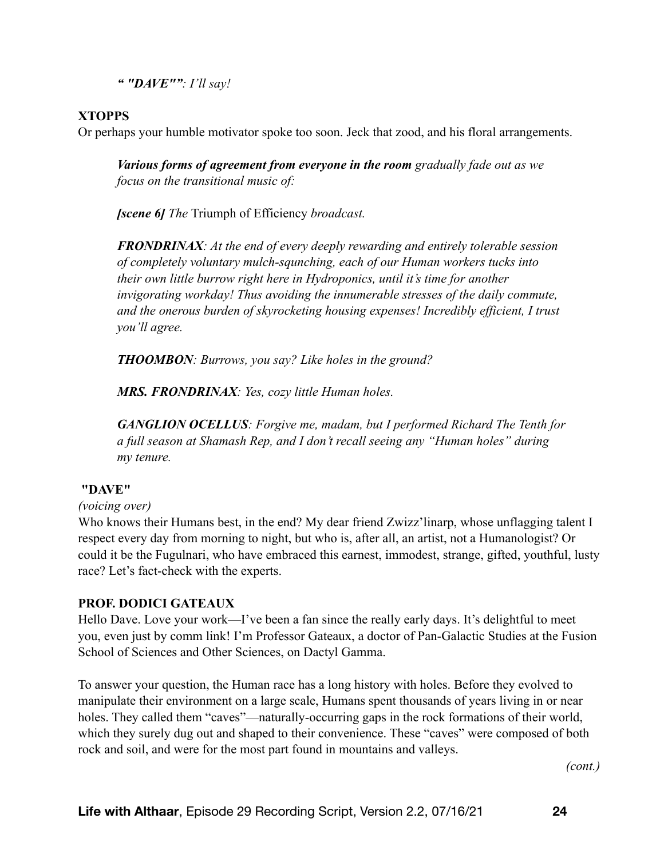*" "DAVE"": I'll say!* 

## **XTOPPS**

Or perhaps your humble motivator spoke too soon. Jeck that zood, and his floral arrangements.

*Various forms of agreement from everyone in the room gradually fade out as we focus on the transitional music of:* 

*[scene 6] The* Triumph of Efficiency *broadcast.* 

*FRONDRINAX: At the end of every deeply rewarding and entirely tolerable session of completely voluntary mulch-squnching, each of our Human workers tucks into their own little burrow right here in Hydroponics, until it's time for another invigorating workday! Thus avoiding the innumerable stresses of the daily commute, and the onerous burden of skyrocketing housing expenses! Incredibly efficient, I trust you'll agree.* 

*THOOMBON: Burrows, you say? Like holes in the ground?* 

*MRS. FRONDRINAX: Yes, cozy little Human holes.* 

*GANGLION OCELLUS: Forgive me, madam, but I performed Richard The Tenth for a full season at Shamash Rep, and I don't recall seeing any "Human holes" during my tenure.* 

## **"DAVE"**

#### *(voicing over)*

Who knows their Humans best, in the end? My dear friend Zwizz'linarp, whose unflagging talent I respect every day from morning to night, but who is, after all, an artist, not a Humanologist? Or could it be the Fugulnari, who have embraced this earnest, immodest, strange, gifted, youthful, lusty race? Let's fact-check with the experts.

## **PROF. DODICI GATEAUX**

Hello Dave. Love your work—I've been a fan since the really early days. It's delightful to meet you, even just by comm link! I'm Professor Gateaux, a doctor of Pan-Galactic Studies at the Fusion School of Sciences and Other Sciences, on Dactyl Gamma.

To answer your question, the Human race has a long history with holes. Before they evolved to manipulate their environment on a large scale, Humans spent thousands of years living in or near holes. They called them "caves"—naturally-occurring gaps in the rock formations of their world, which they surely dug out and shaped to their convenience. These "caves" were composed of both rock and soil, and were for the most part found in mountains and valleys.

*(cont.)*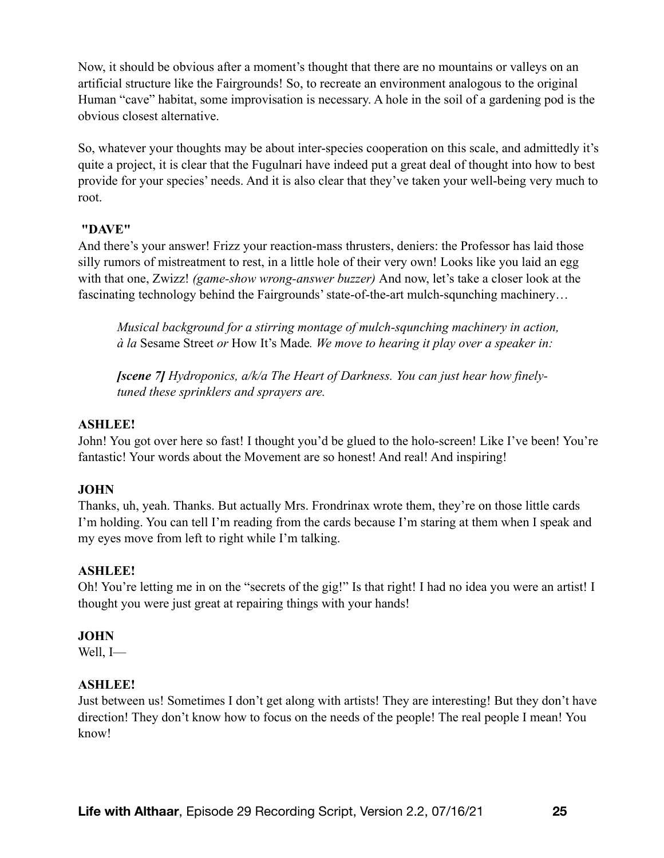Now, it should be obvious after a moment's thought that there are no mountains or valleys on an artificial structure like the Fairgrounds! So, to recreate an environment analogous to the original Human "cave" habitat, some improvisation is necessary. A hole in the soil of a gardening pod is the obvious closest alternative.

So, whatever your thoughts may be about inter-species cooperation on this scale, and admittedly it's quite a project, it is clear that the Fugulnari have indeed put a great deal of thought into how to best provide for your species' needs. And it is also clear that they've taken your well-being very much to root.

## **"DAVE"**

And there's your answer! Frizz your reaction-mass thrusters, deniers: the Professor has laid those silly rumors of mistreatment to rest, in a little hole of their very own! Looks like you laid an egg with that one, Zwizz! *(game-show wrong-answer buzzer)* And now, let's take a closer look at the fascinating technology behind the Fairgrounds' state-of-the-art mulch-squnching machinery...

*Musical background for a stirring montage of mulch-squnching machinery in action, à la* Sesame Street *or* How It's Made*. We move to hearing it play over a speaker in:* 

*[scene 7] Hydroponics, a/k/a The Heart of Darkness. You can just hear how finelytuned these sprinklers and sprayers are.* 

## **ASHLEE!**

John! You got over here so fast! I thought you'd be glued to the holo-screen! Like I've been! You're fantastic! Your words about the Movement are so honest! And real! And inspiring!

## **JOHN**

Thanks, uh, yeah. Thanks. But actually Mrs. Frondrinax wrote them, they're on those little cards I'm holding. You can tell I'm reading from the cards because I'm staring at them when I speak and my eyes move from left to right while I'm talking.

## **ASHLEE!**

Oh! You're letting me in on the "secrets of the gig!" Is that right! I had no idea you were an artist! I thought you were just great at repairing things with your hands!

#### **JOHN**

Well, I—

## **ASHLEE!**

Just between us! Sometimes I don't get along with artists! They are interesting! But they don't have direction! They don't know how to focus on the needs of the people! The real people I mean! You know!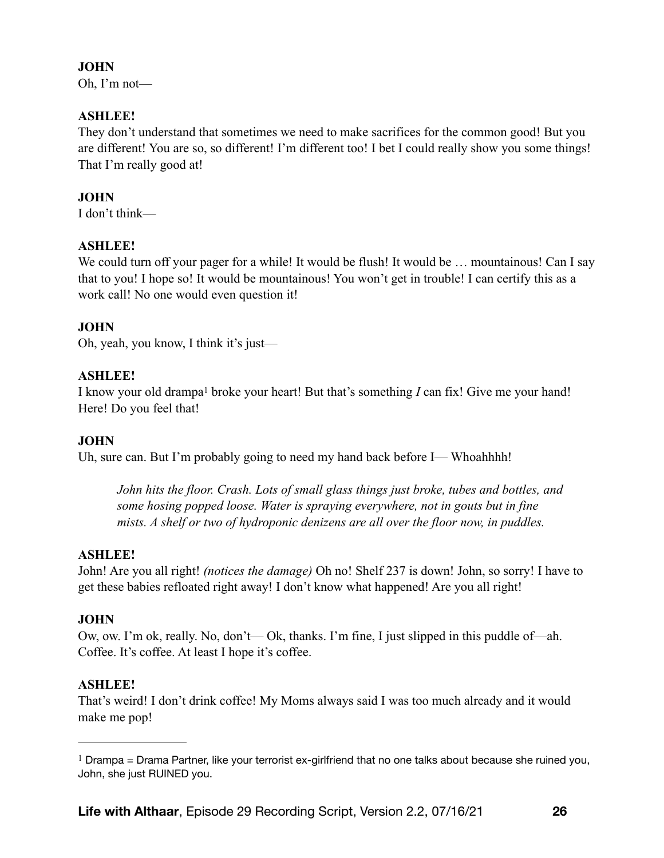# **JOHN**

Oh, I'm not—

# **ASHLEE!**

They don't understand that sometimes we need to make sacrifices for the common good! But you are different! You are so, so different! I'm different too! I bet I could really show you some things! That I'm really good at!

# **JOHN**

I don't think—

# **ASHLEE!**

We could turn off your pager for a while! It would be flush! It would be ... mountainous! Can I say that to you! I hope so! It would be mountainous! You won't get in trouble! I can certify this as a work call! No one would even question it!

# **JOHN**

Oh, yeah, you know, I think it's just—

# **ASHLEE!**

<span id="page-25-1"></span>Iknow your old drampa<sup>1</sup> broke your heart! But that's something *I* can fix! Give me your hand! Here! Do you feel that!

# **JOHN**

Uh, sure can. But I'm probably going to need my hand back before I— Whoahhhh!

*John hits the floor. Crash. Lots of small glass things just broke, tubes and bottles, and some hosing popped loose. Water is spraying everywhere, not in gouts but in fine mists. A shelf or two of hydroponic denizens are all over the floor now, in puddles.* 

# **ASHLEE!**

John! Are you all right! *(notices the damage)* Oh no! Shelf 237 is down! John, so sorry! I have to get these babies refloated right away! I don't know what happened! Are you all right!

# **JOHN**

Ow, ow. I'm ok, really. No, don't— Ok, thanks. I'm fine, I just slipped in this puddle of—ah. Coffee. It's coffee. At least I hope it's coffee.

# **ASHLEE!**

That's weird! I don't drink coffee! My Moms always said I was too much already and it would make me pop!

<span id="page-25-0"></span> $1$  Drampa = Drama Partner, like your terrorist ex-girlfriend that no one talks about because she ruined you, John, she just RUINED you.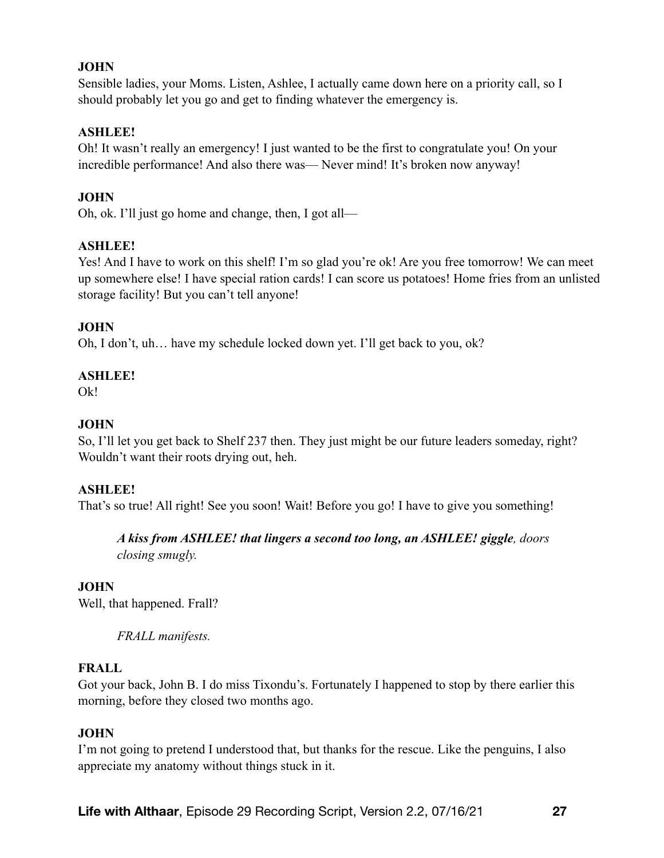# **JOHN**

Sensible ladies, your Moms. Listen, Ashlee, I actually came down here on a priority call, so I should probably let you go and get to finding whatever the emergency is.

# **ASHLEE!**

Oh! It wasn't really an emergency! I just wanted to be the first to congratulate you! On your incredible performance! And also there was— Never mind! It's broken now anyway!

# **JOHN**

Oh, ok. I'll just go home and change, then, I got all—

# **ASHLEE!**

Yes! And I have to work on this shelf! I'm so glad you're ok! Are you free tomorrow! We can meet up somewhere else! I have special ration cards! I can score us potatoes! Home fries from an unlisted storage facility! But you can't tell anyone!

# **JOHN**

Oh, I don't, uh… have my schedule locked down yet. I'll get back to you, ok?

# **ASHLEE!**

 $Qk!$ 

# **JOHN**

So, I'll let you get back to Shelf 237 then. They just might be our future leaders someday, right? Wouldn't want their roots drying out, heh.

## **ASHLEE!**

That's so true! All right! See you soon! Wait! Before you go! I have to give you something!

#### *A kiss from ASHLEE! that lingers a second too long, an ASHLEE! giggle, doors closing smugly.*

## **JOHN**

Well, that happened. Frall?

*FRALL manifests.* 

## **FRALL**

Got your back, John B. I do miss Tixondu's. Fortunately I happened to stop by there earlier this morning, before they closed two months ago.

## **JOHN**

I'm not going to pretend I understood that, but thanks for the rescue. Like the penguins, I also appreciate my anatomy without things stuck in it.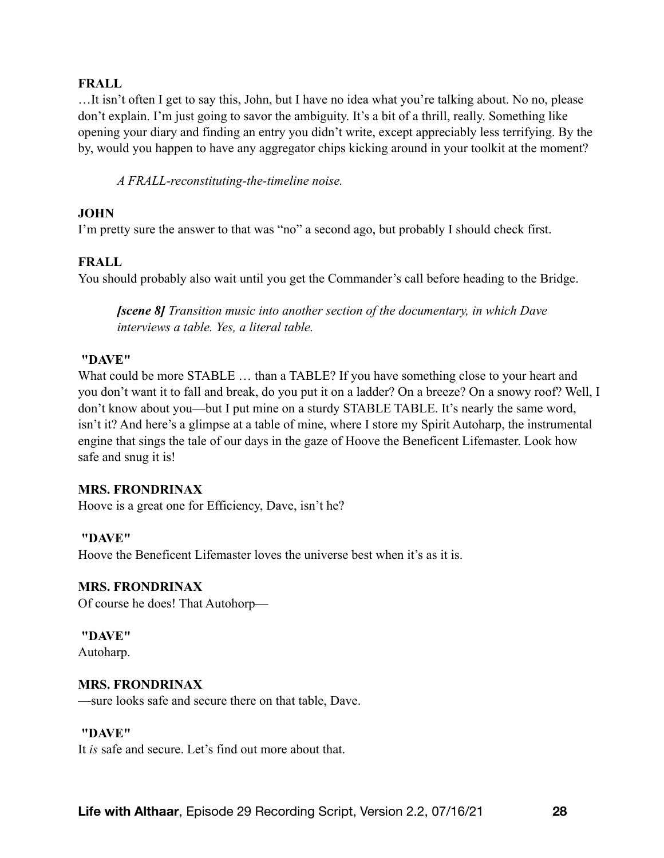#### **FRALL**

…It isn't often I get to say this, John, but I have no idea what you're talking about. No no, please don't explain. I'm just going to savor the ambiguity. It's a bit of a thrill, really. Something like opening your diary and finding an entry you didn't write, except appreciably less terrifying. By the by, would you happen to have any aggregator chips kicking around in your toolkit at the moment?

*A FRALL-reconstituting-the-timeline noise.* 

#### **JOHN**

I'm pretty sure the answer to that was "no" a second ago, but probably I should check first.

## **FRALL**

You should probably also wait until you get the Commander's call before heading to the Bridge.

*[scene 8] Transition music into another section of the documentary, in which Dave interviews a table. Yes, a literal table.* 

#### **"DAVE"**

What could be more STABLE ... than a TABLE? If you have something close to your heart and you don't want it to fall and break, do you put it on a ladder? On a breeze? On a snowy roof? Well, I don't know about you—but I put mine on a sturdy STABLE TABLE. It's nearly the same word, isn't it? And here's a glimpse at a table of mine, where I store my Spirit Autoharp, the instrumental engine that sings the tale of our days in the gaze of Hoove the Beneficent Lifemaster. Look how safe and snug it is!

#### **MRS. FRONDRINAX**

Hoove is a great one for Efficiency, Dave, isn't he?

#### **"DAVE"**

Hoove the Beneficent Lifemaster loves the universe best when it's as it is.

#### **MRS. FRONDRINAX**

Of course he does! That Autohorp—

 **"DAVE"**

Autoharp.

#### **MRS. FRONDRINAX**

—sure looks safe and secure there on that table, Dave.

#### **"DAVE"**

It *is* safe and secure. Let's find out more about that.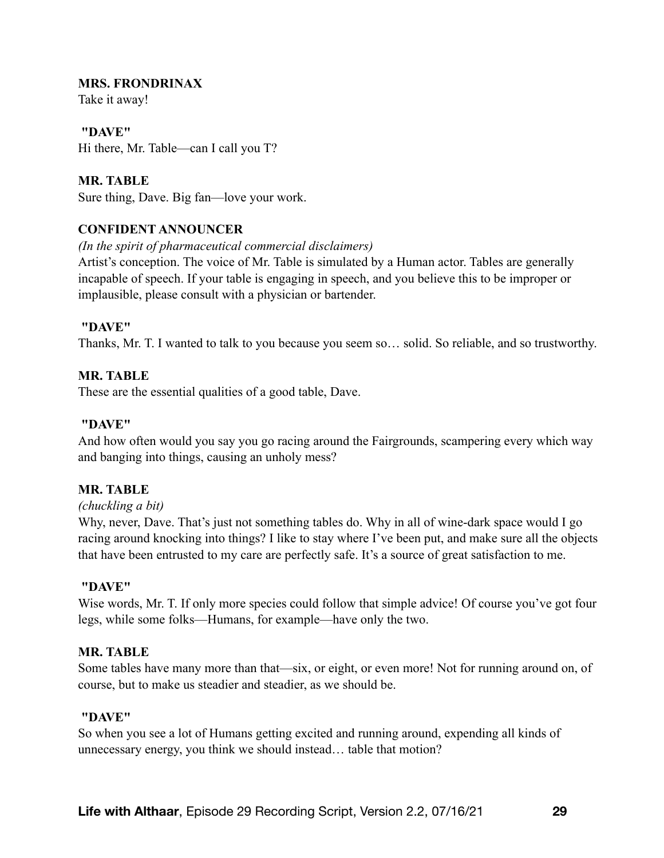#### **MRS. FRONDRINAX**

Take it away!

 **"DAVE"** Hi there, Mr. Table—can I call you T?

**MR. TABLE**  Sure thing, Dave. Big fan—love your work.

## **CONFIDENT ANNOUNCER**

#### *(In the spirit of pharmaceutical commercial disclaimers)*

Artist's conception. The voice of Mr. Table is simulated by a Human actor. Tables are generally incapable of speech. If your table is engaging in speech, and you believe this to be improper or implausible, please consult with a physician or bartender.

#### **"DAVE"**

Thanks, Mr. T. I wanted to talk to you because you seem so… solid. So reliable, and so trustworthy.

## **MR. TABLE**

These are the essential qualities of a good table, Dave.

#### **"DAVE"**

And how often would you say you go racing around the Fairgrounds, scampering every which way and banging into things, causing an unholy mess?

#### **MR. TABLE**

#### *(chuckling a bit)*

Why, never, Dave. That's just not something tables do. Why in all of wine-dark space would I go racing around knocking into things? I like to stay where I've been put, and make sure all the objects that have been entrusted to my care are perfectly safe. It's a source of great satisfaction to me.

#### **"DAVE"**

Wise words, Mr. T. If only more species could follow that simple advice! Of course you've got four legs, while some folks—Humans, for example—have only the two.

#### **MR. TABLE**

Some tables have many more than that—six, or eight, or even more! Not for running around on, of course, but to make us steadier and steadier, as we should be.

#### **"DAVE"**

So when you see a lot of Humans getting excited and running around, expending all kinds of unnecessary energy, you think we should instead… table that motion?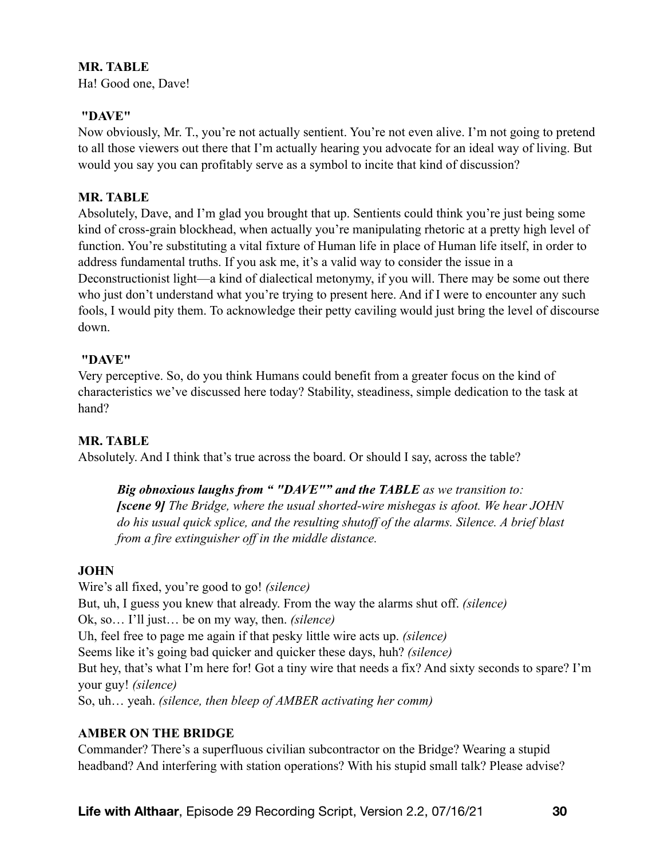# **MR. TABLE**

Ha! Good one, Dave!

#### **"DAVE"**

Now obviously, Mr. T., you're not actually sentient. You're not even alive. I'm not going to pretend to all those viewers out there that I'm actually hearing you advocate for an ideal way of living. But would you say you can profitably serve as a symbol to incite that kind of discussion?

#### **MR. TABLE**

Absolutely, Dave, and I'm glad you brought that up. Sentients could think you're just being some kind of cross-grain blockhead, when actually you're manipulating rhetoric at a pretty high level of function. You're substituting a vital fixture of Human life in place of Human life itself, in order to address fundamental truths. If you ask me, it's a valid way to consider the issue in a Deconstructionist light—a kind of dialectical metonymy, if you will. There may be some out there who just don't understand what you're trying to present here. And if I were to encounter any such fools, I would pity them. To acknowledge their petty caviling would just bring the level of discourse down.

#### **"DAVE"**

Very perceptive. So, do you think Humans could benefit from a greater focus on the kind of characteristics we've discussed here today? Stability, steadiness, simple dedication to the task at hand?

## **MR. TABLE**

Absolutely. And I think that's true across the board. Or should I say, across the table?

# *Big obnoxious laughs from " "DAVE"" and the TABLE as we transition to: [scene 9] The Bridge, where the usual shorted-wire mishegas is afoot. We hear JOHN do his usual quick splice, and the resulting shutoff of the alarms. Silence. A brief blast from a fire extinguisher off in the middle distance.*

## **JOHN**

Wire's all fixed, you're good to go! *(silence)* But, uh, I guess you knew that already. From the way the alarms shut off. *(silence)* Ok, so… I'll just… be on my way, then. *(silence)* Uh, feel free to page me again if that pesky little wire acts up. *(silence)*  Seems like it's going bad quicker and quicker these days, huh? *(silence)* But hey, that's what I'm here for! Got a tiny wire that needs a fix? And sixty seconds to spare? I'm your guy! *(silence)* So, uh… yeah. *(silence, then bleep of AMBER activating her comm)*

## **AMBER ON THE BRIDGE**

Commander? There's a superfluous civilian subcontractor on the Bridge? Wearing a stupid headband? And interfering with station operations? With his stupid small talk? Please advise?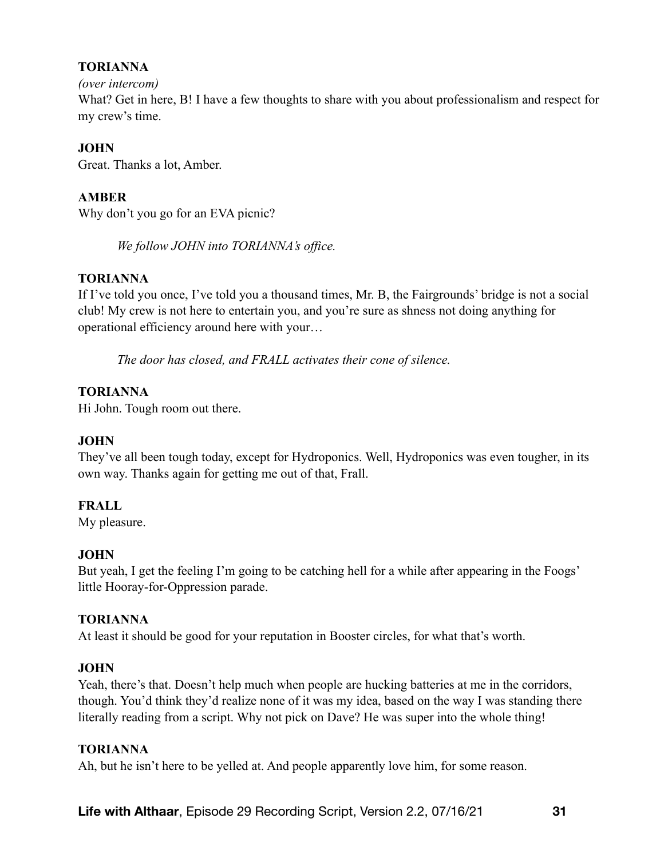# **TORIANNA**

#### *(over intercom)*

What? Get in here, B! I have a few thoughts to share with you about professionalism and respect for my crew's time.

# **JOHN**

Great. Thanks a lot, Amber.

# **AMBER**

Why don't you go for an EVA picnic?

*We follow JOHN into TORIANNA's office.* 

# **TORIANNA**

If I've told you once, I've told you a thousand times, Mr. B, the Fairgrounds' bridge is not a social club! My crew is not here to entertain you, and you're sure as shness not doing anything for operational efficiency around here with your…

*The door has closed, and FRALL activates their cone of silence.* 

# **TORIANNA**

Hi John. Tough room out there.

# **JOHN**

They've all been tough today, except for Hydroponics. Well, Hydroponics was even tougher, in its own way. Thanks again for getting me out of that, Frall.

# **FRALL**

My pleasure.

# **JOHN**

But yeah, I get the feeling I'm going to be catching hell for a while after appearing in the Foogs' little Hooray-for-Oppression parade.

# **TORIANNA**

At least it should be good for your reputation in Booster circles, for what that's worth.

# **JOHN**

Yeah, there's that. Doesn't help much when people are hucking batteries at me in the corridors, though. You'd think they'd realize none of it was my idea, based on the way I was standing there literally reading from a script. Why not pick on Dave? He was super into the whole thing!

## **TORIANNA**

Ah, but he isn't here to be yelled at. And people apparently love him, for some reason.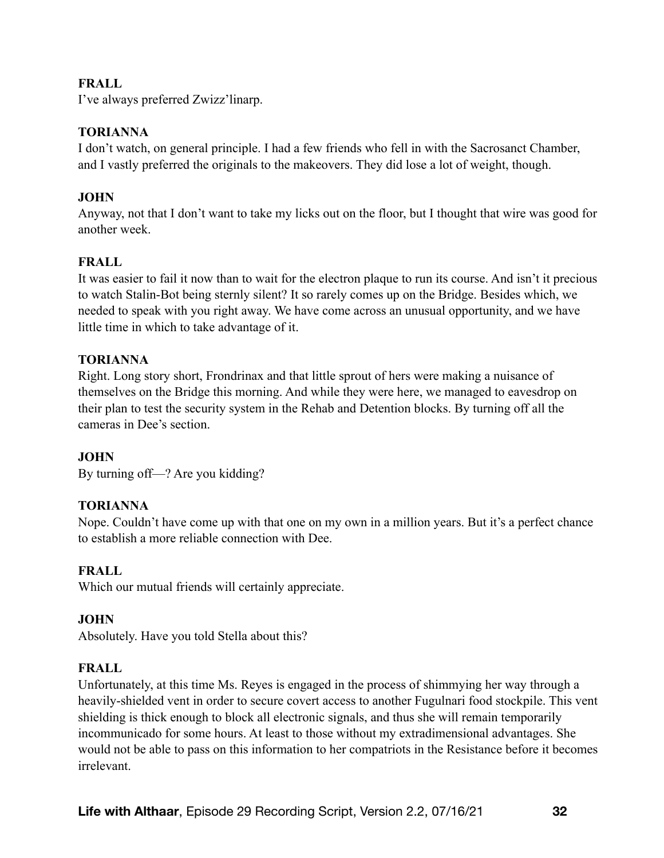# **FRALL**

I've always preferred Zwizz'linarp.

## **TORIANNA**

I don't watch, on general principle. I had a few friends who fell in with the Sacrosanct Chamber, and I vastly preferred the originals to the makeovers. They did lose a lot of weight, though.

# **JOHN**

Anyway, not that I don't want to take my licks out on the floor, but I thought that wire was good for another week.

# **FRALL**

It was easier to fail it now than to wait for the electron plaque to run its course. And isn't it precious to watch Stalin-Bot being sternly silent? It so rarely comes up on the Bridge. Besides which, we needed to speak with you right away. We have come across an unusual opportunity, and we have little time in which to take advantage of it.

# **TORIANNA**

Right. Long story short, Frondrinax and that little sprout of hers were making a nuisance of themselves on the Bridge this morning. And while they were here, we managed to eavesdrop on their plan to test the security system in the Rehab and Detention blocks. By turning off all the cameras in Dee's section.

# **JOHN**

By turning off—? Are you kidding?

# **TORIANNA**

Nope. Couldn't have come up with that one on my own in a million years. But it's a perfect chance to establish a more reliable connection with Dee.

# **FRALL**

Which our mutual friends will certainly appreciate.

## **JOHN**

Absolutely. Have you told Stella about this?

## **FRALL**

Unfortunately, at this time Ms. Reyes is engaged in the process of shimmying her way through a heavily-shielded vent in order to secure covert access to another Fugulnari food stockpile. This vent shielding is thick enough to block all electronic signals, and thus she will remain temporarily incommunicado for some hours. At least to those without my extradimensional advantages. She would not be able to pass on this information to her compatriots in the Resistance before it becomes irrelevant.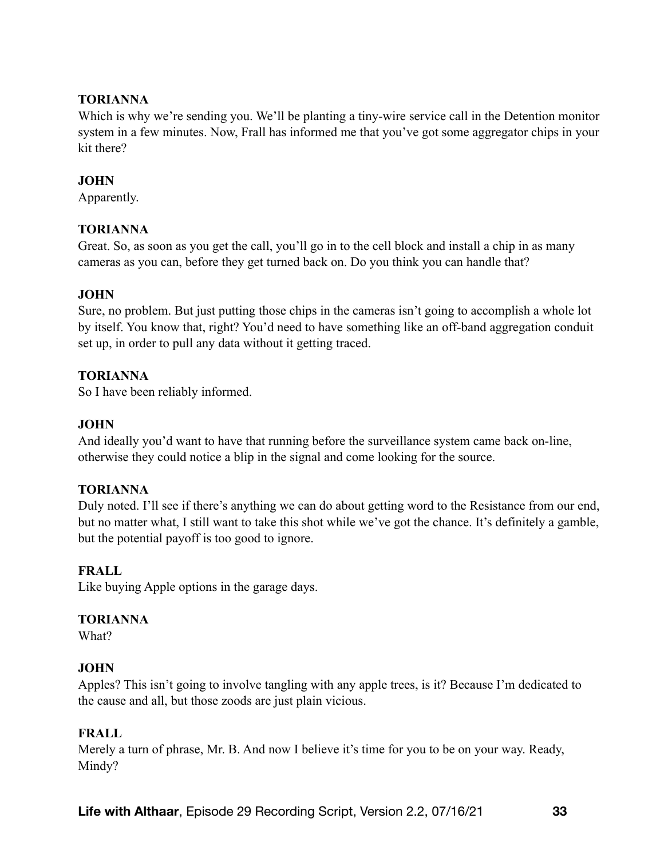# **TORIANNA**

Which is why we're sending you. We'll be planting a tiny-wire service call in the Detention monitor system in a few minutes. Now, Frall has informed me that you've got some aggregator chips in your kit there?

# **JOHN**

Apparently.

# **TORIANNA**

Great. So, as soon as you get the call, you'll go in to the cell block and install a chip in as many cameras as you can, before they get turned back on. Do you think you can handle that?

# **JOHN**

Sure, no problem. But just putting those chips in the cameras isn't going to accomplish a whole lot by itself. You know that, right? You'd need to have something like an off-band aggregation conduit set up, in order to pull any data without it getting traced.

# **TORIANNA**

So I have been reliably informed.

# **JOHN**

And ideally you'd want to have that running before the surveillance system came back on-line, otherwise they could notice a blip in the signal and come looking for the source.

## **TORIANNA**

Duly noted. I'll see if there's anything we can do about getting word to the Resistance from our end, but no matter what, I still want to take this shot while we've got the chance. It's definitely a gamble, but the potential payoff is too good to ignore.

# **FRALL**

Like buying Apple options in the garage days.

## **TORIANNA**

What?

# **JOHN**

Apples? This isn't going to involve tangling with any apple trees, is it? Because I'm dedicated to the cause and all, but those zoods are just plain vicious.

# **FRALL**

Merely a turn of phrase, Mr. B. And now I believe it's time for you to be on your way. Ready, Mindy?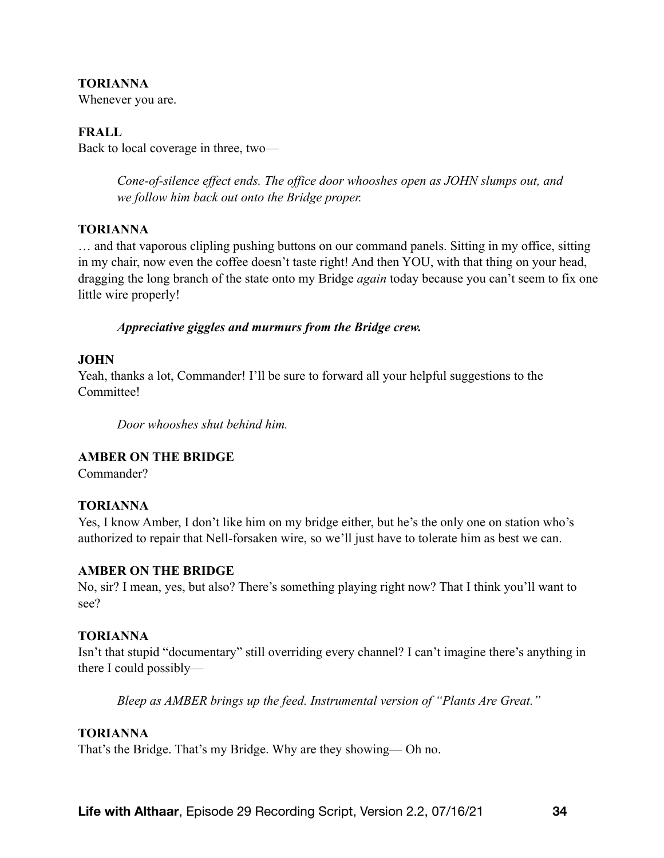## **TORIANNA**

Whenever you are.

## **FRALL**

Back to local coverage in three, two—

*Cone-of-silence effect ends. The office door whooshes open as JOHN slumps out, and we follow him back out onto the Bridge proper.* 

#### **TORIANNA**

… and that vaporous clipling pushing buttons on our command panels. Sitting in my office, sitting in my chair, now even the coffee doesn't taste right! And then YOU, with that thing on your head, dragging the long branch of the state onto my Bridge *again* today because you can't seem to fix one little wire properly!

#### *Appreciative giggles and murmurs from the Bridge crew.*

#### **JOHN**

Yeah, thanks a lot, Commander! I'll be sure to forward all your helpful suggestions to the Committee!

*Door whooshes shut behind him.* 

## **AMBER ON THE BRIDGE**

Commander?

## **TORIANNA**

Yes, I know Amber, I don't like him on my bridge either, but he's the only one on station who's authorized to repair that Nell-forsaken wire, so we'll just have to tolerate him as best we can.

#### **AMBER ON THE BRIDGE**

No, sir? I mean, yes, but also? There's something playing right now? That I think you'll want to see?

#### **TORIANNA**

Isn't that stupid "documentary" still overriding every channel? I can't imagine there's anything in there I could possibly—

*Bleep as AMBER brings up the feed. Instrumental version of "Plants Are Great."* 

## **TORIANNA**

That's the Bridge. That's my Bridge. Why are they showing— Oh no.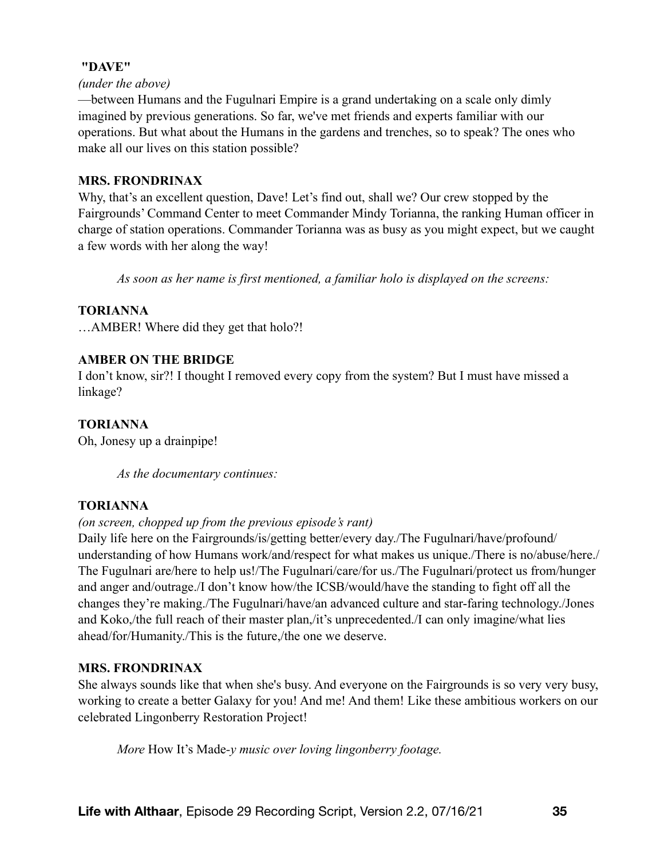## **"DAVE"**

#### *(under the above)*

—between Humans and the Fugulnari Empire is a grand undertaking on a scale only dimly imagined by previous generations. So far, we've met friends and experts familiar with our operations. But what about the Humans in the gardens and trenches, so to speak? The ones who make all our lives on this station possible?

#### **MRS. FRONDRINAX**

Why, that's an excellent question, Dave! Let's find out, shall we? Our crew stopped by the Fairgrounds' Command Center to meet Commander Mindy Torianna, the ranking Human officer in charge of station operations. Commander Torianna was as busy as you might expect, but we caught a few words with her along the way!

*As soon as her name is first mentioned, a familiar holo is displayed on the screens:* 

## **TORIANNA**

…AMBER! Where did they get that holo?!

## **AMBER ON THE BRIDGE**

I don't know, sir?! I thought I removed every copy from the system? But I must have missed a linkage?

# **TORIANNA**

Oh, Jonesy up a drainpipe!

*As the documentary continues:*

## **TORIANNA**

## *(on screen, chopped up from the previous episode's rant)*

Daily life here on the Fairgrounds/is/getting better/every day./The Fugulnari/have/profound/ understanding of how Humans work/and/respect for what makes us unique./There is no/abuse/here./ The Fugulnari are/here to help us!/The Fugulnari/care/for us./The Fugulnari/protect us from/hunger and anger and/outrage./I don't know how/the ICSB/would/have the standing to fight off all the changes they're making./The Fugulnari/have/an advanced culture and star-faring technology./Jones and Koko,/the full reach of their master plan,/it's unprecedented./I can only imagine/what lies ahead/for/Humanity./This is the future,/the one we deserve.

## **MRS. FRONDRINAX**

She always sounds like that when she's busy. And everyone on the Fairgrounds is so very very busy, working to create a better Galaxy for you! And me! And them! Like these ambitious workers on our celebrated Lingonberry Restoration Project!

*More* How It's Made*-y music over loving lingonberry footage.*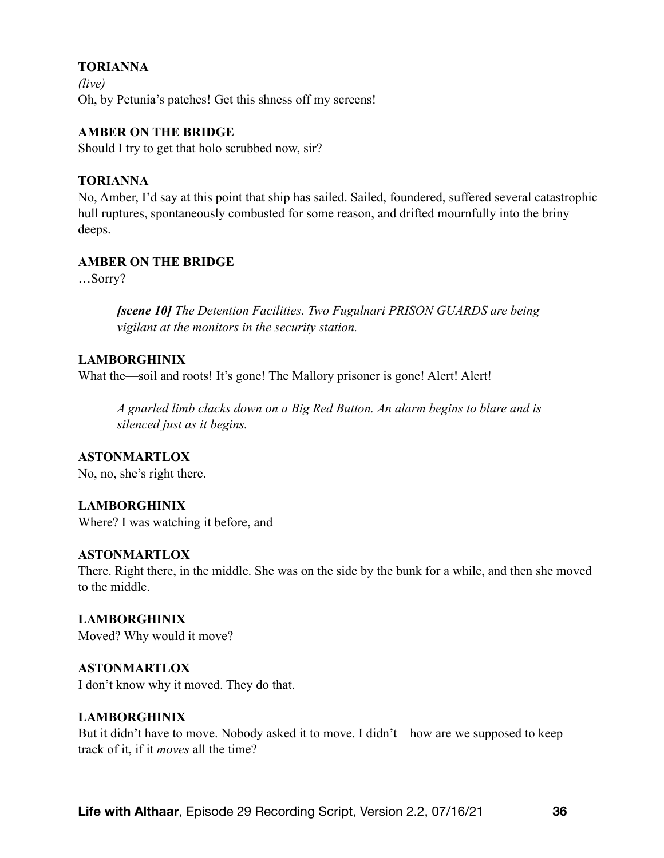## **TORIANNA**

*(live)*  Oh, by Petunia's patches! Get this shness off my screens!

#### **AMBER ON THE BRIDGE**

Should I try to get that holo scrubbed now, sir?

#### **TORIANNA**

No, Amber, I'd say at this point that ship has sailed. Sailed, foundered, suffered several catastrophic hull ruptures, spontaneously combusted for some reason, and drifted mournfully into the briny deeps.

## **AMBER ON THE BRIDGE**

…Sorry?

*[scene 10] The Detention Facilities. Two Fugulnari PRISON GUARDS are being vigilant at the monitors in the security station.* 

## **LAMBORGHINIX**

What the—soil and roots! It's gone! The Mallory prisoner is gone! Alert! Alert!

*A gnarled limb clacks down on a Big Red Button. An alarm begins to blare and is silenced just as it begins.* 

# **ASTONMARTLOX**

No, no, she's right there.

## **LAMBORGHINIX**

Where? I was watching it before, and—

## **ASTONMARTLOX**

There. Right there, in the middle. She was on the side by the bunk for a while, and then she moved to the middle.

**LAMBORGHINIX** Moved? Why would it move?

**ASTONMARTLOX** I don't know why it moved. They do that.

## **LAMBORGHINIX**

But it didn't have to move. Nobody asked it to move. I didn't—how are we supposed to keep track of it, if it *moves* all the time?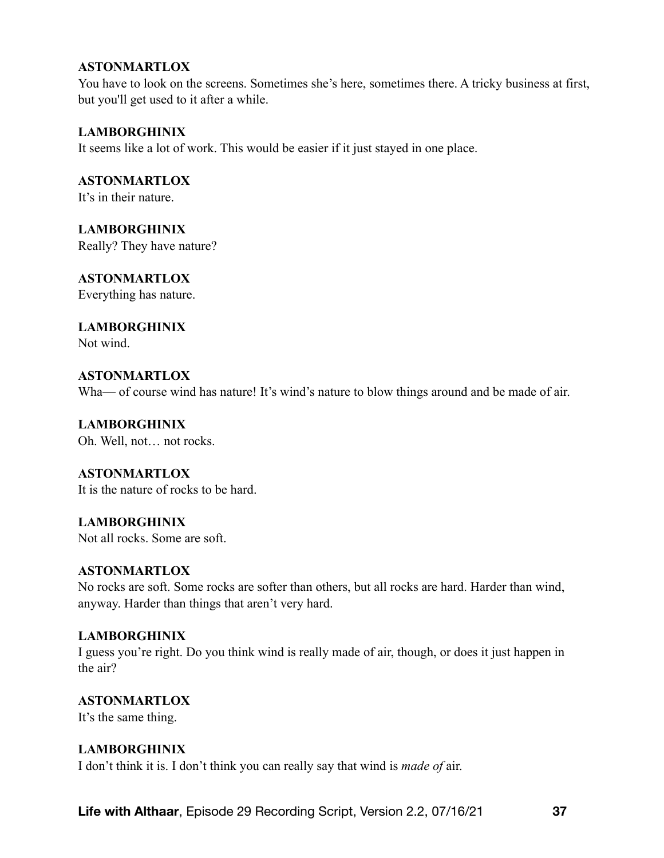You have to look on the screens. Sometimes she's here, sometimes there. A tricky business at first, but you'll get used to it after a while.

## **LAMBORGHINIX**

It seems like a lot of work. This would be easier if it just stayed in one place.

**ASTONMARTLOX** It's in their nature.

**LAMBORGHINIX** Really? They have nature?

# **ASTONMARTLOX**

Everything has nature.

# **LAMBORGHINIX**

Not wind.

# **ASTONMARTLOX**

Wha— of course wind has nature! It's wind's nature to blow things around and be made of air.

**LAMBORGHINIX** Oh. Well, not… not rocks.

**ASTONMARTLOX** It is the nature of rocks to be hard.

**LAMBORGHINIX** Not all rocks. Some are soft.

## **ASTONMARTLOX**

No rocks are soft. Some rocks are softer than others, but all rocks are hard. Harder than wind, anyway. Harder than things that aren't very hard.

## **LAMBORGHINIX**

I guess you're right. Do you think wind is really made of air, though, or does it just happen in the air?

**ASTONMARTLOX**

It's the same thing.

## **LAMBORGHINIX**

I don't think it is. I don't think you can really say that wind is *made of* air.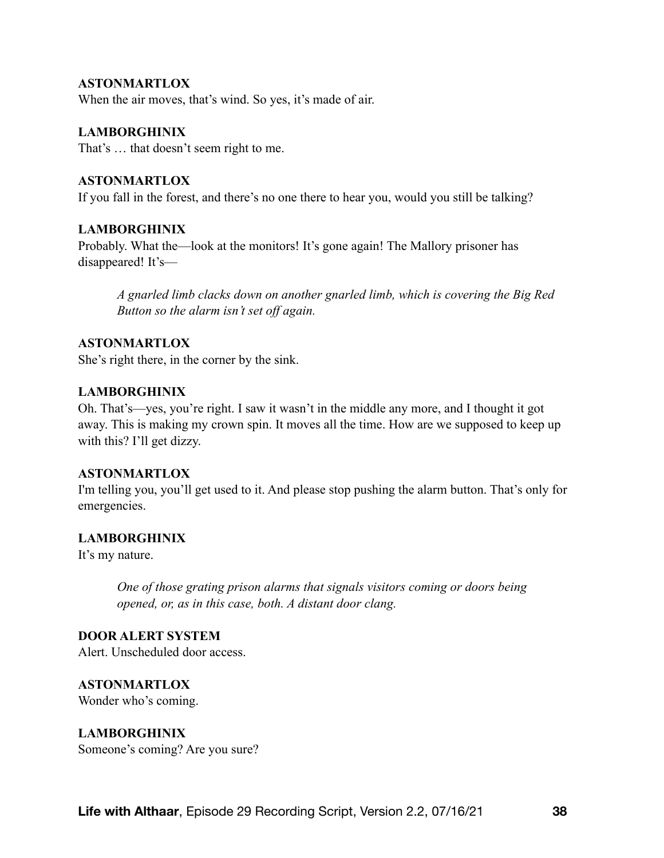When the air moves, that's wind. So yes, it's made of air.

#### **LAMBORGHINIX**

That's … that doesn't seem right to me.

#### **ASTONMARTLOX**

If you fall in the forest, and there's no one there to hear you, would you still be talking?

#### **LAMBORGHINIX**

Probably. What the—look at the monitors! It's gone again! The Mallory prisoner has disappeared! It's—

*A gnarled limb clacks down on another gnarled limb, which is covering the Big Red Button so the alarm isn't set off again.* 

#### **ASTONMARTLOX**

She's right there, in the corner by the sink.

#### **LAMBORGHINIX**

Oh. That's—yes, you're right. I saw it wasn't in the middle any more, and I thought it got away. This is making my crown spin. It moves all the time. How are we supposed to keep up with this? I'll get dizzy.

#### **ASTONMARTLOX**

I'm telling you, you'll get used to it. And please stop pushing the alarm button. That's only for emergencies.

#### **LAMBORGHINIX**

It's my nature.

*One of those grating prison alarms that signals visitors coming or doors being opened, or, as in this case, both. A distant door clang.* 

#### **DOOR ALERT SYSTEM**

Alert. Unscheduled door access.

**ASTONMARTLOX** Wonder who's coming.

#### **LAMBORGHINIX**

Someone's coming? Are you sure?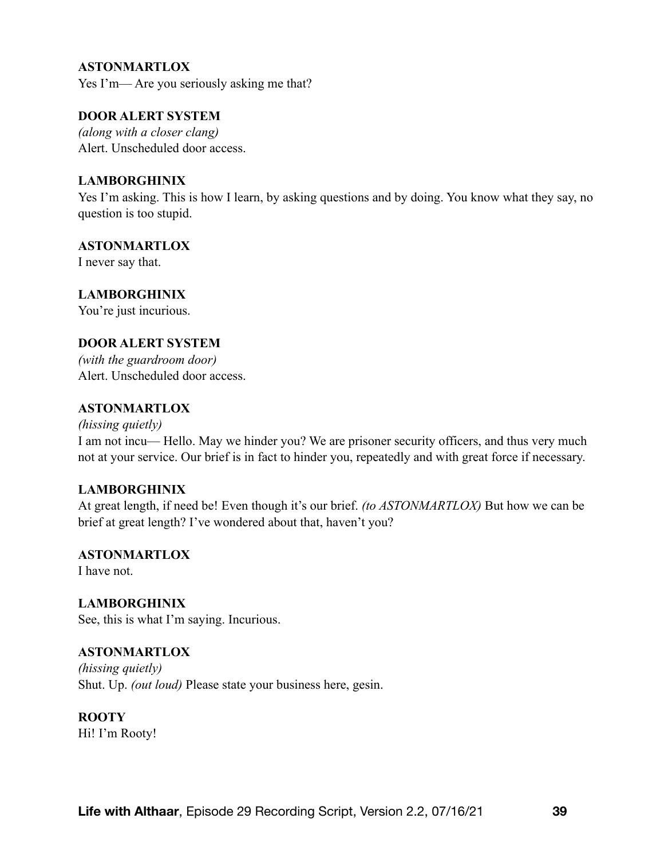Yes I'm— Are you seriously asking me that?

#### **DOOR ALERT SYSTEM**

*(along with a closer clang)*  Alert. Unscheduled door access.

#### **LAMBORGHINIX**

Yes I'm asking. This is how I learn, by asking questions and by doing. You know what they say, no question is too stupid.

## **ASTONMARTLOX**

I never say that.

## **LAMBORGHINIX**

You're just incurious.

#### **DOOR ALERT SYSTEM**

*(with the guardroom door)*  Alert. Unscheduled door access.

## **ASTONMARTLOX**

*(hissing quietly)*  I am not incu— Hello. May we hinder you? We are prisoner security officers, and thus very much not at your service. Our brief is in fact to hinder you, repeatedly and with great force if necessary.

## **LAMBORGHINIX**

At great length, if need be! Even though it's our brief. *(to ASTONMARTLOX)* But how we can be brief at great length? I've wondered about that, haven't you?

#### **ASTONMARTLOX** I have not.

**LAMBORGHINIX** See, this is what I'm saying. Incurious.

## **ASTONMARTLOX**

*(hissing quietly)*  Shut. Up. *(out loud)* Please state your business here, gesin.

**ROOTY** Hi! I'm Rooty!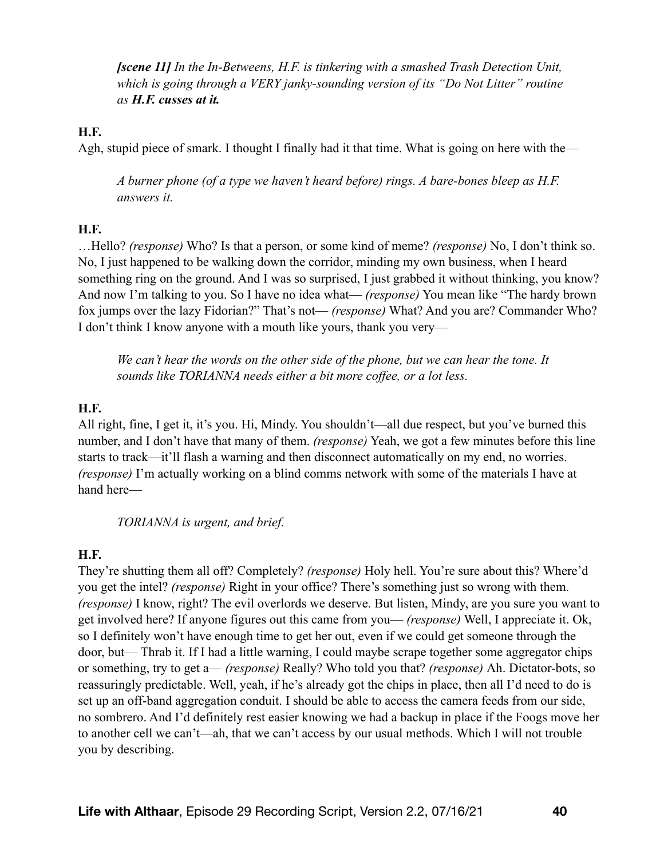*[scene 11] In the In-Betweens, H.F. is tinkering with a smashed Trash Detection Unit, which is going through a VERY janky-sounding version of its "Do Not Litter" routine as H.F. cusses at it.*

## **H.F.**

Agh, stupid piece of smark. I thought I finally had it that time. What is going on here with the—

*A burner phone (of a type we haven't heard before) rings. A bare-bones bleep as H.F. answers it.* 

## **H.F.**

…Hello? *(response)* Who? Is that a person, or some kind of meme? *(response)* No, I don't think so. No, I just happened to be walking down the corridor, minding my own business, when I heard something ring on the ground. And I was so surprised, I just grabbed it without thinking, you know? And now I'm talking to you. So I have no idea what— *(response)* You mean like "The hardy brown fox jumps over the lazy Fidorian?" That's not— *(response)* What? And you are? Commander Who? I don't think I know anyone with a mouth like yours, thank you very—

*We can't hear the words on the other side of the phone, but we can hear the tone. It sounds like TORIANNA needs either a bit more coffee, or a lot less.* 

#### **H.F.**

All right, fine, I get it, it's you. Hi, Mindy. You shouldn't—all due respect, but you've burned this number, and I don't have that many of them. *(response)* Yeah, we got a few minutes before this line starts to track—it'll flash a warning and then disconnect automatically on my end, no worries. *(response)* I'm actually working on a blind comms network with some of the materials I have at hand here—

*TORIANNA is urgent, and brief.* 

## **H.F.**

They're shutting them all off? Completely? *(response)* Holy hell. You're sure about this? Where'd you get the intel? *(response)* Right in your office? There's something just so wrong with them. *(response)* I know, right? The evil overlords we deserve. But listen, Mindy, are you sure you want to get involved here? If anyone figures out this came from you— *(response)* Well, I appreciate it. Ok, so I definitely won't have enough time to get her out, even if we could get someone through the door, but— Thrab it. If I had a little warning, I could maybe scrape together some aggregator chips or something, try to get a— *(response)* Really? Who told you that? *(response)* Ah. Dictator-bots, so reassuringly predictable. Well, yeah, if he's already got the chips in place, then all I'd need to do is set up an off-band aggregation conduit. I should be able to access the camera feeds from our side, no sombrero. And I'd definitely rest easier knowing we had a backup in place if the Foogs move her to another cell we can't—ah, that we can't access by our usual methods. Which I will not trouble you by describing.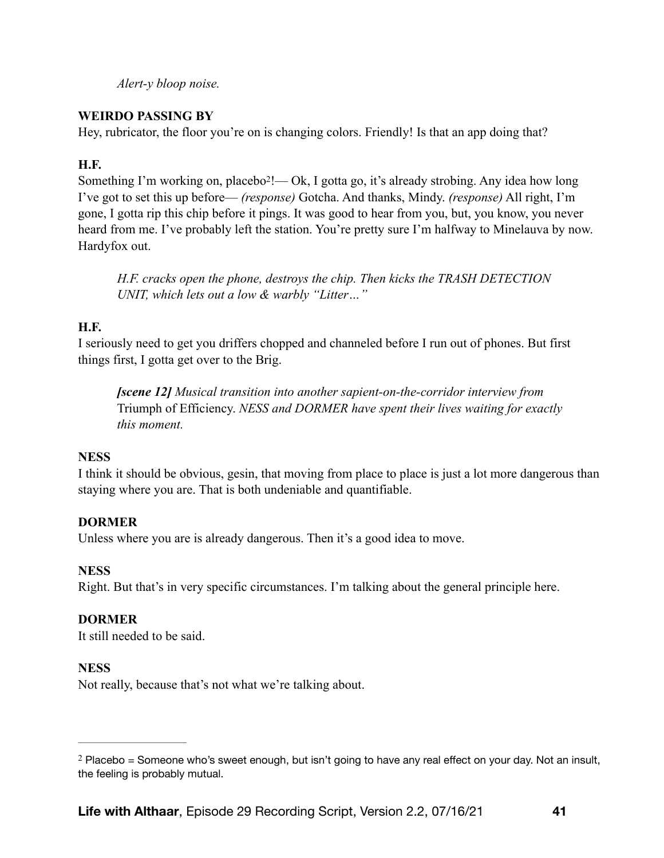<span id="page-40-1"></span>*Alert-y bloop noise.* 

# **WEIRDO PASSING BY**

Hey, rubricator, the floor you're on is changing colors. Friendly! Is that an app doing that?

# **H.F.**

Something I'm working on, placebo $2!$  $2!$ — Ok, I gotta go, it's already strobing. Any idea how long I've got to set this up before— *(response)* Gotcha. And thanks, Mindy. *(response)* All right, I'm gone, I gotta rip this chip before it pings. It was good to hear from you, but, you know, you never heard from me. I've probably left the station. You're pretty sure I'm halfway to Minelauva by now. Hardyfox out.

*H.F. cracks open the phone, destroys the chip. Then kicks the TRASH DETECTION UNIT, which lets out a low & warbly "Litter…"* 

# **H.F.**

I seriously need to get you driffers chopped and channeled before I run out of phones. But first things first, I gotta get over to the Brig.

*[scene 12] Musical transition into another sapient-on-the-corridor interview from*  Triumph of Efficiency. *NESS and DORMER have spent their lives waiting for exactly this moment.* 

# **NESS**

I think it should be obvious, gesin, that moving from place to place is just a lot more dangerous than staying where you are. That is both undeniable and quantifiable.

# **DORMER**

Unless where you are is already dangerous. Then it's a good idea to move.

# **NESS**

Right. But that's in very specific circumstances. I'm talking about the general principle here.

# **DORMER**

It still needed to be said.

# **NESS**

Not really, because that's not what we're talking about.

<span id="page-40-0"></span> $2$  Placebo = Someone who's sweet enough, but isn't going to have any real effect on your day. Not an insult, the feeling is probably mutual.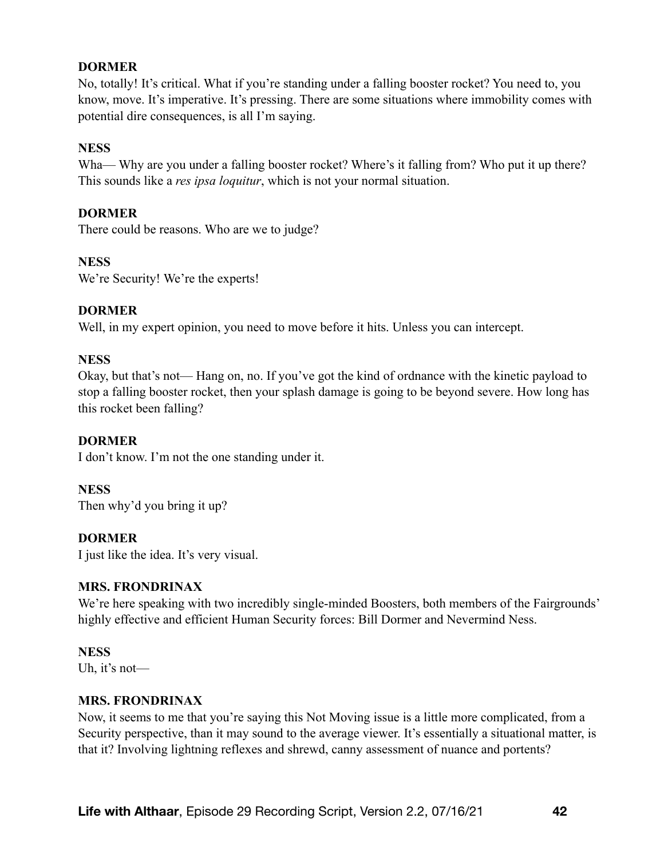## **DORMER**

No, totally! It's critical. What if you're standing under a falling booster rocket? You need to, you know, move. It's imperative. It's pressing. There are some situations where immobility comes with potential dire consequences, is all I'm saying.

#### **NESS**

Wha— Why are you under a falling booster rocket? Where's it falling from? Who put it up there? This sounds like a *res ipsa loquitur*, which is not your normal situation.

#### **DORMER**

There could be reasons. Who are we to judge?

#### **NESS**

We're Security! We're the experts!

#### **DORMER**

Well, in my expert opinion, you need to move before it hits. Unless you can intercept.

#### **NESS**

Okay, but that's not— Hang on, no. If you've got the kind of ordnance with the kinetic payload to stop a falling booster rocket, then your splash damage is going to be beyond severe. How long has this rocket been falling?

#### **DORMER**

I don't know. I'm not the one standing under it.

#### **NESS**

Then why'd you bring it up?

#### **DORMER**

I just like the idea. It's very visual.

#### **MRS. FRONDRINAX**

We're here speaking with two incredibly single-minded Boosters, both members of the Fairgrounds' highly effective and efficient Human Security forces: Bill Dormer and Nevermind Ness.

#### **NESS**

Uh, it's not—

#### **MRS. FRONDRINAX**

Now, it seems to me that you're saying this Not Moving issue is a little more complicated, from a Security perspective, than it may sound to the average viewer. It's essentially a situational matter, is that it? Involving lightning reflexes and shrewd, canny assessment of nuance and portents?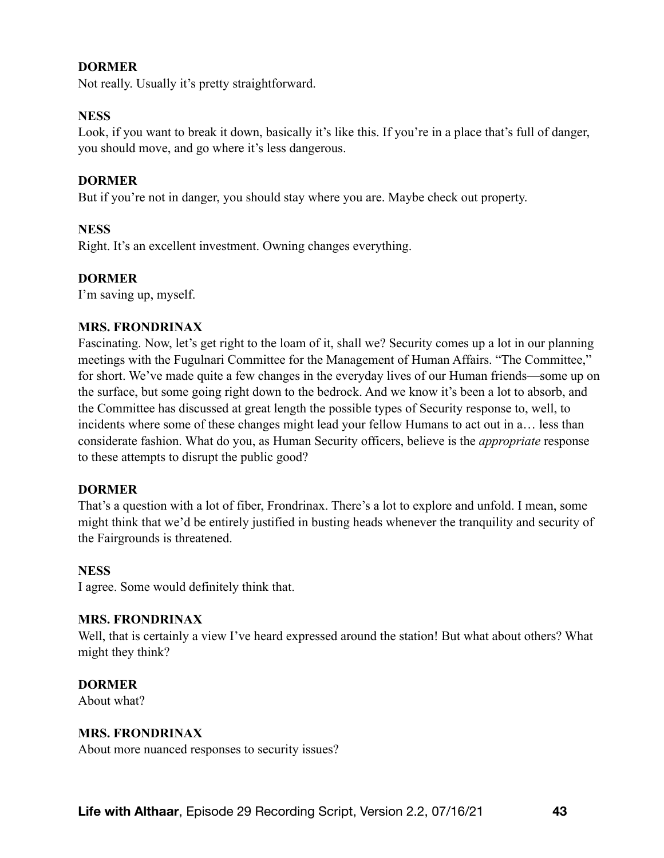## **DORMER**

Not really. Usually it's pretty straightforward.

#### **NESS**

Look, if you want to break it down, basically it's like this. If you're in a place that's full of danger, you should move, and go where it's less dangerous.

#### **DORMER**

But if you're not in danger, you should stay where you are. Maybe check out property.

#### **NESS**

Right. It's an excellent investment. Owning changes everything.

#### **DORMER**

I'm saving up, myself.

#### **MRS. FRONDRINAX**

Fascinating. Now, let's get right to the loam of it, shall we? Security comes up a lot in our planning meetings with the Fugulnari Committee for the Management of Human Affairs. "The Committee," for short. We've made quite a few changes in the everyday lives of our Human friends—some up on the surface, but some going right down to the bedrock. And we know it's been a lot to absorb, and the Committee has discussed at great length the possible types of Security response to, well, to incidents where some of these changes might lead your fellow Humans to act out in a… less than considerate fashion. What do you, as Human Security officers, believe is the *appropriate* response to these attempts to disrupt the public good?

#### **DORMER**

That's a question with a lot of fiber, Frondrinax. There's a lot to explore and unfold. I mean, some might think that we'd be entirely justified in busting heads whenever the tranquility and security of the Fairgrounds is threatened.

#### **NESS**

I agree. Some would definitely think that.

#### **MRS. FRONDRINAX**

Well, that is certainly a view I've heard expressed around the station! But what about others? What might they think?

#### **DORMER**

About what?

#### **MRS. FRONDRINAX**

About more nuanced responses to security issues?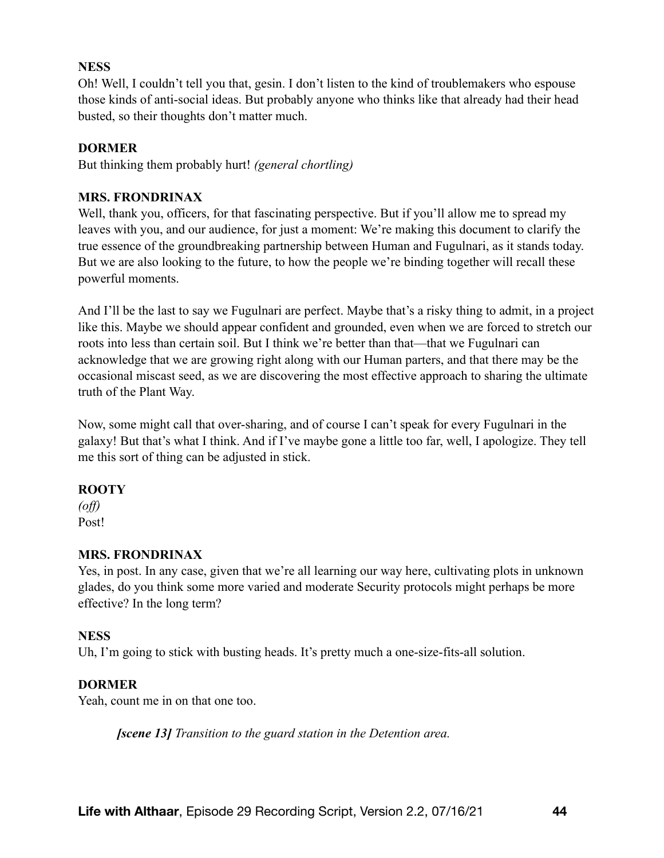# **NESS**

Oh! Well, I couldn't tell you that, gesin. I don't listen to the kind of troublemakers who espouse those kinds of anti-social ideas. But probably anyone who thinks like that already had their head busted, so their thoughts don't matter much.

# **DORMER**

But thinking them probably hurt! *(general chortling)* 

## **MRS. FRONDRINAX**

Well, thank you, officers, for that fascinating perspective. But if you'll allow me to spread my leaves with you, and our audience, for just a moment: We're making this document to clarify the true essence of the groundbreaking partnership between Human and Fugulnari, as it stands today. But we are also looking to the future, to how the people we're binding together will recall these powerful moments.

And I'll be the last to say we Fugulnari are perfect. Maybe that's a risky thing to admit, in a project like this. Maybe we should appear confident and grounded, even when we are forced to stretch our roots into less than certain soil. But I think we're better than that—that we Fugulnari can acknowledge that we are growing right along with our Human parters, and that there may be the occasional miscast seed, as we are discovering the most effective approach to sharing the ultimate truth of the Plant Way.

Now, some might call that over-sharing, and of course I can't speak for every Fugulnari in the galaxy! But that's what I think. And if I've maybe gone a little too far, well, I apologize. They tell me this sort of thing can be adjusted in stick.

## **ROOTY**

*(off)*  Post!

## **MRS. FRONDRINAX**

Yes, in post. In any case, given that we're all learning our way here, cultivating plots in unknown glades, do you think some more varied and moderate Security protocols might perhaps be more effective? In the long term?

## **NESS**

Uh, I'm going to stick with busting heads. It's pretty much a one-size-fits-all solution.

## **DORMER**

Yeah, count me in on that one too.

*[scene 13] Transition to the guard station in the Detention area.*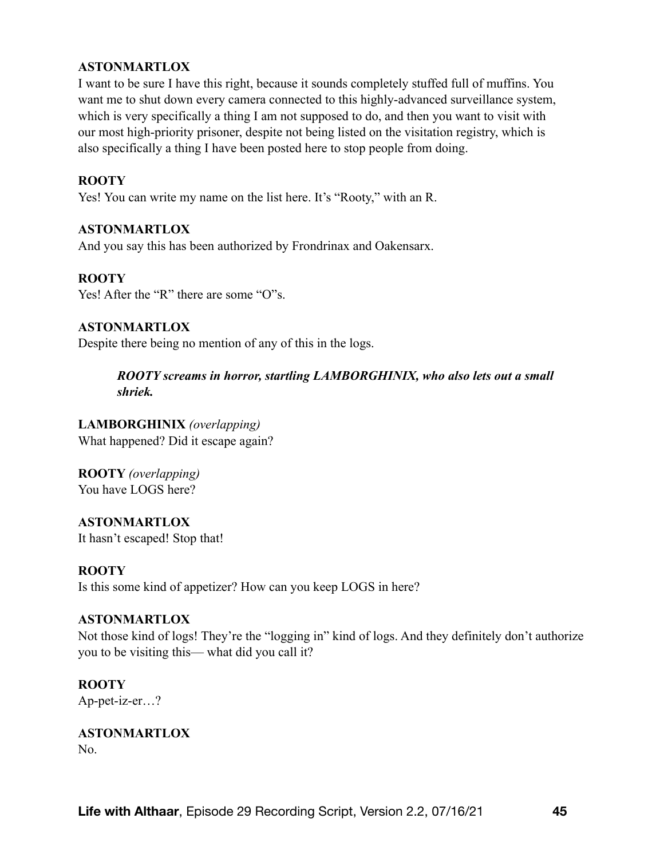I want to be sure I have this right, because it sounds completely stuffed full of muffins. You want me to shut down every camera connected to this highly-advanced surveillance system, which is very specifically a thing I am not supposed to do, and then you want to visit with our most high-priority prisoner, despite not being listed on the visitation registry, which is also specifically a thing I have been posted here to stop people from doing.

## **ROOTY**

Yes! You can write my name on the list here. It's "Rooty," with an R.

## **ASTONMARTLOX**

And you say this has been authorized by Frondrinax and Oakensarx.

## **ROOTY**

Yes! After the "R" there are some "O"s.

## **ASTONMARTLOX**

Despite there being no mention of any of this in the logs.

*ROOTY screams in horror, startling LAMBORGHINIX, who also lets out a small shriek.*

# **LAMBORGHINIX** *(overlapping)*

What happened? Did it escape again?

**ROOTY** *(overlapping)* You have LOGS here?

**ASTONMARTLOX** It hasn't escaped! Stop that!

## **ROOTY**

Is this some kind of appetizer? How can you keep LOGS in here?

## **ASTONMARTLOX**

Not those kind of logs! They're the "logging in" kind of logs. And they definitely don't authorize you to be visiting this— what did you call it?

## **ROOTY**

Ap-pet-iz-er…?

**ASTONMARTLOX**  No.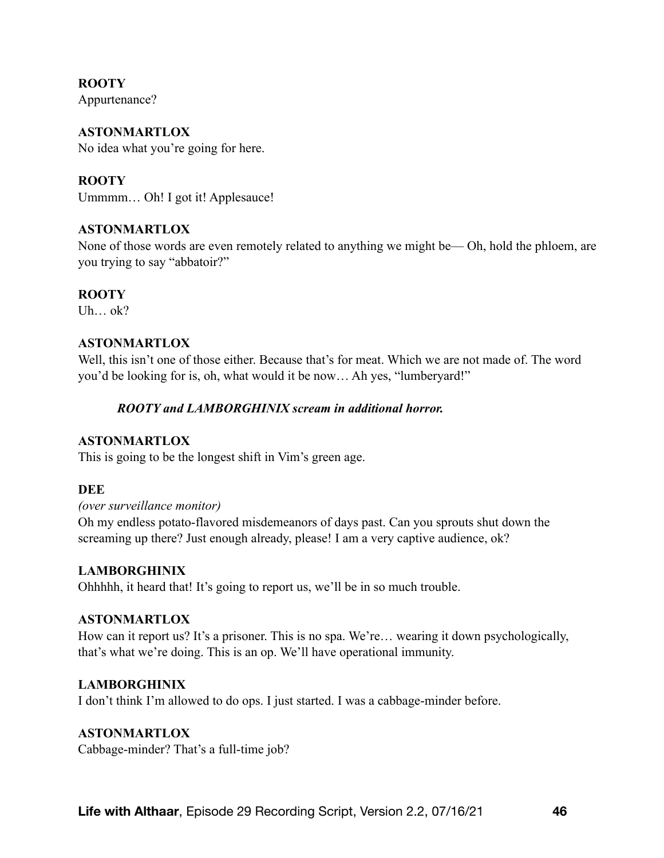**ROOTY**  Appurtenance?

**ASTONMARTLOX**  No idea what you're going for here.

**ROOTY**  Ummmm… Oh! I got it! Applesauce!

# **ASTONMARTLOX**

None of those words are even remotely related to anything we might be— Oh, hold the phloem, are you trying to say "abbatoir?"

# **ROOTY**

Uh… ok?

## **ASTONMARTLOX**

Well, this isn't one of those either. Because that's for meat. Which we are not made of. The word you'd be looking for is, oh, what would it be now… Ah yes, "lumberyard!"

## *ROOTY and LAMBORGHINIX scream in additional horror.*

## **ASTONMARTLOX**

This is going to be the longest shift in Vim's green age.

## **DEE**

*(over surveillance monitor)* 

Oh my endless potato-flavored misdemeanors of days past. Can you sprouts shut down the screaming up there? Just enough already, please! I am a very captive audience, ok?

## **LAMBORGHINIX**

Ohhhhh, it heard that! It's going to report us, we'll be in so much trouble.

#### **ASTONMARTLOX**

How can it report us? It's a prisoner. This is no spa. We're… wearing it down psychologically, that's what we're doing. This is an op. We'll have operational immunity.

## **LAMBORGHINIX**

I don't think I'm allowed to do ops. I just started. I was a cabbage-minder before.

## **ASTONMARTLOX**

Cabbage-minder? That's a full-time job?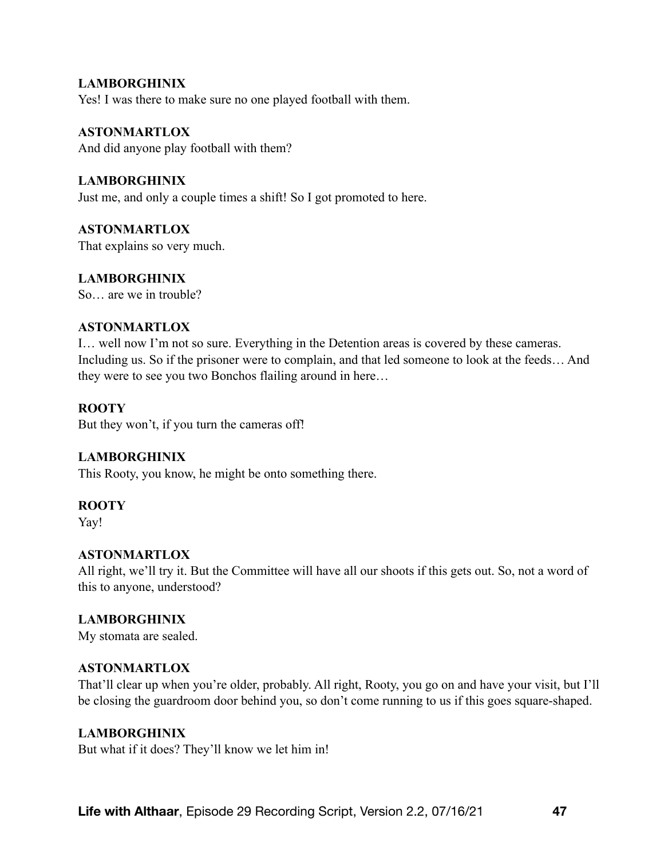# **LAMBORGHINIX** Yes! I was there to make sure no one played football with them.

**ASTONMARTLOX** And did anyone play football with them?

**LAMBORGHINIX** Just me, and only a couple times a shift! So I got promoted to here.

**ASTONMARTLOX** That explains so very much.

**LAMBORGHINIX**  So are we in trouble?

# **ASTONMARTLOX**

I… well now I'm not so sure. Everything in the Detention areas is covered by these cameras. Including us. So if the prisoner were to complain, and that led someone to look at the feeds… And they were to see you two Bonchos flailing around in here…

# **ROOTY**

But they won't, if you turn the cameras off!

# **LAMBORGHINIX**

This Rooty, you know, he might be onto something there.

## **ROOTY**

Yay!

## **ASTONMARTLOX**

All right, we'll try it. But the Committee will have all our shoots if this gets out. So, not a word of this to anyone, understood?

# **LAMBORGHINIX**

My stomata are sealed.

## **ASTONMARTLOX**

That'll clear up when you're older, probably. All right, Rooty, you go on and have your visit, but I'll be closing the guardroom door behind you, so don't come running to us if this goes square-shaped.

## **LAMBORGHINIX**

But what if it does? They'll know we let him in!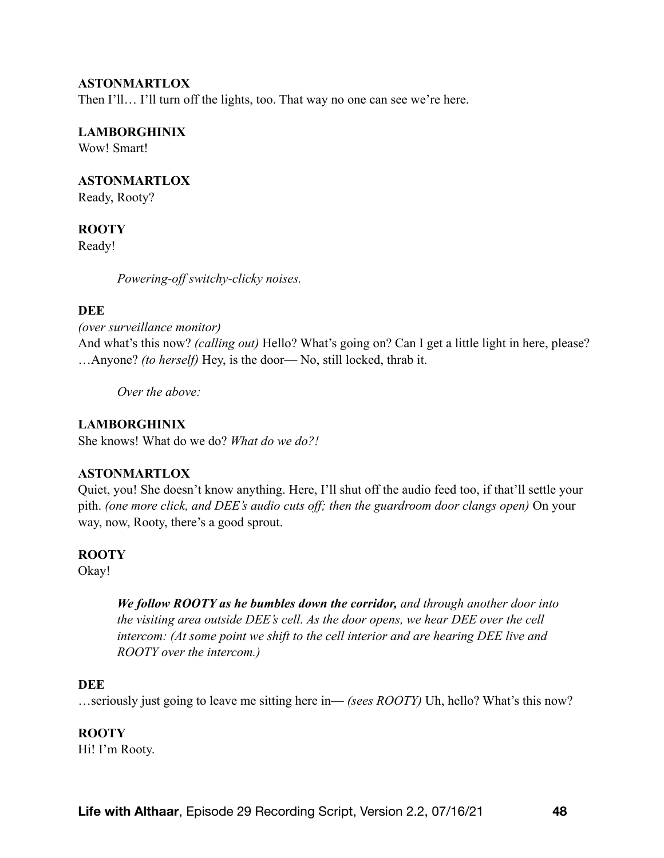Then I'll... I'll turn off the lights, too. That way no one can see we're here.

#### **LAMBORGHINIX**

Wow! Smart!

#### **ASTONMARTLOX**

Ready, Rooty?

#### **ROOTY**

Ready!

*Powering-off switchy-clicky noises.* 

#### **DEE**

*(over surveillance monitor)*

And what's this now? *(calling out)* Hello? What's going on? Can I get a little light in here, please? …Anyone? *(to herself)* Hey, is the door— No, still locked, thrab it.

*Over the above:*

#### **LAMBORGHINIX**

She knows! What do we do? *What do we do?!*

#### **ASTONMARTLOX**

Quiet, you! She doesn't know anything. Here, I'll shut off the audio feed too, if that'll settle your pith. *(one more click, and DEE's audio cuts off; then the guardroom door clangs open)* On your way, now, Rooty, there's a good sprout.

## **ROOTY**

Okay!

*We follow ROOTY as he bumbles down the corridor, and through another door into the visiting area outside DEE's cell. As the door opens, we hear DEE over the cell intercom: (At some point we shift to the cell interior and are hearing DEE live and ROOTY over the intercom.)* 

#### **DEE**

…seriously just going to leave me sitting here in— *(sees ROOTY)* Uh, hello? What's this now?

#### **ROOTY**

Hi! I'm Rooty.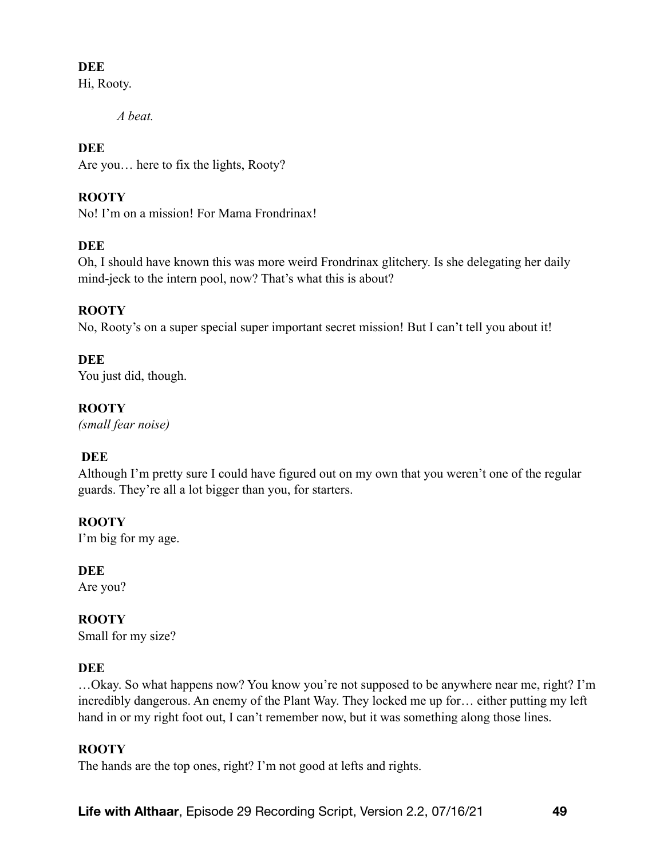# **DEE**

Hi, Rooty.

*A beat.* 

# **DEE**

Are you… here to fix the lights, Rooty?

# **ROOTY**

No! I'm on a mission! For Mama Frondrinax!

# **DEE**

Oh, I should have known this was more weird Frondrinax glitchery. Is she delegating her daily mind-jeck to the intern pool, now? That's what this is about?

# **ROOTY**

No, Rooty's on a super special super important secret mission! But I can't tell you about it!

# **DEE**

You just did, though.

# **ROOTY**

*(small fear noise)* 

# **DEE**

Although I'm pretty sure I could have figured out on my own that you weren't one of the regular guards. They're all a lot bigger than you, for starters.

# **ROOTY**

I'm big for my age.

# **DEE**

Are you?

# **ROOTY**

Small for my size?

# **DEE**

…Okay. So what happens now? You know you're not supposed to be anywhere near me, right? I'm incredibly dangerous. An enemy of the Plant Way. They locked me up for… either putting my left hand in or my right foot out, I can't remember now, but it was something along those lines.

# **ROOTY**

The hands are the top ones, right? I'm not good at lefts and rights.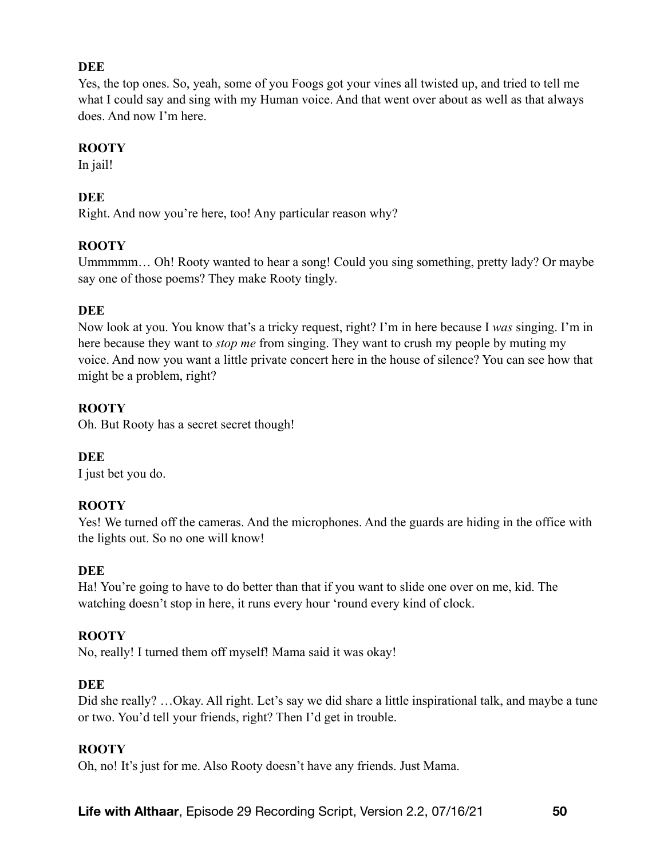# **DEE**

Yes, the top ones. So, yeah, some of you Foogs got your vines all twisted up, and tried to tell me what I could say and sing with my Human voice. And that went over about as well as that always does. And now I'm here.

# **ROOTY**

In jail!

# **DEE**

Right. And now you're here, too! Any particular reason why?

# **ROOTY**

Ummmmm… Oh! Rooty wanted to hear a song! Could you sing something, pretty lady? Or maybe say one of those poems? They make Rooty tingly.

# **DEE**

Now look at you. You know that's a tricky request, right? I'm in here because I *was* singing. I'm in here because they want to *stop me* from singing. They want to crush my people by muting my voice. And now you want a little private concert here in the house of silence? You can see how that might be a problem, right?

# **ROOTY**

Oh. But Rooty has a secret secret though!

# **DEE**

I just bet you do.

# **ROOTY**

Yes! We turned off the cameras. And the microphones. And the guards are hiding in the office with the lights out. So no one will know!

## **DEE**

Ha! You're going to have to do better than that if you want to slide one over on me, kid. The watching doesn't stop in here, it runs every hour 'round every kind of clock.

## **ROOTY**

No, really! I turned them off myself! Mama said it was okay!

## **DEE**

Did she really? …Okay. All right. Let's say we did share a little inspirational talk, and maybe a tune or two. You'd tell your friends, right? Then I'd get in trouble.

## **ROOTY**

Oh, no! It's just for me. Also Rooty doesn't have any friends. Just Mama.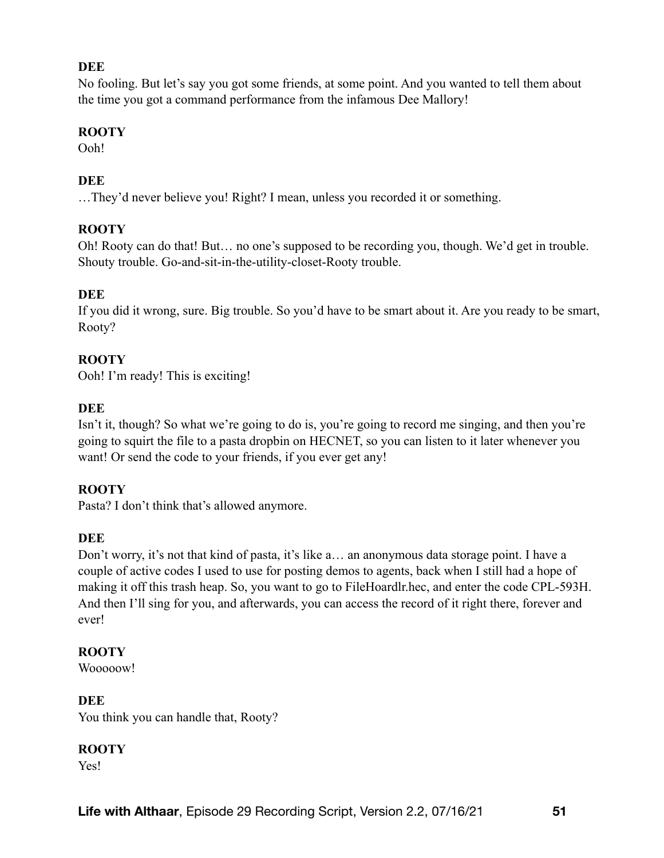# **DEE**

No fooling. But let's say you got some friends, at some point. And you wanted to tell them about the time you got a command performance from the infamous Dee Mallory!

# **ROOTY**

Ooh!

# **DEE**

…They'd never believe you! Right? I mean, unless you recorded it or something.

# **ROOTY**

Oh! Rooty can do that! But… no one's supposed to be recording you, though. We'd get in trouble. Shouty trouble. Go-and-sit-in-the-utility-closet-Rooty trouble.

# **DEE**

If you did it wrong, sure. Big trouble. So you'd have to be smart about it. Are you ready to be smart, Rooty?

# **ROOTY**

Ooh! I'm ready! This is exciting!

# **DEE**

Isn't it, though? So what we're going to do is, you're going to record me singing, and then you're going to squirt the file to a pasta dropbin on HECNET, so you can listen to it later whenever you want! Or send the code to your friends, if you ever get any!

## **ROOTY**

Pasta? I don't think that's allowed anymore.

## **DEE**

Don't worry, it's not that kind of pasta, it's like a… an anonymous data storage point. I have a couple of active codes I used to use for posting demos to agents, back when I still had a hope of making it off this trash heap. So, you want to go to FileHoardlr.hec, and enter the code CPL-593H. And then I'll sing for you, and afterwards, you can access the record of it right there, forever and ever!

## **ROOTY**

Wooooow!

**DEE**  You think you can handle that, Rooty?

## **ROOTY**

Yes!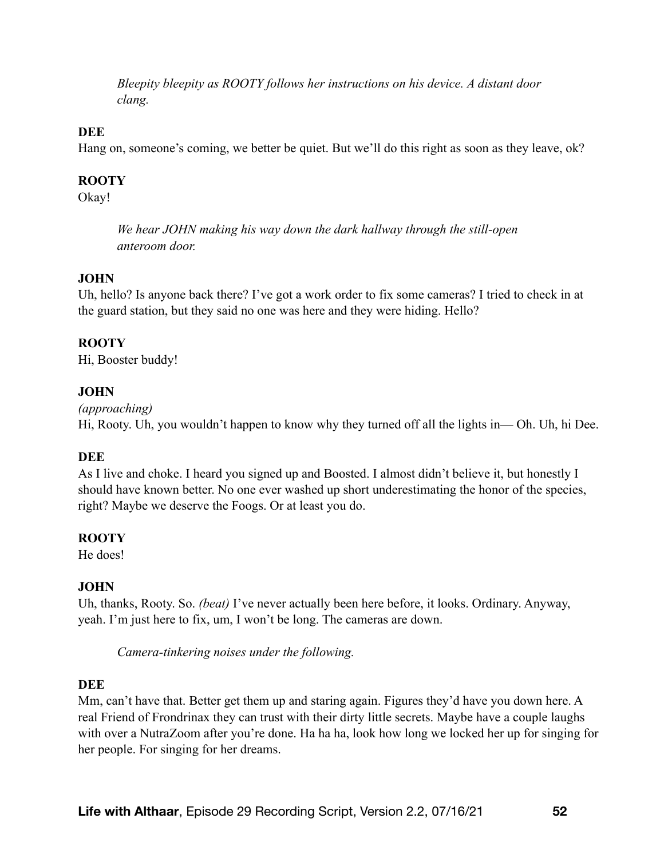*Bleepity bleepity as ROOTY follows her instructions on his device. A distant door clang.* 

## **DEE**

Hang on, someone's coming, we better be quiet. But we'll do this right as soon as they leave, ok?

## **ROOTY**

Okay!

*We hear JOHN making his way down the dark hallway through the still-open anteroom door.* 

## **JOHN**

Uh, hello? Is anyone back there? I've got a work order to fix some cameras? I tried to check in at the guard station, but they said no one was here and they were hiding. Hello?

## **ROOTY**

Hi, Booster buddy!

## **JOHN**

*(approaching)* 

Hi, Rooty. Uh, you wouldn't happen to know why they turned off all the lights in— Oh. Uh, hi Dee.

## **DEE**

As I live and choke. I heard you signed up and Boosted. I almost didn't believe it, but honestly I should have known better. No one ever washed up short underestimating the honor of the species, right? Maybe we deserve the Foogs. Or at least you do.

## **ROOTY**

He does!

## **JOHN**

Uh, thanks, Rooty. So. *(beat)* I've never actually been here before, it looks. Ordinary. Anyway, yeah. I'm just here to fix, um, I won't be long. The cameras are down.

*Camera-tinkering noises under the following.* 

#### **DEE**

Mm, can't have that. Better get them up and staring again. Figures they'd have you down here. A real Friend of Frondrinax they can trust with their dirty little secrets. Maybe have a couple laughs with over a NutraZoom after you're done. Ha ha ha, look how long we locked her up for singing for her people. For singing for her dreams.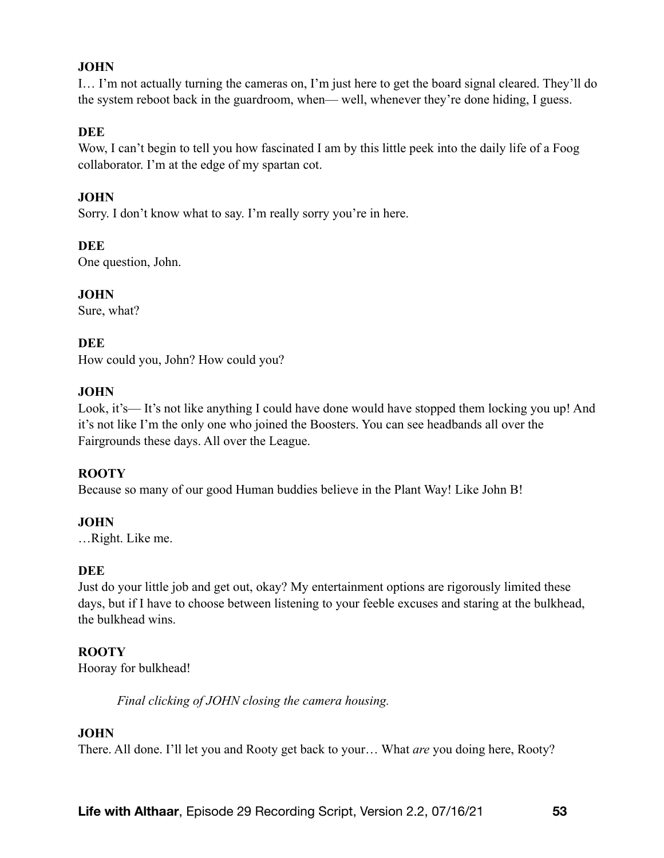# **JOHN**

I… I'm not actually turning the cameras on, I'm just here to get the board signal cleared. They'll do the system reboot back in the guardroom, when— well, whenever they're done hiding, I guess.

## **DEE**

Wow, I can't begin to tell you how fascinated I am by this little peek into the daily life of a Foog collaborator. I'm at the edge of my spartan cot.

# **JOHN**

Sorry. I don't know what to say. I'm really sorry you're in here.

**DEE**

One question, John.

**JOHN** Sure, what?

## **DEE**

How could you, John? How could you?

## **JOHN**

Look, it's— It's not like anything I could have done would have stopped them locking you up! And it's not like I'm the only one who joined the Boosters. You can see headbands all over the Fairgrounds these days. All over the League.

## **ROOTY**

Because so many of our good Human buddies believe in the Plant Way! Like John B!

## **JOHN**

…Right. Like me.

## **DEE**

Just do your little job and get out, okay? My entertainment options are rigorously limited these days, but if I have to choose between listening to your feeble excuses and staring at the bulkhead, the bulkhead wins.

## **ROOTY**

Hooray for bulkhead!

*Final clicking of JOHN closing the camera housing.* 

## **JOHN**

There. All done. I'll let you and Rooty get back to your… What *are* you doing here, Rooty?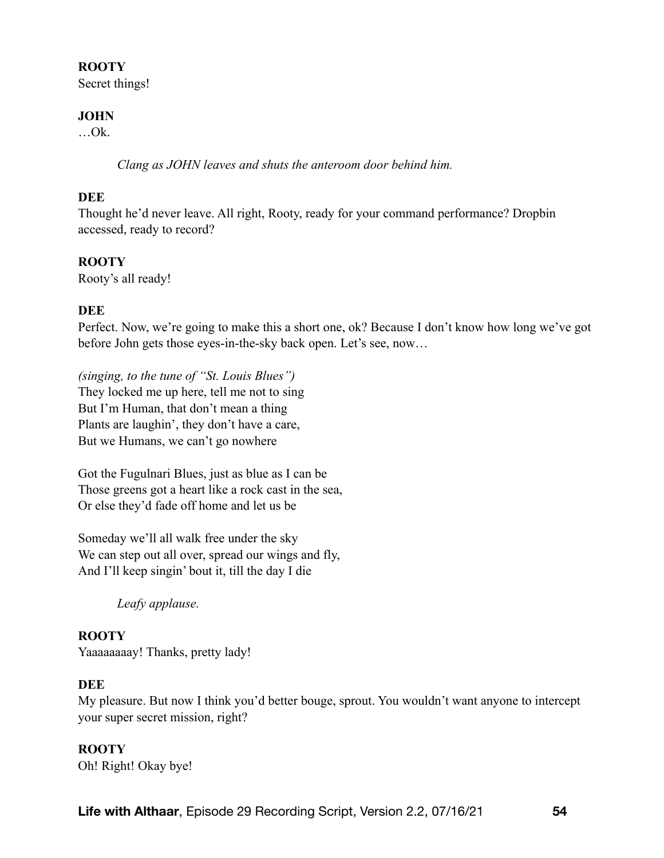## **ROOTY**

Secret things!

## **JOHN**

 $...$ Ok.

*Clang as JOHN leaves and shuts the anteroom door behind him.* 

# **DEE**

Thought he'd never leave. All right, Rooty, ready for your command performance? Dropbin accessed, ready to record?

# **ROOTY**

Rooty's all ready!

# **DEE**

Perfect. Now, we're going to make this a short one, ok? Because I don't know how long we've got before John gets those eyes-in-the-sky back open. Let's see, now…

*(singing, to the tune of "St. Louis Blues")*  They locked me up here, tell me not to sing But I'm Human, that don't mean a thing Plants are laughin', they don't have a care, But we Humans, we can't go nowhere

Got the Fugulnari Blues, just as blue as I can be Those greens got a heart like a rock cast in the sea, Or else they'd fade off home and let us be

Someday we'll all walk free under the sky We can step out all over, spread our wings and fly, And I'll keep singin' bout it, till the day I die

*Leafy applause.* 

#### **ROOTY**  Yaaaaaaaay! Thanks, pretty lady!

## **DEE**

My pleasure. But now I think you'd better bouge, sprout. You wouldn't want anyone to intercept your super secret mission, right?

## **ROOTY**

Oh! Right! Okay bye!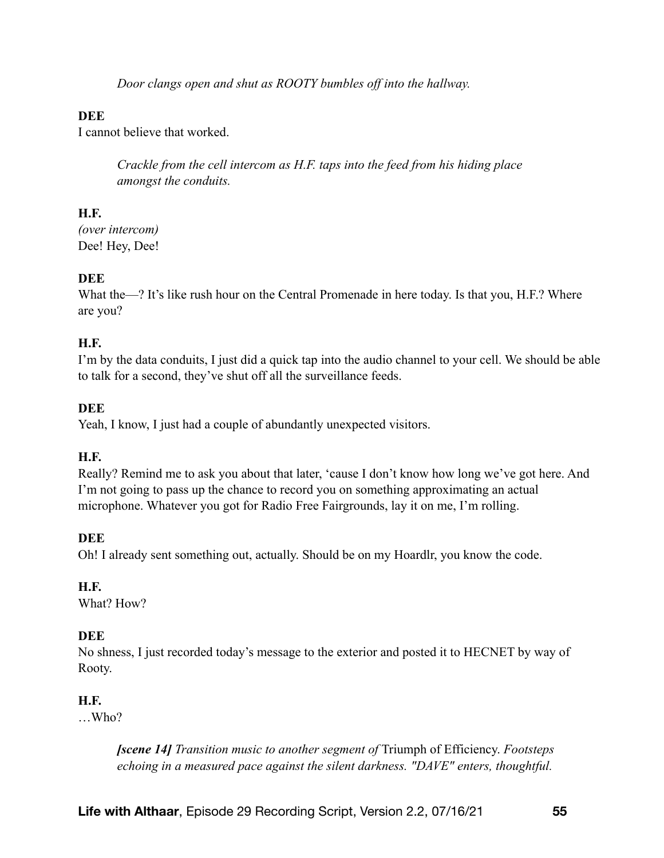*Door clangs open and shut as ROOTY bumbles off into the hallway.* 

# **DEE**

I cannot believe that worked.

*Crackle from the cell intercom as H.F. taps into the feed from his hiding place amongst the conduits.* 

# **H.F.**

*(over intercom)* Dee! Hey, Dee!

# **DEE**

What the—? It's like rush hour on the Central Promenade in here today. Is that you, H.F.? Where are you?

# **H.F.**

I'm by the data conduits, I just did a quick tap into the audio channel to your cell. We should be able to talk for a second, they've shut off all the surveillance feeds.

# **DEE**

Yeah, I know, I just had a couple of abundantly unexpected visitors.

## **H.F.**

Really? Remind me to ask you about that later, 'cause I don't know how long we've got here. And I'm not going to pass up the chance to record you on something approximating an actual microphone. Whatever you got for Radio Free Fairgrounds, lay it on me, I'm rolling.

## **DEE**

Oh! I already sent something out, actually. Should be on my Hoardlr, you know the code.

## **H.F.**

What? How?

# **DEE**

No shness, I just recorded today's message to the exterior and posted it to HECNET by way of Rooty.

# **H.F.**

…Who?

*[scene 14] Transition music to another segment of* Triumph of Efficiency. *Footsteps echoing in a measured pace against the silent darkness. "DAVE" enters, thoughtful.*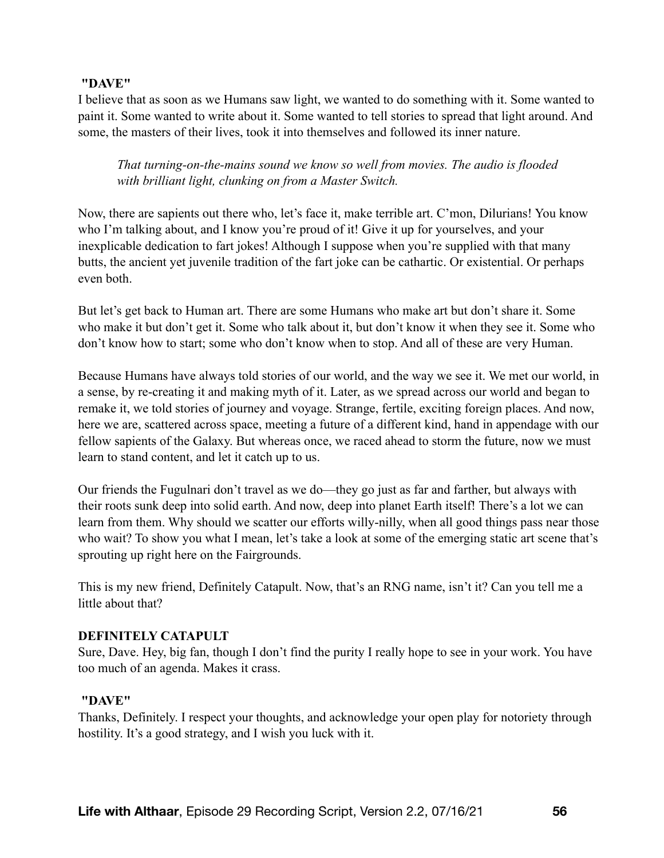## **"DAVE"**

I believe that as soon as we Humans saw light, we wanted to do something with it. Some wanted to paint it. Some wanted to write about it. Some wanted to tell stories to spread that light around. And some, the masters of their lives, took it into themselves and followed its inner nature.

*That turning-on-the-mains sound we know so well from movies. The audio is flooded with brilliant light, clunking on from a Master Switch.* 

Now, there are sapients out there who, let's face it, make terrible art. C'mon, Dilurians! You know who I'm talking about, and I know you're proud of it! Give it up for yourselves, and your inexplicable dedication to fart jokes! Although I suppose when you're supplied with that many butts, the ancient yet juvenile tradition of the fart joke can be cathartic. Or existential. Or perhaps even both.

But let's get back to Human art. There are some Humans who make art but don't share it. Some who make it but don't get it. Some who talk about it, but don't know it when they see it. Some who don't know how to start; some who don't know when to stop. And all of these are very Human.

Because Humans have always told stories of our world, and the way we see it. We met our world, in a sense, by re-creating it and making myth of it. Later, as we spread across our world and began to remake it, we told stories of journey and voyage. Strange, fertile, exciting foreign places. And now, here we are, scattered across space, meeting a future of a different kind, hand in appendage with our fellow sapients of the Galaxy. But whereas once, we raced ahead to storm the future, now we must learn to stand content, and let it catch up to us.

Our friends the Fugulnari don't travel as we do—they go just as far and farther, but always with their roots sunk deep into solid earth. And now, deep into planet Earth itself! There's a lot we can learn from them. Why should we scatter our efforts willy-nilly, when all good things pass near those who wait? To show you what I mean, let's take a look at some of the emerging static art scene that's sprouting up right here on the Fairgrounds.

This is my new friend, Definitely Catapult. Now, that's an RNG name, isn't it? Can you tell me a little about that?

## **DEFINITELY CATAPULT**

Sure, Dave. Hey, big fan, though I don't find the purity I really hope to see in your work. You have too much of an agenda. Makes it crass.

## **"DAVE"**

Thanks, Definitely. I respect your thoughts, and acknowledge your open play for notoriety through hostility. It's a good strategy, and I wish you luck with it.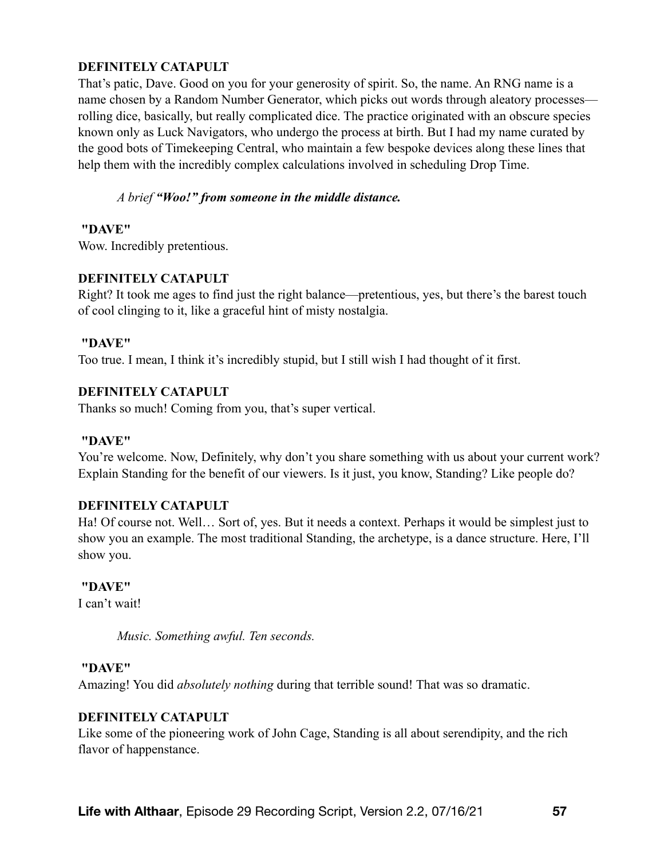# **DEFINITELY CATAPULT**

That's patic, Dave. Good on you for your generosity of spirit. So, the name. An RNG name is a name chosen by a Random Number Generator, which picks out words through aleatory processes rolling dice, basically, but really complicated dice. The practice originated with an obscure species known only as Luck Navigators, who undergo the process at birth. But I had my name curated by the good bots of Timekeeping Central, who maintain a few bespoke devices along these lines that help them with the incredibly complex calculations involved in scheduling Drop Time.

#### *A brief "Woo!" from someone in the middle distance.*

#### **"DAVE"**

Wow. Incredibly pretentious.

## **DEFINITELY CATAPULT**

Right? It took me ages to find just the right balance—pretentious, yes, but there's the barest touch of cool clinging to it, like a graceful hint of misty nostalgia.

## **"DAVE"**

Too true. I mean, I think it's incredibly stupid, but I still wish I had thought of it first.

## **DEFINITELY CATAPULT**

Thanks so much! Coming from you, that's super vertical.

## **"DAVE"**

You're welcome. Now, Definitely, why don't you share something with us about your current work? Explain Standing for the benefit of our viewers. Is it just, you know, Standing? Like people do?

## **DEFINITELY CATAPULT**

Ha! Of course not. Well… Sort of, yes. But it needs a context. Perhaps it would be simplest just to show you an example. The most traditional Standing, the archetype, is a dance structure. Here, I'll show you.

#### **"DAVE"**

I can't wait!

*Music. Something awful. Ten seconds.* 

#### **"DAVE"**

Amazing! You did *absolutely nothing* during that terrible sound! That was so dramatic.

## **DEFINITELY CATAPULT**

Like some of the pioneering work of John Cage, Standing is all about serendipity, and the rich flavor of happenstance.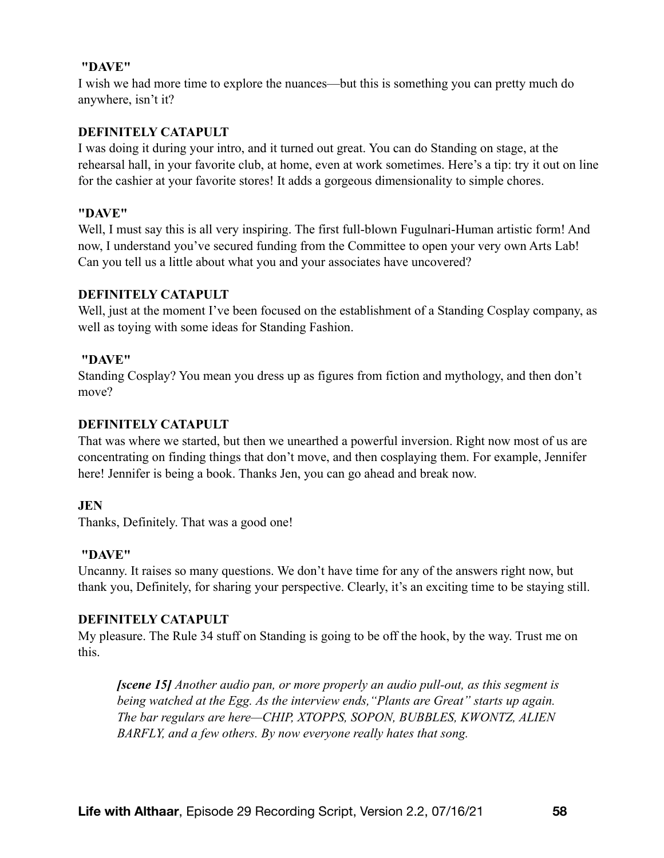#### **"DAVE"**

I wish we had more time to explore the nuances—but this is something you can pretty much do anywhere, isn't it?

## **DEFINITELY CATAPULT**

I was doing it during your intro, and it turned out great. You can do Standing on stage, at the rehearsal hall, in your favorite club, at home, even at work sometimes. Here's a tip: try it out on line for the cashier at your favorite stores! It adds a gorgeous dimensionality to simple chores.

## **"DAVE"**

Well, I must say this is all very inspiring. The first full-blown Fugulnari-Human artistic form! And now, I understand you've secured funding from the Committee to open your very own Arts Lab! Can you tell us a little about what you and your associates have uncovered?

## **DEFINITELY CATAPULT**

Well, just at the moment I've been focused on the establishment of a Standing Cosplay company, as well as toying with some ideas for Standing Fashion.

# **"DAVE"**

Standing Cosplay? You mean you dress up as figures from fiction and mythology, and then don't move?

# **DEFINITELY CATAPULT**

That was where we started, but then we unearthed a powerful inversion. Right now most of us are concentrating on finding things that don't move, and then cosplaying them. For example, Jennifer here! Jennifer is being a book. Thanks Jen, you can go ahead and break now.

## **JEN**

Thanks, Definitely. That was a good one!

## **"DAVE"**

Uncanny. It raises so many questions. We don't have time for any of the answers right now, but thank you, Definitely, for sharing your perspective. Clearly, it's an exciting time to be staying still.

## **DEFINITELY CATAPULT**

My pleasure. The Rule 34 stuff on Standing is going to be off the hook, by the way. Trust me on this.

*[scene 15] Another audio pan, or more properly an audio pull-out, as this segment is being watched at the Egg. As the interview ends,"Plants are Great" starts up again. The bar regulars are here—CHIP, XTOPPS, SOPON, BUBBLES, KWONTZ, ALIEN BARFLY, and a few others. By now everyone really hates that song.*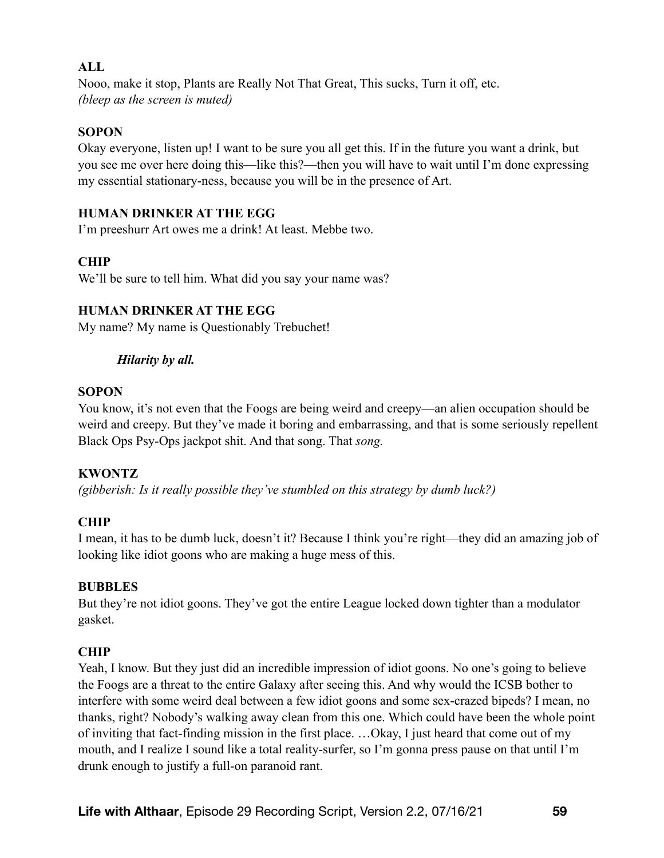## **ALL**

Nooo, make it stop, Plants are Really Not That Great, This sucks, Turn it off, etc. *(bleep as the screen is muted)*

## **SOPON**

Okay everyone, listen up! I want to be sure you all get this. If in the future you want a drink, but you see me over here doing this—like this?—then you will have to wait until I'm done expressing my essential stationary-ness, because you will be in the presence of Art.

## **HUMAN DRINKER AT THE EGG**

I'm preeshurr Art owes me a drink! At least. Mebbe two.

# **CHIP**

We'll be sure to tell him. What did you say your name was?

# **HUMAN DRINKER AT THE EGG**

My name? My name is Questionably Trebuchet!

# *Hilarity by all.*

## **SOPON**

You know, it's not even that the Foogs are being weird and creepy—an alien occupation should be weird and creepy. But they've made it boring and embarrassing, and that is some seriously repellent Black Ops Psy-Ops jackpot shit. And that song. That *song.* 

# **KWONTZ**

*(gibberish: Is it really possible they've stumbled on this strategy by dumb luck?)* 

## **CHIP**

I mean, it has to be dumb luck, doesn't it? Because I think you're right—they did an amazing job of looking like idiot goons who are making a huge mess of this.

## **BUBBLES**

But they're not idiot goons. They've got the entire League locked down tighter than a modulator gasket.

# **CHIP**

Yeah, I know. But they just did an incredible impression of idiot goons. No one's going to believe the Foogs are a threat to the entire Galaxy after seeing this. And why would the ICSB bother to interfere with some weird deal between a few idiot goons and some sex-crazed bipeds? I mean, no thanks, right? Nobody's walking away clean from this one. Which could have been the whole point of inviting that fact-finding mission in the first place. …Okay, I just heard that come out of my mouth, and I realize I sound like a total reality-surfer, so I'm gonna press pause on that until I'm drunk enough to justify a full-on paranoid rant.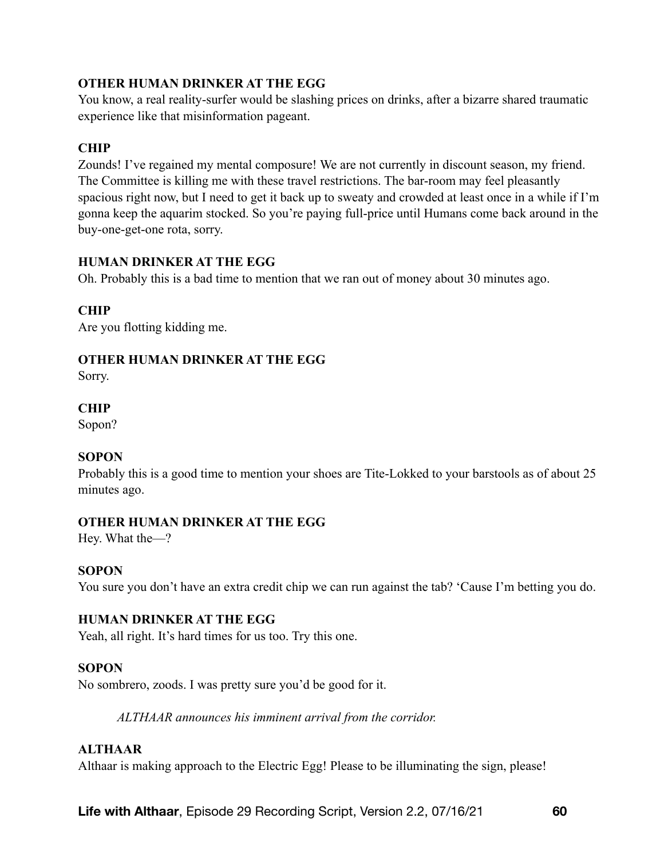# **OTHER HUMAN DRINKER AT THE EGG**

You know, a real reality-surfer would be slashing prices on drinks, after a bizarre shared traumatic experience like that misinformation pageant.

# **CHIP**

Zounds! I've regained my mental composure! We are not currently in discount season, my friend. The Committee is killing me with these travel restrictions. The bar-room may feel pleasantly spacious right now, but I need to get it back up to sweaty and crowded at least once in a while if I'm gonna keep the aquarim stocked. So you're paying full-price until Humans come back around in the buy-one-get-one rota, sorry.

# **HUMAN DRINKER AT THE EGG**

Oh. Probably this is a bad time to mention that we ran out of money about 30 minutes ago.

# **CHIP**

Are you flotting kidding me.

# **OTHER HUMAN DRINKER AT THE EGG**

Sorry.

# **CHIP**

Sopon?

## **SOPON**

Probably this is a good time to mention your shoes are Tite-Lokked to your barstools as of about 25 minutes ago.

# **OTHER HUMAN DRINKER AT THE EGG**

Hey. What the—?

## **SOPON**

You sure you don't have an extra credit chip we can run against the tab? 'Cause I'm betting you do.

## **HUMAN DRINKER AT THE EGG**

Yeah, all right. It's hard times for us too. Try this one.

## **SOPON**

No sombrero, zoods. I was pretty sure you'd be good for it.

*ALTHAAR announces his imminent arrival from the corridor.* 

# **ALTHAAR**

Althaar is making approach to the Electric Egg! Please to be illuminating the sign, please!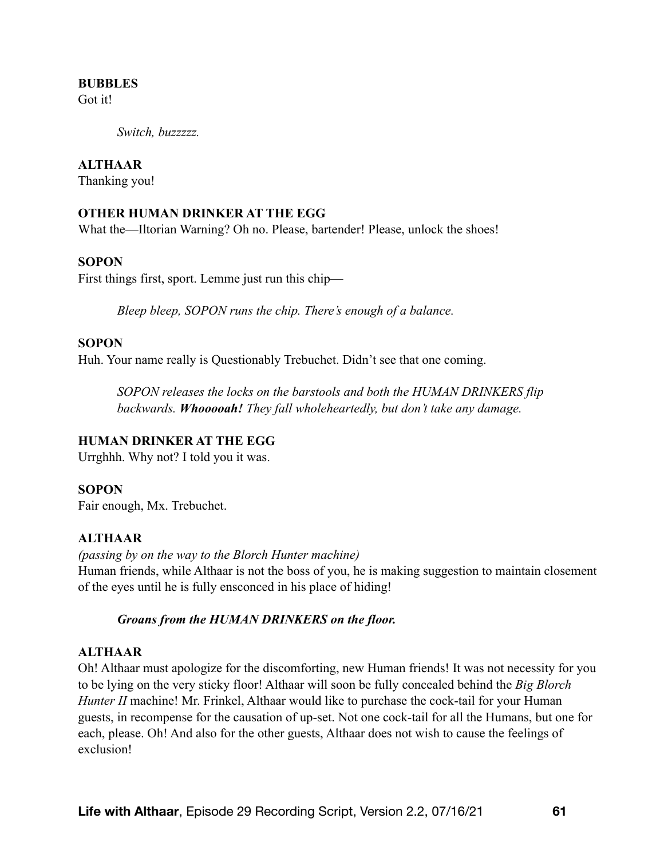#### **BUBBLES**

Got it!

*Switch, buzzzzz.* 

#### **ALTHAAR**

Thanking you!

#### **OTHER HUMAN DRINKER AT THE EGG**

What the—Iltorian Warning? Oh no. Please, bartender! Please, unlock the shoes!

#### **SOPON**

First things first, sport. Lemme just run this chip—

*Bleep bleep, SOPON runs the chip. There's enough of a balance.* 

#### **SOPON**

Huh. Your name really is Questionably Trebuchet. Didn't see that one coming.

*SOPON releases the locks on the barstools and both the HUMAN DRINKERS flip backwards. Whooooah! They fall wholeheartedly, but don't take any damage.* 

## **HUMAN DRINKER AT THE EGG**

Urrghhh. Why not? I told you it was.

#### **SOPON**

Fair enough, Mx. Trebuchet.

## **ALTHAAR**

*(passing by on the way to the Blorch Hunter machine)*  Human friends, while Althaar is not the boss of you, he is making suggestion to maintain closement of the eyes until he is fully ensconced in his place of hiding!

#### *Groans from the HUMAN DRINKERS on the floor.*

#### **ALTHAAR**

Oh! Althaar must apologize for the discomforting, new Human friends! It was not necessity for you to be lying on the very sticky floor! Althaar will soon be fully concealed behind the *Big Blorch Hunter II* machine! Mr. Frinkel, Althaar would like to purchase the cock-tail for your Human guests, in recompense for the causation of up-set. Not one cock-tail for all the Humans, but one for each, please. Oh! And also for the other guests, Althaar does not wish to cause the feelings of exclusion!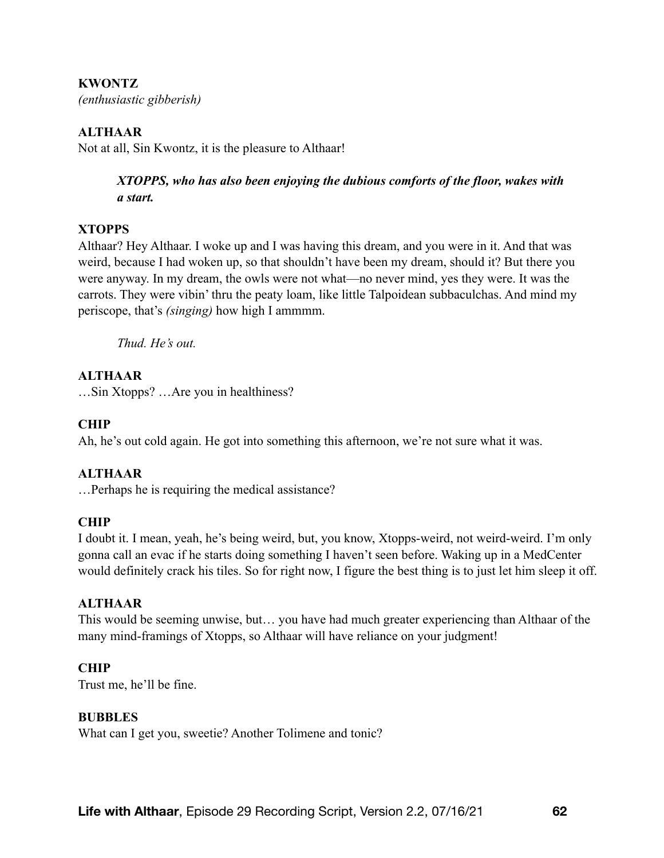## **KWONTZ**

*(enthusiastic gibberish)* 

## **ALTHAAR**

Not at all, Sin Kwontz, it is the pleasure to Althaar!

*XTOPPS, who has also been enjoying the dubious comforts of the floor, wakes with a start.* 

## **XTOPPS**

Althaar? Hey Althaar. I woke up and I was having this dream, and you were in it. And that was weird, because I had woken up, so that shouldn't have been my dream, should it? But there you were anyway. In my dream, the owls were not what—no never mind, yes they were. It was the carrots. They were vibin' thru the peaty loam, like little Talpoidean subbaculchas. And mind my periscope, that's *(singing)* how high I ammmm.

*Thud. He's out.* 

# **ALTHAAR**

…Sin Xtopps? …Are you in healthiness?

# **CHIP**

Ah, he's out cold again. He got into something this afternoon, we're not sure what it was.

## **ALTHAAR**

…Perhaps he is requiring the medical assistance?

## **CHIP**

I doubt it. I mean, yeah, he's being weird, but, you know, Xtopps-weird, not weird-weird. I'm only gonna call an evac if he starts doing something I haven't seen before. Waking up in a MedCenter would definitely crack his tiles. So for right now, I figure the best thing is to just let him sleep it off.

## **ALTHAAR**

This would be seeming unwise, but… you have had much greater experiencing than Althaar of the many mind-framings of Xtopps, so Althaar will have reliance on your judgment!

## **CHIP**

Trust me, he'll be fine.

## **BUBBLES**

What can I get you, sweetie? Another Tolimene and tonic?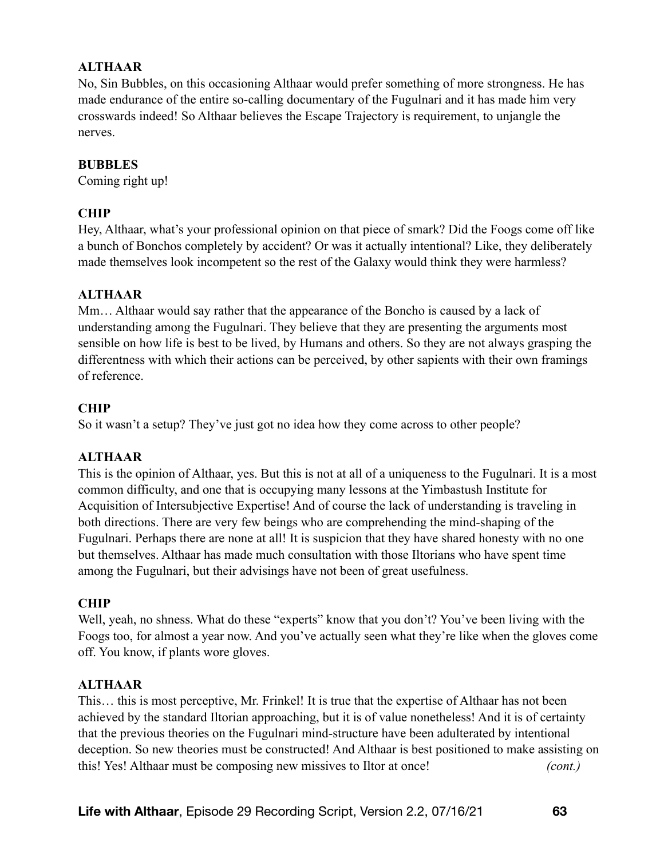# **ALTHAAR**

No, Sin Bubbles, on this occasioning Althaar would prefer something of more strongness. He has made endurance of the entire so-calling documentary of the Fugulnari and it has made him very crosswards indeed! So Althaar believes the Escape Trajectory is requirement, to unjangle the nerves.

#### **BUBBLES**

Coming right up!

## **CHIP**

Hey, Althaar, what's your professional opinion on that piece of smark? Did the Foogs come off like a bunch of Bonchos completely by accident? Or was it actually intentional? Like, they deliberately made themselves look incompetent so the rest of the Galaxy would think they were harmless?

## **ALTHAAR**

Mm… Althaar would say rather that the appearance of the Boncho is caused by a lack of understanding among the Fugulnari. They believe that they are presenting the arguments most sensible on how life is best to be lived, by Humans and others. So they are not always grasping the differentness with which their actions can be perceived, by other sapients with their own framings of reference.

## **CHIP**

So it wasn't a setup? They've just got no idea how they come across to other people?

## **ALTHAAR**

This is the opinion of Althaar, yes. But this is not at all of a uniqueness to the Fugulnari. It is a most common difficulty, and one that is occupying many lessons at the Yimbastush Institute for Acquisition of Intersubjective Expertise! And of course the lack of understanding is traveling in both directions. There are very few beings who are comprehending the mind-shaping of the Fugulnari. Perhaps there are none at all! It is suspicion that they have shared honesty with no one but themselves. Althaar has made much consultation with those Iltorians who have spent time among the Fugulnari, but their advisings have not been of great usefulness.

## **CHIP**

Well, yeah, no shness. What do these "experts" know that you don't? You've been living with the Foogs too, for almost a year now. And you've actually seen what they're like when the gloves come off. You know, if plants wore gloves.

#### **ALTHAAR**

This… this is most perceptive, Mr. Frinkel! It is true that the expertise of Althaar has not been achieved by the standard Iltorian approaching, but it is of value nonetheless! And it is of certainty that the previous theories on the Fugulnari mind-structure have been adulterated by intentional deception. So new theories must be constructed! And Althaar is best positioned to make assisting on this! Yes! Althaar must be composing new missives to Iltor at once! *(cont.)*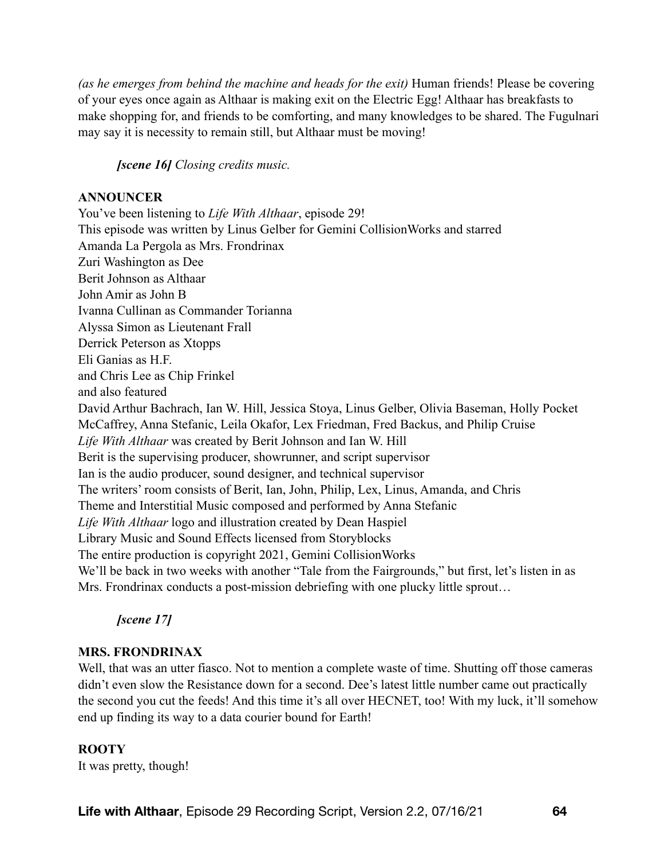*(as he emerges from behind the machine and heads for the exit)* Human friends! Please be covering of your eyes once again as Althaar is making exit on the Electric Egg! Althaar has breakfasts to make shopping for, and friends to be comforting, and many knowledges to be shared. The Fugulnari may say it is necessity to remain still, but Althaar must be moving!

*[scene 16] Closing credits music.* 

## **ANNOUNCER**

You've been listening to *Life With Althaar*, episode 29! This episode was written by Linus Gelber for Gemini CollisionWorks and starred Amanda La Pergola as Mrs. Frondrinax Zuri Washington as Dee Berit Johnson as Althaar John Amir as John B Ivanna Cullinan as Commander Torianna Alyssa Simon as Lieutenant Frall Derrick Peterson as Xtopps Eli Ganias as H.F. and Chris Lee as Chip Frinkel and also featured David Arthur Bachrach, Ian W. Hill, Jessica Stoya, Linus Gelber, Olivia Baseman, Holly Pocket McCaffrey, Anna Stefanic, Leila Okafor, Lex Friedman, Fred Backus, and Philip Cruise *Life With Althaar* was created by Berit Johnson and Ian W. Hill Berit is the supervising producer, showrunner, and script supervisor Ian is the audio producer, sound designer, and technical supervisor The writers' room consists of Berit, Ian, John, Philip, Lex, Linus, Amanda, and Chris Theme and Interstitial Music composed and performed by Anna Stefanic *Life With Althaar* logo and illustration created by Dean Haspiel Library Music and Sound Effects licensed from Storyblocks The entire production is copyright 2021, Gemini CollisionWorks We'll be back in two weeks with another "Tale from the Fairgrounds," but first, let's listen in as Mrs. Frondrinax conducts a post-mission debriefing with one plucky little sprout…

*[scene 17]* 

# **MRS. FRONDRINAX**

Well, that was an utter fiasco. Not to mention a complete waste of time. Shutting off those cameras didn't even slow the Resistance down for a second. Dee's latest little number came out practically the second you cut the feeds! And this time it's all over HECNET, too! With my luck, it'll somehow end up finding its way to a data courier bound for Earth!

## **ROOTY**

It was pretty, though!